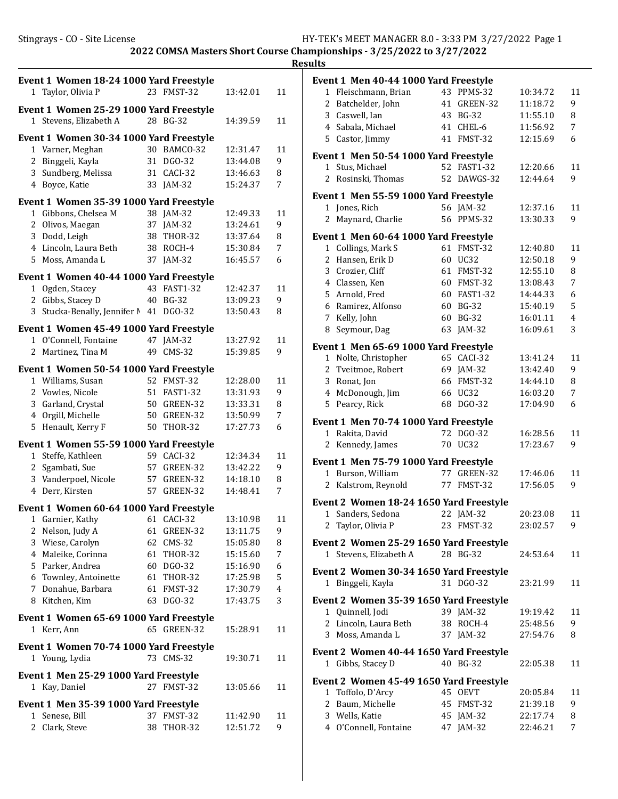Results

Event 1 Women 18-24 1000 Yard Freestyle 1 Taylor, Olivia P 23 FMST-32 13:42.01 11 Event 1 Women 25-29 1000 Yard Freestyle 1 Stevens, Elizabeth A 28 BG-32 14:39.59 11 Event 1 Women 30-34 1000 Yard Freestyle 1 12:31.47 11 Varner, Meghan 30 BAMCO-32 2 Binggeli, Kayla 31 DGO-32 13:44.08 9 3 Sundberg, Melissa 31 CACI-32 13:46.63 8 4 15:24.37 7 Boyce, Katie 33 JAM-32 Event 1 Women 35-39 1000 Yard Freestyle 1 Gibbons, Chelsea M 38 IAM-32 12:49.33 11 2 Olivos, Maegan 37 JAM-32 13:24.61 9 3 13:37.64 8 Dodd, Leigh 38 THOR-32 4 15:30.84 7 Lincoln, Laura Beth 38 ROCH-4 5 16:45.57 6 Moss, Amanda L 37 JAM-32 Event 1 Women 40-44 1000 Yard Freestyle 1 12:42.37 11 Ogden, Stacey 43 FAST1-32 2 Gibbs, Stacey D 40 BG-32 13:09.23 9 3 Stucka-Benally, Jennifer 1 41 DGO-32 13:50.43 8 Event 1 Women 45-49 1000 Yard Freestyle 1 13:27.92 11 O'Connell, Fontaine 47 JAM-32 2 Martinez, Tina M 49 CMS-32 15:39.85 9 Event 1 Women 50-54 1000 Yard Freestyle 1 Williams, Susan 52 FMST-32 12:28.00 11 2 13:31.93 9 Vowles, Nicole 51 FAST1-32 3 Garland, Crystal 50 GREEN-32 13:33.31 8 4 13:50.99 7 Orgill, Michelle 50 GREEN-32 5 Henault, Kerry F 50 THOR-32 17:27.73 6 Event 1 Women 55-59 1000 Yard Freestyle 1 12:34.34 11 Steffe, Kathleen 59 CACI-32 2 Sgambati, Sue 57 GREEN-32 13:42.22 9 3 Vanderpoel, Nicole 57 GREEN-32 14:18.10 8 4 14:48.41 7 Derr, Kirsten 57 GREEN-32 Event 1 Women 60-64 1000 Yard Freestyle 1 Garnier, Kathy 61 CACI-32 13:10.98 11 2 Nelson, Judy A 61 GREEN-32 13:11.75 9 3 Wiese, Carolyn 62 CMS-32 15:05.80 8 4 15:15.60 7 Maleike, Corinna 61 THOR-32 5 15:16.90 6 Parker, Andrea 60 DGO-32 6 17:25.98 5 Townley, Antoinette 61 THOR-32 7 17:30.79 4 Donahue, Barbara 61 FMST-32 8 17:43.75 3 Kitchen, Kim 63 DGO-32 Event 1 Women 65-69 1000 Yard Freestyle 1 Kerr, Ann 65 GREEN-32 15:28.91 11 Event 1 Women 70-74 1000 Yard Freestyle 1 Young, Lydia 73 CMS-32 19:30.71 11 Event 1 Men 25-29 1000 Yard Freestyle 1 Kay, Daniel 27 FMST-32 13:05.66 11 Event 1 Men 35-39 1000 Yard Freestyle 1 Senese, Bill 37 FMST-32 11:42.90 11 2 Clark, Steve 38 THOR-32 12:51.72 9

|                | Event 1 Men 40-44 1000 Yard Freestyle   |    |                 |          |        |
|----------------|-----------------------------------------|----|-----------------|----------|--------|
| 1              | Fleischmann, Brian                      | 43 | PPMS-32         | 10:34.72 | 11     |
| 2              | Batchelder, John                        | 41 | GREEN-32        | 11:18.72 | 9      |
|                | 3 Caswell, Ian                          | 43 | <b>BG-32</b>    | 11:55.10 | 8      |
|                | 4 Sabala, Michael                       |    | 41 CHEL-6       | 11:56.92 | 7      |
|                | 5 Castor, Jimmy                         | 41 | FMST-32         | 12:15.69 | 6      |
|                | Event 1 Men 50-54 1000 Yard Freestyle   |    |                 |          |        |
| 1              | Stus, Michael                           |    | 52 FAST1-32     | 12:20.66 | 11     |
|                | 2 Rosinski, Thomas                      |    | 52 DAWGS-32     | 12:44.64 | 9      |
|                | Event 1 Men 55-59 1000 Yard Freestyle   |    |                 |          |        |
| $\mathbf{1}$   | Jones, Rich                             |    | 56 JAM-32       | 12:37.16 | 11     |
| 2              | Maynard, Charlie                        |    | 56 PPMS-32      | 13:30.33 | 9      |
|                | Event 1 Men 60-64 1000 Yard Freestyle   |    |                 |          |        |
|                | 1 Collings, Mark S                      | 61 | FMST-32         | 12:40.80 | 11     |
| 2              | Hansen, Erik D                          |    | 60 UC32         | 12:50.18 | 9      |
|                | 3 Crozier, Cliff                        | 61 | FMST-32         | 12:55.10 | 8      |
|                | 4 Classen, Ken                          |    | 60 FMST-32      | 13:08.43 | 7      |
|                | 5 Arnold, Fred                          | 60 | <b>FAST1-32</b> | 14:44.33 | 6      |
|                | 6 Ramirez, Alfonso                      | 60 | <b>BG-32</b>    | 15:40.19 | 5      |
|                | 7 Kelly, John                           | 60 | <b>BG-32</b>    | 16:01.11 | 4<br>3 |
| 8              | Seymour, Dag                            | 63 | JAM-32          | 16:09.61 |        |
|                | Event 1 Men 65-69 1000 Yard Freestyle   |    |                 |          |        |
| 1              | Nolte, Christopher                      |    | 65 CACI-32      | 13:41.24 | 11     |
|                | 2 Tveitmoe, Robert                      | 69 | JAM-32          | 13:42.40 | 9      |
| 3              | Ronat, Jon                              | 66 | FMST-32         | 14:44.10 | 8      |
| 4              | McDonough, Jim                          | 66 | UC32            | 16:03.20 | 7      |
| 5              | Pearcy, Rick                            | 68 | DGO-32          | 17:04.90 | 6      |
|                | Event 1 Men 70-74 1000 Yard Freestyle   |    |                 |          |        |
|                | 1 Rakita, David                         |    | 72 DGO-32       | 16:28.56 | 11     |
| $\overline{2}$ | Kennedy, James                          |    | 70 UC32         | 17:23.67 | 9      |
|                | Event 1 Men 75-79 1000 Yard Freestyle   |    |                 |          |        |
| 1              | Burson, William                         |    | 77 GREEN-32     | 17:46.06 | 11     |
| 2              | Kalstrom, Reynold                       |    | 77 FMST-32      | 17:56.05 | 9      |
|                | Event 2 Women 18-24 1650 Yard Freestyle |    |                 |          |        |
|                | 1 Sanders, Sedona                       |    | 22 JAM-32       | 20:23.08 | 11     |
|                | 2 Taylor, Olivia P                      |    | 23 FMST-32      | 23:02.57 | 9      |
|                | Event 2 Women 25-29 1650 Yard Freestyle |    |                 |          |        |
|                | 1 Stevens, Elizabeth A                  |    | 28 BG-32        | 24:53.64 | 11     |
|                | Event 2 Women 30-34 1650 Yard Freestyle |    |                 |          |        |
|                | 1 Binggeli, Kayla                       |    | 31 DGO-32       | 23:21.99 | 11     |
|                | Event 2 Women 35-39 1650 Yard Freestyle |    |                 |          |        |
|                | 1 Quinnell, Jodi                        |    | 39 JAM-32       | 19:19.42 | 11     |
|                | 2 Lincoln, Laura Beth                   |    | 38 ROCH-4       | 25:48.56 | 9      |
|                | 3 Moss, Amanda L                        |    | 37 JAM-32       | 27:54.76 | 8      |
|                | Event 2 Women 40-44 1650 Yard Freestyle |    |                 |          |        |
|                | 1 Gibbs, Stacey D                       |    | 40 BG-32        | 22:05.38 | 11     |
|                | Event 2 Women 45-49 1650 Yard Freestyle |    |                 |          |        |
|                | 1 Toffolo, D'Arcy                       |    | 45 OEVT         | 20:05.84 | 11     |
|                | 2 Baum, Michelle                        |    | 45 FMST-32      | 21:39.18 | 9      |
|                | 3 Wells, Katie                          |    | 45 JAM-32       | 22:17.74 | 8      |
|                | 4 O'Connell, Fontaine                   |    | 47 JAM-32       | 22:46.21 | 7      |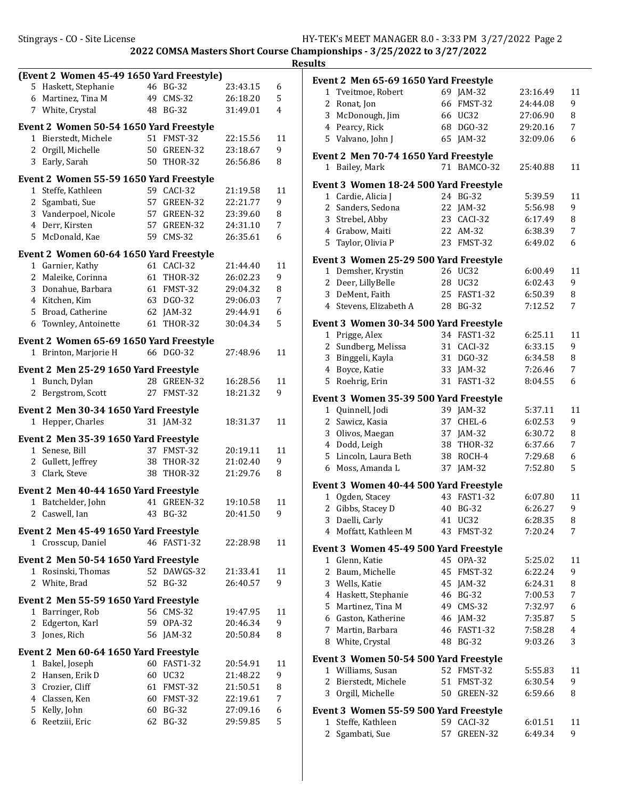| (Event 2 Women 45-49 1650 Yard Freestyle)                      |    |                |          |         |
|----------------------------------------------------------------|----|----------------|----------|---------|
| 5 Haskett, Stephanie                                           |    | 46 BG-32       | 23:43.15 | 6       |
| 6 Martinez, Tina M                                             |    | 49 CMS-32      | 26:18.20 | 5       |
| 7 White, Crystal                                               |    | 48 BG-32       | 31:49.01 | 4       |
| Event 2 Women 50-54 1650 Yard Freestyle                        |    |                |          |         |
| 1 Bierstedt, Michele                                           |    | 51 FMST-32     | 22:15.56 | 11      |
| 2 Orgill, Michelle                                             | 50 | GREEN-32       | 23:18.67 | 9       |
| Early, Sarah<br>3                                              | 50 | THOR-32        | 26:56.86 | 8       |
| Event 2 Women 55-59 1650 Yard Freestyle                        |    |                |          |         |
| $\mathbf{1}$<br>Steffe, Kathleen                               |    | 59 CACI-32     | 21:19.58 | 11      |
| 2 Sgambati, Sue                                                | 57 | GREEN-32       | 22:21.77 | 9       |
| 3 Vanderpoel, Nicole                                           |    | 57 GREEN-32    | 23:39.60 | 8       |
| 4 Derr, Kirsten                                                |    | 57 GREEN-32    | 24:31.10 | 7       |
| 5 McDonald, Kae                                                |    | 59 CMS-32      | 26:35.61 | 6       |
|                                                                |    |                |          |         |
| Event 2 Women 60-64 1650 Yard Freestyle                        |    | 61 CACI-32     |          |         |
| 1 Garnier, Kathy                                               |    |                | 21:44.40 | 11<br>9 |
| 2 Maleike, Corinna                                             | 61 | THOR-32        | 26:02.23 |         |
| 3 Donahue, Barbara                                             | 61 | FMST-32        | 29:04.32 | 8       |
| 4 Kitchen, Kim                                                 | 63 | DGO-32         | 29:06.03 | 7       |
| 5 Broad, Catherine                                             | 62 | $JAM-32$       | 29:44.91 | 6       |
| 6 Townley, Antoinette                                          | 61 | <b>THOR-32</b> | 30:04.34 | 5       |
| Event 2 Women 65-69 1650 Yard Freestyle                        |    |                |          |         |
| Brinton, Marjorie H<br>1                                       |    | 66 DGO-32      | 27:48.96 | 11      |
| Event 2 Men 25-29 1650 Yard Freestyle                          |    |                |          |         |
| Bunch, Dylan<br>$1\,$                                          |    | 28 GREEN-32    | 16:28.56 | 11      |
| Bergstrom, Scott<br>$\mathbf{2}$                               |    | 27 FMST-32     | 18:21.32 | 9       |
|                                                                |    |                |          |         |
| Event 2 Men 30-34 1650 Yard Freestyle                          |    |                |          |         |
| 1 Hepper, Charles                                              |    | 31 JAM-32      | 18:31.37 | 11      |
| Event 2 Men 35-39 1650 Yard Freestyle                          |    |                |          |         |
| Senese, Bill<br>$1 \quad$                                      |    | 37 FMST-32     | 20:19.11 | 11      |
| 2 Gullett, Jeffrey                                             |    | 38 THOR-32     | 21:02.40 | 9       |
| Clark, Steve<br>3                                              | 38 | <b>THOR-32</b> | 21:29.76 | 8       |
| Event 2 Men 40-44 1650 Yard Freestyle                          |    |                |          |         |
| 1 Batchelder, John                                             |    | 41 GREEN-32    | 19:10.58 | 11      |
| 2 Caswell, Ian                                                 |    | 43 BG-32       | 20:41.50 | 9       |
|                                                                |    |                |          |         |
| Event 2 Men 45-49 1650 Yard Freestyle<br>Crosscup, Daniel<br>1 |    | 46 FAST1-32    | 22:28.98 | 11      |
|                                                                |    |                |          |         |
| Event 2 Men 50-54 1650 Yard Freestyle                          |    |                |          |         |
| 1 Rosinski, Thomas                                             |    | 52 DAWGS-32    | 21:33.41 | 11      |
| 2<br>White, Brad                                               |    | 52 BG-32       | 26:40.57 | 9       |
| Event 2 Men 55-59 1650 Yard Freestyle                          |    |                |          |         |
| 1 Barringer, Rob                                               |    | 56 CMS-32      | 19:47.95 | 11      |
| 2 Edgerton, Karl                                               |    | 59 OPA-32      | 20:46.34 | 9       |
| 3 Jones, Rich                                                  |    | 56 JAM-32      | 20:50.84 | 8       |
| Event 2 Men 60-64 1650 Yard Freestyle                          |    |                |          |         |
| Bakel, Joseph<br>1                                             | 60 | FAST1-32       | 20:54.91 | 11      |
| 2 Hansen, Erik D                                               | 60 | UC32           | 21:48.22 | 9       |
| 3 Crozier, Cliff                                               | 61 | FMST-32        | 21:50.51 | 8       |
| 4 Classen, Ken                                                 |    | 60 FMST-32     | 22:19.61 | 7       |
| 5 Kelly, John                                                  |    | 60 BG-32       | 27:09.16 | 6       |
| Reetziii, Eric<br>6                                            | 62 | BG-32          | 29:59.85 | 5       |
|                                                                |    |                |          |         |

|                     | Event 2 Men 65-69 1650 Yard Freestyle         |          |                         |                    |        |
|---------------------|-----------------------------------------------|----------|-------------------------|--------------------|--------|
| $\mathbf{1}$        | Tveitmoe, Robert                              |          | 69 JAM-32               | 23:16.49           | 11     |
| $\overline{2}$      | Ronat, Jon                                    | 66       | FMST-32                 | 24:44.08           | 9      |
|                     | 3 McDonough, Jim                              | 66       | UC32                    | 27:06.90           | 8      |
|                     | 4 Pearcy, Rick                                | 68       | DGO-32                  | 29:20.16           | 7      |
|                     | 5 Valvano, John J                             | 65       | $IAM-32$                | 32:09.06           | 6      |
|                     | Event 2 Men 70-74 1650 Yard Freestyle         |          |                         |                    |        |
|                     | 1 Bailey, Mark                                |          | 71 BAMCO-32             | 25:40.88           | 11     |
|                     | Event 3 Women 18-24 500 Yard Freestyle        |          |                         |                    |        |
| $\mathbf{1}$        | Cardie, Alicia J                              | 24       | <b>BG-32</b>            | 5:39.59            | 11     |
| 2                   | Sanders, Sedona                               | 22       | JAM-32                  | 5:56.98            | 9      |
|                     | 3 Strebel, Abby                               | 23       | CACI-32                 | 6:17.49            | 8      |
|                     | 4 Grabow, Maiti                               | 22       | AM-32                   | 6:38.39            | 7      |
| 5                   | Taylor, Olivia P                              | 23       | FMST-32                 | 6:49.02            | 6      |
|                     | <b>Event 3 Women 25-29 500 Yard Freestyle</b> |          |                         |                    |        |
|                     | 1 Demsher, Krystin                            |          | 26 UC32                 | 6:00.49            | 11     |
|                     | 2 Deer, LillyBelle                            | 28       | UC32                    | 6:02.43            | 9      |
| 3                   | DeMent, Faith                                 | 25       | <b>FAST1-32</b>         | 6:50.39            | 8      |
|                     | 4 Stevens, Elizabeth A                        | 28       | <b>BG-32</b>            | 7:12.52            | 7      |
|                     | Event 3 Women 30-34 500 Yard Freestyle        |          |                         |                    |        |
| 1                   | Prigge, Alex                                  | 34       | <b>FAST1-32</b>         | 6:25.11            | 11     |
| 2                   | Sundberg, Melissa                             | 31       | CACI-32                 | 6:33.15            | 9      |
| 3                   | Binggeli, Kayla                               | 31       | DGO-32                  | 6:34.58            | 8      |
| 4                   | Boyce, Katie                                  | 33       | JAM-32                  | 7:26.46            | 7      |
| 5                   | Roehrig, Erin                                 | 31       | <b>FAST1-32</b>         | 8:04.55            | 6      |
|                     | Event 3 Women 35-39 500 Yard Freestyle        |          |                         |                    |        |
|                     | 1 Quinnell, Jodi                              |          | 39 JAM-32               | 5:37.11            | 11     |
|                     | 2 Sawicz, Kasia                               |          | 37 CHEL-6               | 6:02.53            | 9      |
| 3                   | Olivos, Maegan                                | 37       | $JAM-32$                | 6:30.72            | 8      |
|                     | 4 Dodd, Leigh                                 | 38       | <b>THOR-32</b>          | 6:37.66            | 7      |
| 5                   | Lincoln, Laura Beth                           | 38       | ROCH-4                  | 7:29.68            | 6      |
| 6                   | Moss, Amanda L                                | 37       | $JAM-32$                | 7:52.80            | 5      |
|                     |                                               |          |                         |                    |        |
|                     | Event 3 Women 40-44 500 Yard Freestyle        |          | 43 FAST1-32             |                    |        |
| 1                   | Ogden, Stacey                                 |          |                         | 6:07.80            | 11     |
| $\overline{c}$<br>3 | Gibbs, Stacey D                               |          | 40 BG-32<br><b>UC32</b> | 6:26.27            | 9      |
|                     | Daelli, Carly<br>4 Moffatt, Kathleen M        | 41<br>43 | FMST-32                 | 6:28.35<br>7:20.24 | 8<br>7 |
|                     |                                               |          |                         |                    |        |
| 1                   | Event 3  Women 45-49 500 Yard Freestyle       |          | 45 OPA-32               | 5:25.02            | 11     |
| 2                   | Glenn, Katie<br>Baum, Michelle                | 45       | FMST-32                 | 6:22.24            | 9      |
|                     | 3 Wells, Katie                                | 45       |                         | 6:24.31            | 8      |
|                     | 4 Haskett, Stephanie                          | 46       | JAM-32                  |                    | 7      |
|                     |                                               |          | BG-32<br>49 CMS-32      | 7:00.53            |        |
|                     | 5 Martinez, Tina M                            |          |                         | 7:32.97            | 6      |
|                     | 6 Gaston, Katherine                           | 46       | $JAM-32$                | 7:35.87            | 5      |
|                     | 7 Martin, Barbara                             | 46       | <b>FAST1-32</b>         | 7:58.28            | 4      |
| 8                   | White, Crystal                                | 48       | <b>BG-32</b>            | 9:03.26            | 3      |
|                     | Event 3 Women 50-54 500 Yard Freestyle        |          |                         |                    |        |
|                     | 1 Williams, Susan                             |          | 52 FMST-32              | 5:55.83            | 11     |
| $\mathbf{2}$        | Bierstedt, Michele                            | 51       | FMST-32                 | 6:30.54            | 9      |
| 3                   | Orgill, Michelle                              |          | 50 GREEN-32             | 6:59.66            | 8      |
|                     | Event 3 Women 55-59 500 Yard Freestyle        |          |                         |                    |        |
| 1                   | Steffe, Kathleen                              |          | 59 CACI-32              | 6:01.51            | 11     |
| 2                   | Sgambati, Sue                                 | 57       | GREEN-32                | 6:49.34            | 9      |
|                     |                                               |          |                         |                    |        |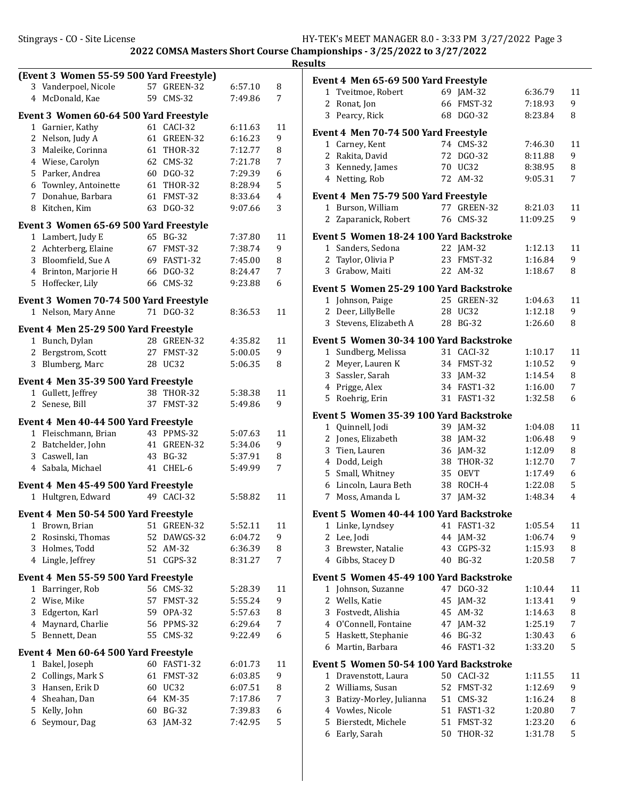|                |                                                            |    |             |         |                | <b>Results</b> |
|----------------|------------------------------------------------------------|----|-------------|---------|----------------|----------------|
|                | (Event 3 Women 55-59 500 Yard Freestyle)                   |    |             |         |                | Eve            |
|                | 3 Vanderpoel, Nicole                                       |    | 57 GREEN-32 | 6:57.10 | 8              |                |
|                | 4 McDonald, Kae                                            |    | 59 CMS-32   | 7:49.86 | 7              |                |
|                | Event 3 Women 60-64 500 Yard Freestyle                     |    |             |         |                |                |
|                | 1 Garnier, Kathy                                           |    | 61 CACI-32  | 6:11.63 | 11             | Eve            |
|                | 2 Nelson, Judy A                                           |    | 61 GREEN-32 | 6:16.23 | 9              |                |
|                | 3 Maleike, Corinna                                         |    | 61 THOR-32  | 7:12.77 | 8              |                |
|                | 4 Wiese, Carolyn                                           |    | 62 CMS-32   | 7:21.78 | 7              |                |
|                | 5 Parker, Andrea                                           |    | 60 DGO-32   | 7:29.39 | 6              |                |
|                | 6 Townley, Antoinette                                      |    | 61 THOR-32  | 8:28.94 | 5              |                |
|                | 7 Donahue, Barbara                                         |    | 61 FMST-32  | 8:33.64 | $\overline{4}$ | Eve            |
|                | 8 Kitchen, Kim                                             |    | 63 DGO-32   | 9:07.66 | 3              |                |
|                | Event 3 Women 65-69 500 Yard Freestyle                     |    |             |         |                |                |
|                | 1 Lambert, Judy E                                          |    | 65 BG-32    | 7:37.80 | 11             | Eve            |
|                | 2 Achterberg, Elaine                                       |    | 67 FMST-32  | 7:38.74 | 9              |                |
|                | 3 Bloomfield, Sue A                                        |    | 69 FAST1-32 | 7:45.00 | 8              |                |
|                | 4 Brinton, Marjorie H                                      |    | 66 DGO-32   | 8:24.47 | 7              |                |
|                | 5 Hoffecker, Lily                                          |    | 66 CMS-32   | 9:23.88 | 6              | Eve            |
|                | Event 3 Women 70-74 500 Yard Freestyle                     |    |             |         |                |                |
|                | 1 Nelson, Mary Anne                                        |    | 71 DGO-32   | 8:36.53 | 11             |                |
|                |                                                            |    |             |         |                |                |
|                | Event 4 Men 25-29 500 Yard Freestyle                       |    |             |         |                |                |
|                | 1 Bunch, Dylan                                             |    | 28 GREEN-32 | 4:35.82 | 11             | Eve            |
|                | 2 Bergstrom, Scott                                         |    | 27 FMST-32  | 5:00.05 | 9              |                |
|                | 3 Blumberg, Marc                                           |    | 28 UC32     | 5:06.35 | 8              |                |
|                | Event 4 Men 35-39 500 Yard Freestyle                       |    |             |         |                |                |
|                | 1 Gullett, Jeffrey                                         |    | 38 THOR-32  | 5:38.38 | 11             |                |
|                | 2 Senese, Bill                                             |    | 37 FMST-32  | 5:49.86 | 9              |                |
|                | Event 4 Men 40-44 500 Yard Freestyle                       |    |             |         |                | Eve            |
|                | 1 Fleischmann, Brian                                       |    | 43 PPMS-32  | 5:07.63 | 11             |                |
|                | 2 Batchelder, John                                         |    | 41 GREEN-32 | 5:34.06 | 9              |                |
|                | 3 Caswell, Ian                                             |    | 43 BG-32    | 5:37.91 | 8              |                |
|                | 4 Sabala, Michael                                          |    | 41 CHEL-6   | 5:49.99 | 7              |                |
|                |                                                            |    |             |         |                |                |
|                | Event 4 Men 45-49 500 Yard Freestyle<br>1 Hultgren, Edward |    | 49 CACI-32  | 5:58.82 | 11             |                |
|                |                                                            |    |             |         |                |                |
|                | Event 4 Men 50-54 500 Yard Freestyle                       |    |             |         |                | Eve            |
|                | 1 Brown, Brian                                             |    | 51 GREEN-32 | 5:52.11 | 11             |                |
|                | 2 Rosinski, Thomas                                         |    | 52 DAWGS-32 | 6:04.72 | 9              |                |
|                | 3 Holmes, Todd                                             |    | 52 AM-32    | 6:36.39 | 8              |                |
|                | 4 Lingle, Jeffrey                                          | 51 | CGPS-32     | 8:31.27 | 7              |                |
|                | Event 4 Men 55-59 500 Yard Freestyle                       |    |             |         |                | Eve            |
|                | 1 Barringer, Rob                                           |    | 56 CMS-32   | 5:28.39 | 11             |                |
|                | 2 Wise, Mike                                               |    | 57 FMST-32  | 5:55.24 | 9              |                |
| 3              | Edgerton, Karl                                             |    | 59 OPA-32   | 5:57.63 | 8              |                |
| 4              | Maynard, Charlie                                           |    | 56 PPMS-32  | 6:29.64 | 7              |                |
|                | 5 Bennett, Dean                                            |    | 55 CMS-32   | 9:22.49 | 6              |                |
|                | Event 4 Men 60-64 500 Yard Freestyle                       |    |             |         |                |                |
|                | 1 Bakel, Joseph                                            |    | 60 FAST1-32 | 6:01.73 | 11             | Eve            |
| $\overline{2}$ | Collings, Mark S                                           |    | 61 FMST-32  | 6:03.85 | 9              |                |
|                | 3 Hansen, Erik D                                           |    | 60 UC32     | 6:07.51 | 8              |                |
| $\overline{4}$ | Sheahan, Dan                                               |    | 64 KM-35    | 7:17.86 | 7              |                |
| 5.             | Kelly, John                                                |    | 60 BG-32    | 7:39.83 | 6              |                |
| 6              | Seymour, Dag                                               | 63 | JAM-32      | 7:42.95 | 5              |                |
|                |                                                            |    |             |         |                |                |

|                | Event 4 Men 65-69 500 Yard Freestyle     |    |                       |          |    |
|----------------|------------------------------------------|----|-----------------------|----------|----|
|                | 1 Tveitmoe, Robert                       |    | 69 JAM-32             | 6:36.79  | 11 |
|                | 2 Ronat, Jon                             | 66 | FMST-32               | 7:18.93  | 9  |
|                | 3 Pearcy, Rick                           |    | 68 DGO-32             | 8:23.84  | 8  |
|                | Event 4 Men 70-74 500 Yard Freestyle     |    |                       |          |    |
|                | 1 Carney, Kent                           |    | 74 CMS-32             | 7:46.30  | 11 |
|                | 2 Rakita, David                          | 72 | DGO-32                | 8:11.88  | 9  |
|                | 3 Kennedy, James                         |    | 70 UC32               | 8:38.95  | 8  |
|                | 4 Netting, Rob                           | 72 | $AM-32$               | 9:05.31  | 7  |
|                | Event 4 Men 75-79 500 Yard Freestyle     |    |                       |          |    |
|                | 1 Burson, William                        |    | 77 GREEN-32           | 8:21.03  | 11 |
|                | 2 Zaparanick, Robert                     |    | 76 CMS-32             | 11:09.25 | 9  |
|                | Event 5 Women 18-24 100 Yard Backstroke  |    |                       |          |    |
| 1              | Sanders, Sedona                          |    | 22 JAM-32             | 1:12.13  | 11 |
| $\overline{2}$ | Taylor, Olivia P                         | 23 | FMST-32               | 1:16.84  | 9  |
|                | 3 Grabow, Maiti                          |    | 22 AM-32              | 1:18.67  | 8  |
|                | Event 5 Women 25-29 100 Yard Backstroke  |    |                       |          |    |
|                | 1 Johnson, Paige                         |    | 25 GREEN-32           | 1:04.63  | 11 |
| $\overline{2}$ | Deer, LillyBelle                         |    | 28 UC32               | 1:12.18  | 9  |
|                | 3 Stevens, Elizabeth A                   | 28 | <b>BG-32</b>          | 1:26.60  | 8  |
|                | Event 5 Women 30-34 100 Yard Backstroke  |    |                       |          |    |
|                | 1 Sundberg, Melissa                      |    | 31 CACI-32            | 1:10.17  | 11 |
|                | 2 Meyer, Lauren K                        |    | 34 FMST-32            | 1:10.52  | 9  |
|                | 3 Sassler, Sarah                         | 33 | JAM-32                | 1:14.54  | 8  |
|                | 4 Prigge, Alex                           |    | 34 FAST1-32           | 1:16.00  | 7  |
| 5              | Roehrig, Erin                            | 31 | <b>FAST1-32</b>       | 1:32.58  | 6  |
|                | Event 5  Women 35-39 100 Yard Backstroke |    |                       |          |    |
| $\mathbf{1}$   | Quinnell, Jodi                           |    | 39 JAM-32             | 1:04.08  | 11 |
| $\overline{2}$ | Jones, Elizabeth                         | 38 | JAM-32                | 1:06.48  | 9  |
| 3              | Tien, Lauren                             |    | 36 JAM-32             | 1:12.09  | 8  |
|                | 4 Dodd, Leigh                            |    | 38 THOR-32            | 1:12.70  | 7  |
|                | 5 Small, Whitney                         | 35 | <b>OEVT</b>           | 1:17.49  | 6  |
|                | 6 Lincoln, Laura Beth                    | 38 | ROCH-4                | 1:22.08  | 5  |
| 7              | Moss, Amanda L                           | 37 | $IAM-32$              | 1:48.34  | 4  |
|                | Event 5 Women 40-44 100 Yard Backstroke  |    |                       |          |    |
| 1              | Linke, Lyndsey                           | 41 | FAST <sub>1</sub> -32 | 1:05.54  | 11 |
| 2              | Lee, Jodi                                | 44 | JAM-32                | 1:06.74  | 9  |
| 3              | Brewster, Natalie                        | 43 | CGPS-32               | 1:15.93  | 8  |
| $\overline{4}$ | Gibbs, Stacey D                          | 40 | <b>BG-32</b>          | 1:20.58  | 7  |
|                | Event 5  Women 45-49 100 Yard Backstroke |    |                       |          |    |
| 1              | Johnson, Suzanne                         | 47 | DGO-32                | 1:10.44  | 11 |
| $\overline{2}$ | Wells, Katie                             | 45 | $JAM-32$              | 1:13.41  | 9  |
| 3              | Fostvedt, Alishia                        | 45 | AM-32                 | 1:14.63  | 8  |
| 4              | O'Connell, Fontaine                      | 47 | JAM-32                | 1:25.19  | 7  |
| 5              | Haskett, Stephanie                       | 46 | <b>BG-32</b>          | 1:30.43  | 6  |
| 6              | Martin, Barbara                          | 46 | <b>FAST1-32</b>       | 1:33.20  | 5  |
|                | Event 5  Women 50-54 100 Yard Backstroke |    |                       |          |    |
| 1              | Dravenstott, Laura                       |    | 50 CACI-32            | 1:11.55  | 11 |
| 2              | Williams, Susan                          | 52 | FMST-32               | 1:12.69  | 9  |
| 3              | Batizy-Morley, Julianna                  | 51 | $CMS-32$              | 1:16.24  | 8  |
| $\overline{4}$ | Vowles, Nicole                           | 51 | <b>FAST1-32</b>       | 1:20.80  | 7  |
| 5              | Bierstedt, Michele                       | 51 | FMST-32               | 1:23.20  | 6  |
| 6              | Early, Sarah                             | 50 | <b>THOR-32</b>        | 1:31.78  | 5  |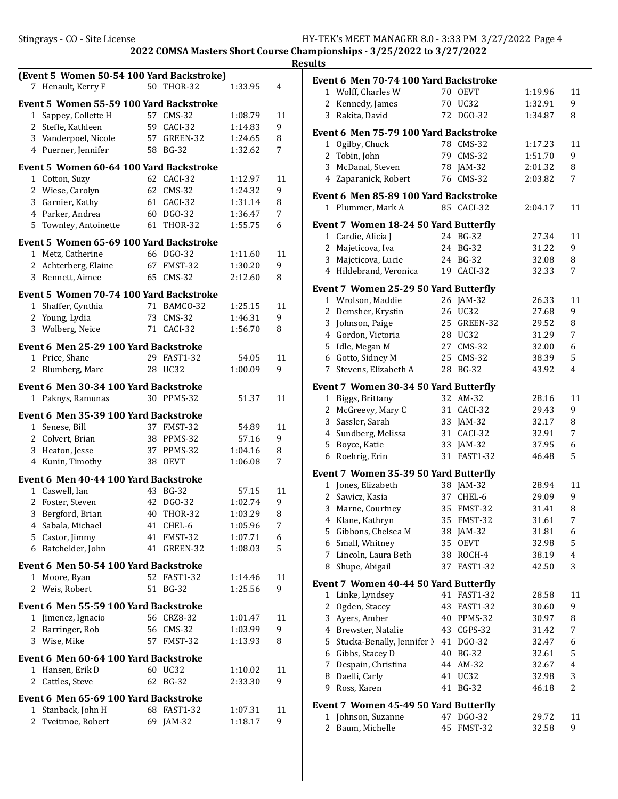|                | (Event 5 Women 50-54 100 Yard Backstroke)<br>7 Henault, Kerry F |          | 50 THOR-32          | 1:33.95            | 4       |
|----------------|-----------------------------------------------------------------|----------|---------------------|--------------------|---------|
|                |                                                                 |          |                     |                    |         |
|                | Event 5 Women 55-59 100 Yard Backstroke                         |          |                     |                    |         |
| 1              | Sappey, Collette H                                              | 57       | <b>CMS-32</b>       | 1:08.79            | 11      |
| $\overline{c}$ | Steffe, Kathleen                                                | 59       | CACI-32             | 1:14.83            | 9       |
|                | 3 Vanderpoel, Nicole                                            | 57       | GREEN-32            | 1:24.65            | 8       |
|                | 4 Puerner, Jennifer                                             | 58       | <b>BG-32</b>        | 1:32.62            | 7       |
|                | Event 5 Women 60-64 100 Yard Backstroke                         |          |                     |                    |         |
|                | 1 Cotton, Suzy                                                  |          | 62 CACI-32          | 1:12.97            | 11      |
|                | 2 Wiese, Carolyn                                                |          | 62 CMS-32           | 1:24.32            | 9       |
|                | 3 Garnier, Kathy                                                | 61       | CACI-32             | 1:31.14            | 8       |
|                | 4 Parker, Andrea                                                | 60       | DGO-32              | 1:36.47            | 7       |
|                | 5 Townley, Antoinette                                           | 61       | <b>THOR-32</b>      | 1:55.75            | 6       |
|                | Event 5 Women 65-69 100 Yard Backstroke                         |          |                     |                    |         |
|                | 1 Metz, Catherine                                               | 66       | DGO-32              | 1:11.60            | 11      |
| 2              | Achterberg, Elaine                                              | 67       | FMST-32             | 1:30.20            | 9       |
| 3              | Bennett, Aimee                                                  | 65       | <b>CMS-32</b>       | 2:12.60            | 8       |
|                | Event 5 Women 70-74 100 Yard Backstroke                         |          |                     |                    |         |
| 1              | Shaffer, Cynthia                                                |          | 71 BAMCO-32         | 1:25.15            | 11      |
| $\overline{2}$ | Young, Lydia                                                    | 73       | $CMS-32$            | 1:46.31            | 9       |
| 3              | Wolberg, Neice                                                  | 71       | CACI-32             | 1:56.70            | 8       |
|                |                                                                 |          |                     |                    |         |
| $\mathbf{1}$   | Event 6 Men 25-29 100 Yard Backstroke<br>Price, Shane           | 29       | <b>FAST1-32</b>     | 54.05              | 11      |
| 2              | Blumberg, Marc                                                  | 28       | <b>UC32</b>         | 1:00.09            | 9       |
|                |                                                                 |          |                     |                    |         |
|                | Event 6 Men 30-34 100 Yard Backstroke                           |          |                     |                    |         |
| $1\,$          | Paknys, Ramunas                                                 |          | 30 PPMS-32          | 51.37              | 11      |
|                | Event 6 Men 35-39 100 Yard Backstroke                           |          |                     |                    |         |
|                | 1 Senese, Bill                                                  |          | 37 FMST-32          | 54.89              | 11      |
|                | 2 Colvert, Brian                                                | 38       | PPMS-32             | 57.16              | 9       |
|                | 3 Heaton, Jesse                                                 | 37       | PPMS-32             | 1:04.16            | 8       |
|                | 4 Kunin, Timothy                                                | 38       | <b>OEVT</b>         | 1:06.08            | 7       |
|                | Event 6 Men 40-44 100 Yard Backstroke                           |          |                     |                    |         |
| 1              | Caswell, Ian                                                    | 43       | $BG-32$             | 57.15              | 11      |
| 2              | Foster, Steven                                                  | 42       | DGO-32              | 1:02.74            | 9       |
| 3.             | Bergford, Brian                                                 | 40       | THOR-32             | 1:03.29            | 8       |
| 4              | Sabala, Michael                                                 | 41       | CHEL-6              | 1:05.96            | 7       |
| 5              | Castor, Jimmy                                                   | 41       | FMST-32             | 1:07.71            | 6       |
| 6              | Batchelder, John                                                | 41       | GREEN-32            | 1:08.03            | 5       |
|                | <b>Event 6 Men 50-54 100 Yard Backstroke</b>                    |          |                     |                    |         |
| 1              | Moore, Ryan                                                     | 52       | <b>FAST1-32</b>     | 1:14.46            | 11      |
| 2              | Weis, Robert                                                    | 51       | <b>BG-32</b>        | 1:25.56            | 9       |
|                |                                                                 |          |                     |                    |         |
|                | <b>Event 6 Men 55-59 100 Yard Backstroke</b>                    |          |                     |                    |         |
| 1<br>2         | Jimenez, Ignacio                                                | 56<br>56 | CRZ8-32             | 1:01.47            | 11<br>9 |
| 3              | Barringer, Rob<br>Wise, Mike                                    | 57       | $CMS-32$<br>FMST-32 | 1:03.99<br>1:13.93 | 8       |
|                |                                                                 |          |                     |                    |         |
|                | Event 6 Men 60-64 100 Yard Backstroke                           |          |                     |                    |         |
| 1              | Hansen, Erik D                                                  |          | 60 UC32             | 1:10.02            | 11      |
| 2              | Cattles, Steve                                                  | 62       | <b>BG-32</b>        | 2:33.30            | 9       |
|                | Event 6 Men 65-69 100 Yard Backstroke                           |          |                     |                    |         |
| 1              | Stanback, John H                                                | 68       | FAST1-32            | 1:07.31            | 11      |
| 2              | Tveitmoe, Robert                                                | 69       | $IAM-32$            | 1:18.17            | 9       |
|                |                                                                 |          |                     |                    |         |

|                | Event 6 Men 70-74 100 Yard Backstroke        |          |                       |                |        |
|----------------|----------------------------------------------|----------|-----------------------|----------------|--------|
|                | 1 Wolff, Charles W                           |          | 70 OEVT               | 1:19.96        | 11     |
| 2              | Kennedy, James                               | 70       | UC32                  | 1:32.91        | 9      |
| 3              | Rakita, David                                |          | 72 DGO-32             | 1:34.87        | 8      |
|                | Event 6  Men 75-79 100 Yard Backstroke       |          |                       |                |        |
| 1              | Ogilby, Chuck                                | 78       | <b>CMS-32</b>         | 1:17.23        | 11     |
| 2              | Tobin, John                                  | 79       | $CMS-32$              | 1:51.70        | 9      |
| 3              | McDanal, Steven                              | 78       | JAM-32                | 2:01.32        | 8      |
| 4              | Zaparanick, Robert                           | 76       | <b>CMS-32</b>         | 2:03.82        | 7      |
|                | Event 6 Men 85-89 100 Yard Backstroke        |          |                       |                |        |
|                | 1 Plummer, Mark A                            |          | 85 CACI-32            | 2:04.17        | 11     |
|                | <b>Event 7 Women 18-24 50 Yard Butterfly</b> |          |                       |                |        |
|                | 1 Cardie, Alicia J                           |          | 24 BG-32              | 27.34          | 11     |
|                | 2 Majeticova, Iva                            | 24       | <b>BG-32</b>          | 31.22          | 9      |
| 3              | Majeticova, Lucie                            |          | 24 BG-32              | 32.08          | 8      |
|                | 4 Hildebrand, Veronica                       | 19       | CACI-32               | 32.33          | 7      |
|                | Event 7 Women 25-29 50 Yard Butterfly        |          |                       |                |        |
|                | 1 Wrolson, Maddie                            |          | 26 JAM-32             | 26.33          | 11     |
| 2              | Demsher, Krystin                             | 26       | UC32                  | 27.68          | 9      |
| 3              | Johnson, Paige                               | 25       | GREEN-32              | 29.52          | 8      |
|                | 4 Gordon, Victoria                           |          | 28 UC32               | 31.29          | 7      |
| 5              | Idle, Megan M                                | 27       | <b>CMS-32</b>         | 32.00          | 6      |
|                | 6 Gotto, Sidney M                            | 25       | <b>CMS-32</b>         | 38.39          | 5      |
| 7 <sup>7</sup> | Stevens, Elizabeth A                         | 28       | <b>BG-32</b>          | 43.92          | 4      |
|                | <b>Event 7 Women 30-34 50 Yard Butterfly</b> |          |                       |                |        |
| 1              | Biggs, Brittany                              | 32       | AM-32                 | 28.16          | 11     |
| 2              | McGreevy, Mary C                             | 31       | CACI-32               | 29.43          | 9      |
| 3              | Sassler, Sarah                               | 33       | JAM-32                | 32.17          | 8      |
| 4              | Sundberg, Melissa                            | 31       | CACI-32               | 32.91          | 7      |
| 5              | Boyce, Katie                                 | 33       | $JAM-32$              | 37.95          | 6      |
| 6              | Roehrig, Erin                                | 31       | FAST1-32              | 46.48          | 5      |
|                | <b>Event 7 Women 35-39 50 Yard Butterfly</b> |          |                       |                |        |
|                | 1 Jones, Elizabeth                           |          | 38 JAM-32             | 28.94          | 11     |
|                | 2 Sawicz, Kasia                              | 37       | CHEL-6                | 29.09          | 9      |
| 3              | Marne, Courtney                              | 35       | FMST-32               | 31.41          | 8      |
|                | 4 Klane, Kathryn                             | 35       | FMST-32               | 31.61          | 7      |
| 5              | Gibbons, Chelsea M                           |          | 38 JAM-32             | 31.81          | 6      |
| 6              | Small, Whitney                               | 35       | <b>OEVT</b>           | 32.98          | 5      |
| 7              | Lincoln, Laura Beth                          | 38       | ROCH-4                | 38.19          | 4      |
| 8              | Shupe, Abigail                               | 37       | FAST1-32              | 42.50          | 3      |
|                |                                              |          |                       |                |        |
|                | <b>Event 7 Women 40-44 50 Yard Butterfly</b> | 41       | FAST1-32              |                |        |
| 1<br>2         | Linke, Lyndsey                               |          |                       | 28.58<br>30.60 | 11     |
|                | Ogden, Stacey<br>3 Ayers, Amber              | 43       | <b>FAST1-32</b>       |                | 9      |
|                |                                              | 40       | PPMS-32               | 30.97          | 8      |
|                | 4 Brewster, Natalie                          | 43<br>41 | CGPS-32               | 31.42          | 7      |
| 5<br>6         | Stucka-Benally, Jennifer M                   |          | DGO-32                | 32.47          | 6      |
| 7              | Gibbs, Stacey D<br>Despain, Christina        | 40<br>44 | <b>BG-32</b><br>AM-32 | 32.61<br>32.67 | 5<br>4 |
| 8              | Daelli, Carly                                | 41       | UC32                  | 32.98          | 3      |
| 9              | Ross, Karen                                  | 41       | <b>BG-32</b>          | 46.18          | 2      |
|                |                                              |          |                       |                |        |
|                | <b>Event 7 Women 45-49 50 Yard Butterfly</b> |          |                       |                |        |
| 1              | Johnson, Suzanne                             | 47       | DGO-32                | 29.72          | 11     |
| $\overline{2}$ | Baum, Michelle                               | 45       | FMST-32               | 32.58          | 9      |
|                |                                              |          |                       |                |        |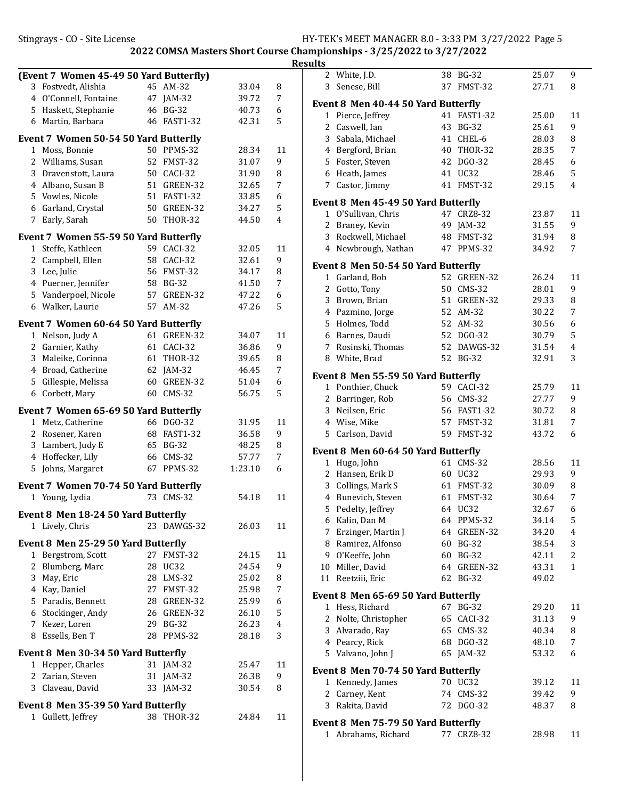Stingrays - CO - Site License **HY-TEK's MEET MANAGER 8.0** - 3:33 PM 3/27/2022 Page 5

|              |                                                           |    |                            |                | R       |
|--------------|-----------------------------------------------------------|----|----------------------------|----------------|---------|
|              | (Event 7 Women 45-49 50 Yard Butterfly)                   |    |                            |                |         |
|              | 3 Fostvedt, Alishia                                       |    | 45 AM-32                   | 33.04          | 8       |
|              | 4 O'Connell, Fontaine                                     |    | 47 JAM-32                  | 39.72          | 7       |
|              | 5 Haskett, Stephanie                                      |    | 46 BG-32                   | 40.73          | 6       |
|              | 6 Martin, Barbara                                         |    | 46 FAST1-32                | 42.31          | 5       |
|              | Event 7 Women 50-54 50 Yard Butterfly                     |    |                            |                |         |
|              | 1 Moss, Bonnie                                            |    | 50 PPMS-32                 | 28.34          | 11      |
|              | 2 Williams, Susan                                         |    | 52 FMST-32                 | 31.07          | 9       |
|              | 3 Dravenstott, Laura                                      |    | 50 CACI-32                 | 31.90          | 8       |
|              | 4 Albano, Susan B                                         |    | 51 GREEN-32                | 32.65          | 7       |
|              | 5 Vowles, Nicole                                          |    | 51 FAST1-32                | 33.85          | 6       |
|              | 6 Garland, Crystal                                        |    | 50 GREEN-32                | 34.27          | 5       |
|              | 7 Early, Sarah                                            |    | 50 THOR-32                 | 44.50          | 4       |
|              | Event 7 Women 55-59 50 Yard Butterfly                     |    |                            |                |         |
|              | 1 Steffe, Kathleen                                        |    | 59 CACI-32                 | 32.05          | 11      |
|              | 2 Campbell, Ellen                                         |    | 58 CACI-32                 | 32.61          | 9       |
|              | 3 Lee, Julie                                              |    | 56 FMST-32                 | 34.17          | 8       |
|              | 4 Puerner, Jennifer                                       |    | 58 BG-32                   | 41.50          | 7       |
|              | 5 Vanderpoel, Nicole                                      |    | 57 GREEN-32                | 47.22          | 6       |
|              | 6 Walker, Laurie                                          |    | 57 AM-32                   | 47.26          | 5       |
|              |                                                           |    |                            |                |         |
|              | Event 7 Women 60-64 50 Yard Butterfly<br>1 Nelson, Judy A |    | 61 GREEN-32                | 34.07          | 11      |
|              | 2 Garnier, Kathy                                          |    | 61 CACI-32                 | 36.86          | 9       |
|              | 3 Maleike, Corinna                                        |    | 61 THOR-32                 | 39.65          | 8       |
|              | 4 Broad, Catherine                                        |    | 62 JAM-32                  | 46.45          | 7       |
|              | 5 Gillespie, Melissa                                      |    | 60 GREEN-32                | 51.04          | 6       |
|              | 6 Corbett, Mary                                           |    | 60 CMS-32                  | 56.75          | 5       |
|              |                                                           |    |                            |                |         |
|              | Event 7 Women 65-69 50 Yard Butterfly                     |    |                            |                |         |
|              | 1 Metz, Catherine                                         |    | 66 DGO-32                  | 31.95          | 11      |
|              | 2 Rosener, Karen                                          |    | 68 FAST1-32                | 36.58          | 9       |
|              | 3 Lambert, Judy E                                         |    | 65 BG-32                   | 48.25          | 8       |
|              | 4 Hoffecker, Lily                                         |    | 66 CMS-32                  | 57.77          | 7       |
| 5            | Johns, Margaret                                           |    | 67 PPMS-32                 | 1:23.10        | 6       |
|              | Event 7 Women 70-74 50 Yard Butterfly                     |    |                            |                |         |
|              | 1 Young, Lydia                                            |    | 73 CMS-32                  | 54.18          | 11      |
|              | Event 8 Men 18-24 50 Yard Butterfly                       |    |                            |                |         |
| 1            | Lively, Chris                                             |    | 23 DAWGS-32                | 26.03          | 11      |
|              |                                                           |    |                            |                |         |
|              | Event 8 Men 25-29 50 Yard Butterfly                       | 27 |                            |                |         |
| 1<br>2       | Bergstrom, Scott                                          |    | FMST-32<br>28 UC32         | 24.15<br>24.54 | 11<br>9 |
|              | Blumberg, Marc                                            |    |                            |                |         |
|              | 3 May, Eric<br>4 Kay, Daniel                              |    | 28 LMS-32                  | 25.02          | 8<br>7  |
|              | 5 Paradis, Bennett                                        |    | 27 FMST-32                 | 25.98          |         |
|              |                                                           |    | 28 GREEN-32<br>26 GREEN-32 | 25.99<br>26.10 | 6<br>5  |
|              | 6 Stockinger, Andy<br>7 Kezer, Loren                      |    | 29 BG-32                   | 26.23          | 4       |
|              | 8 Essells, Ben T                                          |    | 28 PPMS-32                 | 28.18          | 3       |
|              |                                                           |    |                            |                |         |
|              | Event 8 Men 30-34 50 Yard Butterfly                       |    |                            |                |         |
| 1            | Hepper, Charles                                           |    | 31 JAM-32                  | 25.47          | 11      |
| 2            | Zarian, Steven                                            |    | 31 JAM-32                  | 26.38          | 9       |
|              | 3 Claveau, David                                          |    | 33 JAM-32                  | 30.54          | 8       |
|              | Event 8 Men 35-39 50 Yard Butterfly                       |    |                            |                |         |
| $\mathbf{1}$ | Gullett, Jeffrey                                          | 38 | <b>THOR-32</b>             | 24.84          | 11      |

| ılts |                                            |    |              |       |                         |
|------|--------------------------------------------|----|--------------|-------|-------------------------|
| 2    | White, J.D.                                |    | 38 BG-32     | 25.07 | 9                       |
| 3    | Senese, Bill                               |    | 37 FMST-32   | 27.71 | 8                       |
|      | Event 8 Men 40-44 50 Yard Butterfly        |    |              |       |                         |
| 1    | Pierce, Jeffrey                            |    | 41 FAST1-32  | 25.00 | 11                      |
| 2    | Caswell, Ian                               |    | 43 BG-32     | 25.61 | 9                       |
|      | 3 Sabala, Michael                          |    | 41 CHEL-6    | 28.03 | 8                       |
|      | 4 Bergford, Brian                          |    | 40 THOR-32   | 28.35 | 7                       |
|      |                                            |    |              |       |                         |
|      | 5 Foster, Steven                           |    | 42 DGO-32    | 28.45 | 6                       |
|      | 6 Heath, James                             |    | 41 UC32      | 28.46 | 5                       |
|      | 7 Castor, Jimmy                            |    | 41 FMST-32   | 29.15 | 4                       |
|      | Event 8 Men 45-49 50 Yard Butterfly        |    |              |       |                         |
| 1    | O'Sullivan, Chris                          | 47 | CRZ8-32      | 23.87 | 11                      |
| 2    | Braney, Kevin                              |    | 49 JAM-32    | 31.55 | 9                       |
|      | 3 Rockwell, Michael                        |    | 48 FMST-32   | 31.94 | 8                       |
|      | 4 Newbrough, Nathan                        |    | 47 PPMS-32   | 34.92 | 7                       |
|      | Event 8 Men 50-54 50 Yard Butterfly        |    |              |       |                         |
|      | 1 Garland, Bob                             |    | 52 GREEN-32  | 26.24 | 11                      |
|      |                                            |    |              |       |                         |
|      | 2 Gotto, Tony                              |    | 50 CMS-32    | 28.01 | 9                       |
| 3    | Brown, Brian                               |    | 51 GREEN-32  | 29.33 | 8                       |
|      | 4 Pazmino, Jorge                           |    | 52 AM-32     | 30.22 | 7                       |
|      | 5 Holmes, Todd                             |    | 52 AM-32     | 30.56 | 6                       |
|      | 6 Barnes, Daudi                            |    | 52 DGO-32    | 30.79 | 5                       |
| 7    | Rosinski, Thomas                           |    | 52 DAWGS-32  | 31.54 | 4                       |
|      | 8 White, Brad                              |    | 52 BG-32     | 32.91 | 3                       |
|      | <b>Event 8 Men 55-59 50 Yard Butterfly</b> |    |              |       |                         |
|      | 1 Ponthier, Chuck                          |    | 59 CACI-32   | 25.79 | 11                      |
|      | 2 Barringer, Rob                           |    | 56 CMS-32    | 27.77 | 9                       |
|      | 3 Neilsen, Eric                            |    | 56 FAST1-32  | 30.72 | 8                       |
|      | 4 Wise, Mike                               |    | 57 FMST-32   | 31.81 | 7                       |
|      | 5 Carlson, David                           |    | 59 FMST-32   | 43.72 | 6                       |
|      |                                            |    |              |       |                         |
|      | Event 8 Men 60-64 50 Yard Butterfly        |    |              |       |                         |
| 1    | Hugo, John                                 |    | 61 CMS-32    | 28.56 | 11                      |
|      | 2 Hansen, Erik D                           |    | 60 UC32      | 29.93 | 9                       |
|      | 3 Collings, Mark S                         |    | 61 FMST-32   | 30.09 | 8                       |
| 4    | Bunevich, Steven                           |    | 61 FMST-32   | 30.64 | 7                       |
| 5    | Pedelty, Jeffrey                           |    | 64 UC32      | 32.67 | 6                       |
|      | 6 Kalin, Dan M                             |    | 64 PPMS-32   | 34.14 | 5                       |
| 7    | Erzinger, Martin J                         |    | 64 GREEN-32  | 34.20 | $\overline{\mathbf{4}}$ |
| 8    | Ramirez, Alfonso                           |    | 60 BG-32     | 38.54 | 3                       |
| 9    | O'Keeffe, John                             |    | 60 BG-32     | 42.11 | 2                       |
| 10   | Miller, David                              |    | 64 GREEN-32  | 43.31 | 1                       |
| 11   | Reetziii, Eric                             |    | 62 BG-32     | 49.02 |                         |
|      |                                            |    |              |       |                         |
|      | Event 8 Men 65-69 50 Yard Butterfly        |    |              |       |                         |
| 1    | Hess, Richard                              | 67 | <b>BG-32</b> | 29.20 | 11                      |
| 2    | Nolte, Christopher                         | 65 | CACI-32      | 31.13 | 9                       |
| 3    | Alvarado, Ray                              |    | 65 CMS-32    | 40.34 | 8                       |
| 4    | Pearcy, Rick                               |    | 68 DGO-32    | 48.10 | 7                       |
| 5    | Valvano, John J                            |    | 65 JAM-32    | 53.32 | 6                       |
|      | Event 8 Men 70-74 50 Yard Butterfly        |    |              |       |                         |
| 1    | Kennedy, James                             |    | 70 UC32      | 39.12 | 11                      |
| 2    | Carney, Kent                               | 74 | $CMS-32$     | 39.42 | 9                       |
| 3    | Rakita, David                              |    | 72 DGO-32    | 48.37 | 8                       |
|      |                                            |    |              |       |                         |
|      | Event 8 Men 75-79 50 Yard Butterfly        |    |              |       |                         |
| 1    | Abrahams, Richard                          | 77 | CRZ8-32      | 28.98 | 11                      |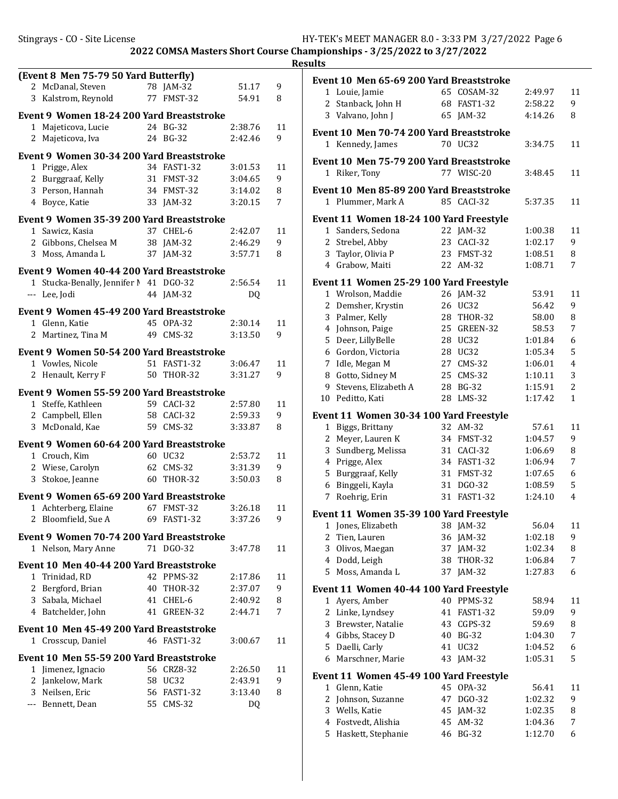| (Event 8 Men 75-79 50 Yard Butterfly)            |    |                    |                    |         |
|--------------------------------------------------|----|--------------------|--------------------|---------|
| 2 McDanal, Steven                                |    | 78 JAM-32          | 51.17              | 9       |
| 3 Kalstrom, Reynold                              |    | 77 FMST-32         | 54.91              | 8       |
| Event 9 Women 18-24 200 Yard Breaststroke        |    |                    |                    |         |
| 1<br>Majeticova, Lucie                           |    | 24 BG-32           | 2:38.76            | 11      |
| 2<br>Majeticova, Iva                             | 24 | BG-32              | 2:42.46            | 9       |
| <b>Event 9 Women 30-34 200 Yard Breaststroke</b> |    |                    |                    |         |
| 1<br>Prigge, Alex                                |    | 34 FAST1-32        | 3:01.53            | 11      |
| 2<br>Burggraaf, Kelly                            | 31 | FMST-32            | 3:04.65            | 9       |
| 3 Person, Hannah                                 | 34 | FMST-32            | 3:14.02            | 8       |
| 4 Boyce, Katie                                   | 33 | $IAM-32$           | 3:20.15            | 7       |
|                                                  |    |                    |                    |         |
| Event 9 Women 35-39 200 Yard Breaststroke        |    |                    |                    |         |
| 1 Sawicz, Kasia                                  |    | 37 CHEL-6          | 2:42.07            | 11      |
| 2 Gibbons, Chelsea M                             | 38 | $JAM-32$           | 2:46.29            | 9       |
| 3 Moss, Amanda L                                 | 37 | $IAM-32$           | 3:57.71            | 8       |
| <b>Event 9 Women 40-44 200 Yard Breaststroke</b> |    |                    |                    |         |
| Stucka-Benally, Jennifer N<br>$1\,$              |    | 41 DGO-32          | 2:56.54            | 11      |
| --- Lee, Jodi                                    | 44 | JAM-32             | DO.                |         |
| Event 9 Women 45-49 200 Yard Breaststroke        |    |                    |                    |         |
| 1 Glenn, Katie                                   |    | 45 OPA-32          | 2:30.14            | 11      |
| $\overline{2}$<br>Martinez, Tina M               | 49 | $CMS-32$           | 3:13.50            | 9       |
|                                                  |    |                    |                    |         |
| Event 9 Women 50-54 200 Yard Breaststroke        |    |                    |                    |         |
| 1 Vowles, Nicole                                 | 51 | FAST1-32           | 3:06.47            | 11      |
| $\mathbf{2}$<br>Henault, Kerry F                 | 50 | <b>THOR-32</b>     | 3:31.27            | 9       |
| Event 9 Women 55-59 200 Yard Breaststroke        |    |                    |                    |         |
| Steffe, Kathleen<br>1                            |    | 59 CACI-32         | 2:57.80            | 11      |
| 2 Campbell, Ellen                                |    | 58 CACI-32         | 2:59.33            | 9       |
| McDonald, Kae<br>3                               | 59 | $CMS-32$           | 3:33.87            | 8       |
| Event 9 Women 60-64 200 Yard Breaststroke        |    |                    |                    |         |
| 1 Crouch, Kim                                    |    | 60 UC32            | 2:53.72            | 11      |
| 2 Wiese, Carolyn                                 | 62 | $CMS-32$           | 3:31.39            | 9       |
| 3 Stokoe, Jeanne                                 | 60 | <b>THOR-32</b>     | 3:50.03            | 8       |
| Event 9  Women 65-69 200 Yard Breaststroke       |    |                    |                    |         |
| 1 Achterberg, Elaine                             |    | 67 FMST-32         | 3:26.18            | 11      |
| 2 Bloomfield, Sue A                              |    | 69 FAST1-32        | 3:37.26            | 9       |
|                                                  |    |                    |                    |         |
| Event 9 Women 70-74 200 Yard Breaststroke        |    |                    |                    |         |
| 1 Nelson, Mary Anne                              |    | 71 DGO-32          | 3:47.78            | 11      |
| <b>Event 10 Men 40-44 200 Yard Breaststroke</b>  |    |                    |                    |         |
| 1 Trinidad, RD                                   |    | 42 PPMS-32         | 2:17.86            | 11      |
| $\overline{2}$<br>Bergford, Brian                | 40 | THOR-32            | 2:37.07            | 9       |
| 3<br>Sabala, Michael                             | 41 | CHEL-6             | 2:40.92            | 8       |
| 4 Batchelder, John                               | 41 | GREEN-32           | 2:44.71            | 7       |
| Event 10 Men 45-49 200 Yard Breaststroke         |    |                    |                    |         |
| Crosscup, Daniel<br>$1\,$                        |    | 46 FAST1-32        | 3:00.67            | 11      |
|                                                  |    |                    |                    |         |
| Event 10 Men 55-59 200 Yard Breaststroke         |    |                    |                    |         |
| Jimenez, Ignacio<br>1<br>2                       | 58 | 56 CRZ8-32<br>UC32 | 2:26.50<br>2:43.91 | 11<br>9 |
| Jankelow, Mark<br>Neilsen, Eric<br>3             | 56 | <b>FAST1-32</b>    | 3:13.40            | 8       |
| --- Bennett, Dean                                |    | 55 CMS-32          | DQ                 |         |
|                                                  |    |                    |                    |         |

|                | Event 10 Men 65-69 200 Yard Breaststroke         |    |                 |         |                |
|----------------|--------------------------------------------------|----|-----------------|---------|----------------|
|                | 1 Louie, Jamie                                   |    | 65 COSAM-32     | 2:49.97 | 11             |
| 2              | Stanback, John H                                 | 68 | <b>FAST1-32</b> | 2:58.22 | 9              |
|                | 3 Valvano, John J                                | 65 | JAM-32          | 4:14.26 | 8              |
|                | Event 10 Men 70-74 200 Yard Breaststroke         |    |                 |         |                |
|                | 1 Kennedy, James                                 |    | 70 UC32         | 3:34.75 | 11             |
|                | Event 10 Men 75-79 200 Yard Breaststroke         |    |                 |         |                |
| $\mathbf{1}$   | Riker, Tony                                      |    | 77 WISC-20      | 3:48.45 | 11             |
|                | <b>Event 10  Men 85-89 200 Yard Breaststroke</b> |    |                 |         |                |
|                | 1 Plummer, Mark A                                |    | 85 CACI-32      | 5:37.35 | 11             |
|                | Event 11 Women 18-24 100 Yard Freestyle          |    |                 |         |                |
|                | 1 Sanders, Sedona                                |    | 22 JAM-32       | 1:00.38 | 11             |
|                | 2 Strebel, Abby                                  |    | 23 CACI-32      | 1:02.17 | 9              |
| 3              | Taylor, Olivia P                                 | 23 | FMST-32         | 1:08.51 | 8              |
|                | 4 Grabow, Maiti                                  |    | 22 AM-32        | 1:08.71 | 7              |
|                | Event 11 Women 25-29 100 Yard Freestyle          |    |                 |         |                |
|                | 1 Wrolson, Maddie                                |    | 26 JAM-32       | 53.91   | 11             |
| 2              | Demsher, Krystin                                 | 26 | UC32            | 56.42   | 9              |
| 3              | Palmer, Kelly                                    | 28 | THOR-32         | 58.00   | 8              |
| 4              | Johnson, Paige                                   |    | 25 GREEN-32     | 58.53   | 7              |
| 5              | Deer, LillyBelle                                 |    | 28 UC32         | 1:01.84 | 6              |
|                | 6 Gordon, Victoria                               |    | 28 UC32         | 1:05.34 | 5              |
| 7              | Idle, Megan M                                    |    | 27 CMS-32       | 1:06.01 | 4              |
| 8              | Gotto, Sidney M                                  |    | 25 CMS-32       | 1:10.11 | 3              |
| 9              | Stevens, Elizabeth A                             | 28 | <b>BG-32</b>    | 1:15.91 | 2              |
| 10             | Peditto, Kati                                    | 28 | $LMS-32$        | 1:17.42 | $\mathbf{1}$   |
|                | Event 11 Women 30-34 100 Yard Freestyle          |    |                 |         |                |
| 1              | Biggs, Brittany                                  | 32 | AM-32           | 57.61   | 11             |
| 2              | Meyer, Lauren K                                  |    | 34 FMST-32      | 1:04.57 | 9              |
| 3              | Sundberg, Melissa                                |    | 31 CACI-32      | 1:06.69 | 8              |
| $\overline{4}$ | Prigge, Alex                                     |    | 34 FAST1-32     | 1:06.94 | 7              |
| 5              | Burggraaf, Kelly                                 |    | 31 FMST-32      | 1:07.65 | 6              |
| 6              | Binggeli, Kayla                                  |    | 31 DGO-32       | 1:08.59 | 5              |
| 7              | Roehrig, Erin                                    | 31 | <b>FAST1-32</b> | 1:24.10 | $\overline{4}$ |
|                | Event 11 Women 35-39 100 Yard Freestyle          |    |                 |         |                |
|                | 1 Jones, Elizabeth                               |    | 38 JAM-32       | 56.04   | 11             |
| 2              | Tien, Lauren                                     |    | 36 JAM-32       | 1:02.18 | 9              |
| 3              | Olivos, Maegan                                   | 37 | JAM-32          | 1:02.34 | 8              |
| 4              | Dodd, Leigh                                      | 38 | THOR-32         | 1:06.84 | 7              |
| 5              | Moss, Amanda L                                   | 37 | $JAM-32$        | 1:27.83 | 6              |
|                | Event 11 Women 40-44 100 Yard Freestyle          |    |                 |         |                |
| 1              | Ayers, Amber                                     |    | 40 PPMS-32      | 58.94   | 11             |
|                | 2 Linke, Lyndsey                                 | 41 | <b>FAST1-32</b> | 59.09   | 9              |
|                | 3 Brewster, Natalie                              |    | 43 CGPS-32      | 59.69   | 8              |
|                | 4 Gibbs, Stacey D                                | 40 | <b>BG-32</b>    | 1:04.30 | 7              |
|                | 5 Daelli, Carly                                  | 41 | <b>UC32</b>     | 1:04.52 | 6              |
| 6              | Marschner, Marie                                 | 43 | JAM-32          | 1:05.31 | 5              |
|                | Event 11 Women 45-49 100 Yard Freestyle          |    |                 |         |                |
| 1              | Glenn, Katie                                     | 45 | OPA-32          | 56.41   | 11             |
| 2              | Johnson, Suzanne                                 | 47 | DGO-32          | 1:02.32 | 9              |
| 3              | Wells, Katie                                     | 45 | JAM-32          | 1:02.35 | 8              |
| 4              | Fostvedt, Alishia                                | 45 | AM-32           | 1:04.36 | 7              |
| 5              | Haskett, Stephanie                               | 46 | <b>BG-32</b>    | 1:12.70 | 6              |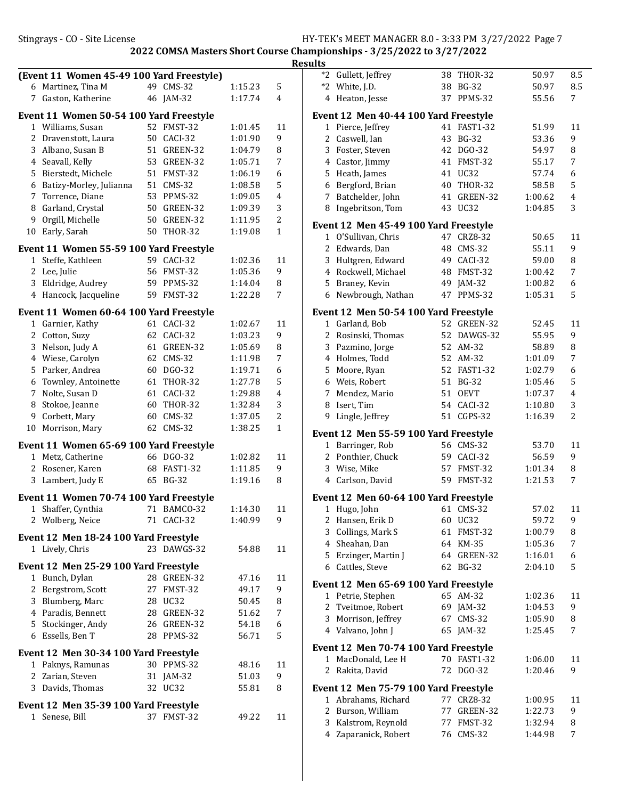|    |                                           |             |                |         |              | <b>Results</b> |                                                             |             |         |         |
|----|-------------------------------------------|-------------|----------------|---------|--------------|----------------|-------------------------------------------------------------|-------------|---------|---------|
|    | (Event 11 Women 45-49 100 Yard Freestyle) |             |                |         |              |                | *2 Gullett, Jeffrey                                         | 38 THOR-32  | 50.97   | 8.5     |
|    | 6 Martinez, Tina M                        | 49 CMS-32   |                | 1:15.23 | 5            |                | *2 White, J.D.                                              | 38 BG-32    | 50.97   | 8.5     |
|    | 7 Gaston, Katherine                       | 46 JAM-32   |                | 1:17.74 | 4            |                | 4 Heaton, Jesse                                             | 37 PPMS-32  | 55.56   | 7       |
|    | Event 11 Women 50-54 100 Yard Freestyle   |             |                |         |              |                | Event 12 Men 40-44 100 Yard Freestyle                       |             |         |         |
|    | 1 Williams, Susan                         | 52 FMST-32  |                | 1:01.45 | 11           |                | 1 Pierce, Jeffrey                                           | 41 FAST1-32 | 51.99   | 11      |
|    | 2 Dravenstott, Laura                      | 50 CACI-32  |                | 1:01.90 | 9            |                | 2 Caswell, Ian                                              | 43 BG-32    | 53.36   | 9       |
|    | 3 Albano, Susan B                         |             | 51 GREEN-32    | 1:04.79 | 8            |                | Foster, Steven                                              | 42 DGO-32   | 54.97   | 8       |
|    | 4 Seavall, Kelly                          |             | 53 GREEN-32    | 1:05.71 | 7            |                | 4 Castor, Jimmy                                             | 41 FMST-32  | 55.17   | 7       |
| 5. | Bierstedt, Michele                        | 51 FMST-32  |                | 1:06.19 | 6            | 5              | Heath, James                                                | 41 UC32     | 57.74   | 6       |
| 6  | Batizy-Morley, Julianna                   | 51 CMS-32   |                | 1:08.58 | 5            |                | 6 Bergford, Brian                                           | 40 THOR-32  | 58.58   | 5       |
| 7  | Torrence, Diane                           | 53 PPMS-32  |                | 1:09.05 | 4            | 7              | Batchelder, John                                            | 41 GREEN-32 | 1:00.62 | 4       |
| 8  | Garland, Crystal                          | 50          | GREEN-32       | 1:09.39 | 3            |                | 8 Ingebritson, Tom                                          | 43 UC32     | 1:04.85 | 3       |
| 9  | Orgill, Michelle                          | 50          | GREEN-32       | 1:11.95 | 2            |                | Event 12 Men 45-49 100 Yard Freestyle                       |             |         |         |
| 10 | Early, Sarah                              | 50 THOR-32  |                | 1:19.08 | $\mathbf{1}$ |                | 1 O'Sullivan, Chris                                         | 47 CRZ8-32  | 50.65   | 11      |
|    | Event 11 Women 55-59 100 Yard Freestyle   |             |                |         |              |                | 2 Edwards, Dan                                              | 48 CMS-32   | 55.11   | 9       |
|    | 1 Steffe, Kathleen                        | 59 CACI-32  |                | 1:02.36 | 11           | 3              | Hultgren, Edward                                            | 49 CACI-32  | 59.00   | 8       |
|    | 2 Lee, Julie                              | 56 FMST-32  |                | 1:05.36 | 9            |                | 4 Rockwell, Michael                                         | 48 FMST-32  | 1:00.42 | 7       |
|    | 3 Eldridge, Audrey                        | 59 PPMS-32  |                | 1:14.04 | 8            | 5              | Braney, Kevin                                               | 49 JAM-32   | 1:00.82 | 6       |
|    | 4 Hancock, Jacqueline                     | 59 FMST-32  |                | 1:22.28 | 7            |                | 6 Newbrough, Nathan                                         | 47 PPMS-32  | 1:05.31 | 5       |
|    | Event 11 Women 60-64 100 Yard Freestyle   |             |                |         |              |                | Event 12 Men 50-54 100 Yard Freestyle                       |             |         |         |
|    | 1 Garnier, Kathy                          | 61 CACI-32  |                | 1:02.67 | 11           |                | 1 Garland, Bob                                              | 52 GREEN-32 | 52.45   | 11      |
|    | 2 Cotton, Suzy                            | 62 CACI-32  |                | 1:03.23 | 9            |                | 2 Rosinski, Thomas                                          | 52 DAWGS-32 | 55.95   | 9       |
|    | 3 Nelson, Judy A                          |             | 61 GREEN-32    | 1:05.69 | 8            | 3              | Pazmino, Jorge                                              | 52 AM-32    | 58.89   | 8       |
|    | 4 Wiese, Carolyn                          | 62 CMS-32   |                | 1:11.98 | 7            |                | 4 Holmes, Todd                                              | 52 AM-32    | 1:01.09 | 7       |
|    | 5 Parker, Andrea                          | 60 DGO-32   |                | 1:19.71 | 6            | 5              | Moore, Ryan                                                 | 52 FAST1-32 | 1:02.79 | 6       |
| 6  | Townley, Antoinette                       | 61 THOR-32  |                | 1:27.78 | 5            |                | 6 Weis, Robert                                              | 51 BG-32    | 1:05.46 | 5       |
|    | 7 Nolte, Susan D                          | 61 CACI-32  |                | 1:29.88 | 4            | 7              | Mendez, Mario                                               | 51 OEVT     | 1:07.37 | 4       |
| 8  | Stokoe, Jeanne                            | 60          | <b>THOR-32</b> | 1:32.84 | 3            | 8              | Isert, Tim                                                  | 54 CACI-32  | 1:10.80 | 3       |
| 9  | Corbett, Mary                             | 60          | $CMS-32$       | 1:37.05 | 2            | 9              | Lingle, Jeffrey                                             | 51 CGPS-32  | 1:16.39 | 2       |
| 10 | Morrison, Mary                            | 62 CMS-32   |                | 1:38.25 | $\mathbf{1}$ |                | Event 12 Men 55-59 100 Yard Freestyle                       |             |         |         |
|    | Event 11 Women 65-69 100 Yard Freestyle   |             |                |         |              |                | 1 Barringer, Rob                                            | 56 CMS-32   | 53.70   | 11      |
|    | 1 Metz, Catherine                         | 66 DGO-32   |                | 1:02.82 | 11           |                | 2 Ponthier, Chuck                                           | 59 CACI-32  | 56.59   | 9       |
|    | 2 Rosener, Karen                          | 68 FAST1-32 |                | 1:11.85 | 9            | 3              | Wise, Mike                                                  | 57 FMST-32  | 1:01.34 | 8       |
|    | 3 Lambert, Judy E                         | 65 BG-32    |                | 1:19.16 | 8            |                | 4 Carlson, David                                            | 59 FMST-32  | 1:21.53 | 7       |
|    | Event 11 Women 70-74 100 Yard Freestyle   |             |                |         |              |                | Event 12 Men 60-64 100 Yard Freestyle                       |             |         |         |
|    | 1 Shaffer, Cynthia                        |             | 71 BAMCO-32    | 1:14.30 | 11           |                | 1 Hugo, John                                                | 61 CMS-32   | 57.02   | 11      |
|    | 2 Wolberg, Neice                          | 71 CACI-32  |                | 1:40.99 | 9            |                | 2 Hansen, Erik D                                            | 60 UC32     | 59.72   | 9       |
|    |                                           |             |                |         |              | 3              | Collings, Mark S                                            | 61 FMST-32  | 1:00.79 | 8       |
|    | Event 12 Men 18-24 100 Yard Freestyle     |             |                |         |              | 4              | Sheahan, Dan                                                | 64 KM-35    | 1:05.36 | 7       |
|    | 1 Lively, Chris                           |             | 23 DAWGS-32    | 54.88   | 11           | 5.             | Erzinger, Martin J                                          | 64 GREEN-32 | 1:16.01 | 6       |
|    | Event 12 Men 25-29 100 Yard Freestyle     |             |                |         |              |                | 6 Cattles, Steve                                            | 62 BG-32    | 2:04.10 | 5       |
|    | 1 Bunch, Dylan                            |             | 28 GREEN-32    | 47.16   | 11           |                | Event 12 Men 65-69 100 Yard Freestyle                       |             |         |         |
|    | 2 Bergstrom, Scott                        | 27 FMST-32  |                | 49.17   | 9            |                | 1 Petrie, Stephen                                           | 65 AM-32    | 1:02.36 | 11      |
|    | 3 Blumberg, Marc                          | 28 UC32     |                | 50.45   | 8            |                | 2 Tveitmoe, Robert                                          | 69 JAM-32   | 1:04.53 | 9       |
|    | 4 Paradis, Bennett                        |             | 28 GREEN-32    | 51.62   | 7            |                | 3 Morrison, Jeffrey                                         | 67 CMS-32   | 1:05.90 | 8       |
|    | 5 Stockinger, Andy                        |             | 26 GREEN-32    | 54.18   | 6            |                | 4 Valvano, John J                                           | 65 JAM-32   | 1:25.45 | 7       |
|    | 6 Essells, Ben T                          | 28 PPMS-32  |                | 56.71   | 5            |                |                                                             |             |         |         |
|    | Event 12 Men 30-34 100 Yard Freestyle     |             |                |         |              |                | Event 12 Men 70-74 100 Yard Freestyle<br>1 MacDonald, Lee H | 70 FAST1-32 | 1:06.00 |         |
|    | 1 Paknys, Ramunas                         | 30 PPMS-32  |                | 48.16   | 11           |                | 2 Rakita, David                                             | 72 DGO-32   |         | 11<br>9 |
|    | 2 Zarian, Steven                          | 31 JAM-32   |                | 51.03   | 9            |                |                                                             |             | 1:20.46 |         |
|    | 3 Davids, Thomas                          | 32 UC32     |                | 55.81   | 8            |                | Event 12 Men 75-79 100 Yard Freestyle                       |             |         |         |
|    | Event 12 Men 35-39 100 Yard Freestyle     |             |                |         |              |                | 1 Abrahams, Richard                                         | 77 CRZ8-32  | 1:00.95 | 11      |
|    | 1 Senese, Bill                            | 37 FMST-32  |                | 49.22   | 11           |                | 2 Burson, William                                           | 77 GREEN-32 | 1:22.73 | 9       |
|    |                                           |             |                |         |              |                | 3 Kalstrom, Reynold                                         | 77 FMST-32  | 1:32.94 | 8       |

| $*2$ | Gullett, Jeffrey                      | 38 | THOR-32         | 50.97   | 8.5 |
|------|---------------------------------------|----|-----------------|---------|-----|
|      | *2 White, J.D.                        | 38 | <b>BG-32</b>    | 50.97   | 8.5 |
|      | 4 Heaton, Jesse                       | 37 | PPMS-32         | 55.56   | 7   |
|      | Event 12 Men 40-44 100 Yard Freestyle |    |                 |         |     |
| 1    | Pierce, Jeffrey                       | 41 | <b>FAST1-32</b> | 51.99   | 11  |
| 2    | Caswell, Ian                          | 43 | <b>BG-32</b>    | 53.36   | 9   |
|      | 3 Foster, Steven                      | 42 | DGO-32          | 54.97   | 8   |
|      | 4 Castor, Jimmy                       |    | 41 FMST-32      | 55.17   | 7   |
| 5    | Heath, James                          |    | 41 UC32         | 57.74   | 6   |
| 6    | Bergford, Brian                       | 40 | THOR-32         | 58.58   | 5   |
|      | 7 Batchelder, John                    | 41 | GREEN-32        | 1:00.62 | 4   |
| 8    | Ingebritson, Tom                      | 43 | UC32            | 1:04.85 | 3   |
|      | Event 12 Men 45-49 100 Yard Freestyle |    |                 |         |     |
| 1    | O'Sullivan, Chris                     | 47 | CRZ8-32         | 50.65   | 11  |
|      | 2 Edwards, Dan                        | 48 | $CMS-32$        | 55.11   | 9   |
| 3    | Hultgren, Edward                      | 49 | CACI-32         | 59.00   | 8   |
|      | 4 Rockwell, Michael                   | 48 | FMST-32         | 1:00.42 | 7   |
|      | 5 Braney, Kevin                       |    | 49 JAM-32       | 1:00.82 | 6   |
| 6    | Newbrough, Nathan                     |    | 47 PPMS-32      | 1:05.31 | 5   |
|      | Event 12 Men 50-54 100 Yard Freestyle |    |                 |         |     |
|      | 1 Garland, Bob                        |    | 52 GREEN-32     | 52.45   | 11  |
|      | 2 Rosinski, Thomas                    | 52 | DAWGS-32        | 55.95   | 9   |
| 3    | Pazmino, Jorge                        | 52 | AM-32           | 58.89   | 8   |
|      | 4 Holmes, Todd                        | 52 | AM-32           | 1:01.09 | 7   |
| 5    | Moore, Ryan                           | 52 | <b>FAST1-32</b> | 1:02.79 | 6   |
|      | 6 Weis, Robert                        | 51 | <b>BG-32</b>    | 1:05.46 | 5   |
| 7    | Mendez, Mario                         | 51 | <b>OEVT</b>     | 1:07.37 | 4   |
| 8    | Isert, Tim                            | 54 | CACI-32         | 1:10.80 | 3   |
| 9    | Lingle, Jeffrey                       | 51 | CGPS-32         | 1:16.39 | 2   |
|      | Event 12 Men 55-59 100 Yard Freestyle |    |                 |         |     |
|      | 1 Barringer, Rob                      |    | 56 CMS-32       | 53.70   | 11  |
|      | 2 Ponthier, Chuck                     | 59 | CACI-32         | 56.59   | 9   |
|      | 3 Wise, Mike                          | 57 | FMST-32         | 1:01.34 | 8   |
|      | 4 Carlson, David                      | 59 | FMST-32         | 1:21.53 | 7   |
|      | Event 12 Men 60-64 100 Yard Freestyle |    |                 |         |     |
| 1    | Hugo, John                            | 61 | <b>CMS-32</b>   | 57.02   | 11  |
| 2    | Hansen, Erik D                        | 60 | UC32            | 59.72   | 9   |
| 3    | Collings, Mark S                      | 61 | FMST-32         | 1:00.79 | 8   |
| 4    | Sheahan, Dan                          | 64 | KM-35           | 1:05.36 | 7   |
| 5    | Erzinger, Martin J                    | 64 | GREEN-32        | 1:16.01 | 6   |
| 6    | Cattles, Steve                        | 62 | <b>BG-32</b>    | 2:04.10 | 5   |
|      | Event 12 Men 65-69 100 Yard Freestyle |    |                 |         |     |
| 1    | Petrie, Stephen                       |    | 65 AM-32        | 1:02.36 | 11  |
| 2    | Tveitmoe, Robert                      | 69 | $JAM-32$        | 1:04.53 | 9   |
| 3    | Morrison, Jeffrey                     | 67 | $CMS-32$        | 1:05.90 | 8   |
| 4    | Valvano, John J                       | 65 | $JAM-32$        | 1:25.45 | 7   |
|      | Event 12 Men 70-74 100 Yard Freestyle |    |                 |         |     |
| 1    | MacDonald, Lee H                      | 70 | <b>FAST1-32</b> | 1:06.00 | 11  |
| 2    | Rakita, David                         | 72 | DGO-32          | 1:20.46 | 9   |
|      | Event 12 Men 75-79 100 Yard Freestyle |    |                 |         |     |
| 1    | Abrahams, Richard                     | 77 | CRZ8-32         | 1:00.95 | 11  |
| 2    | Burson, William                       | 77 | GREEN-32        | 1:22.73 | 9   |
| 3    | Kalstrom, Reynold                     | 77 | FMST-32         | 1:32.94 | 8   |
| 4    | Zaparanick, Robert                    | 76 | <b>CMS-32</b>   | 1:44.98 | 7   |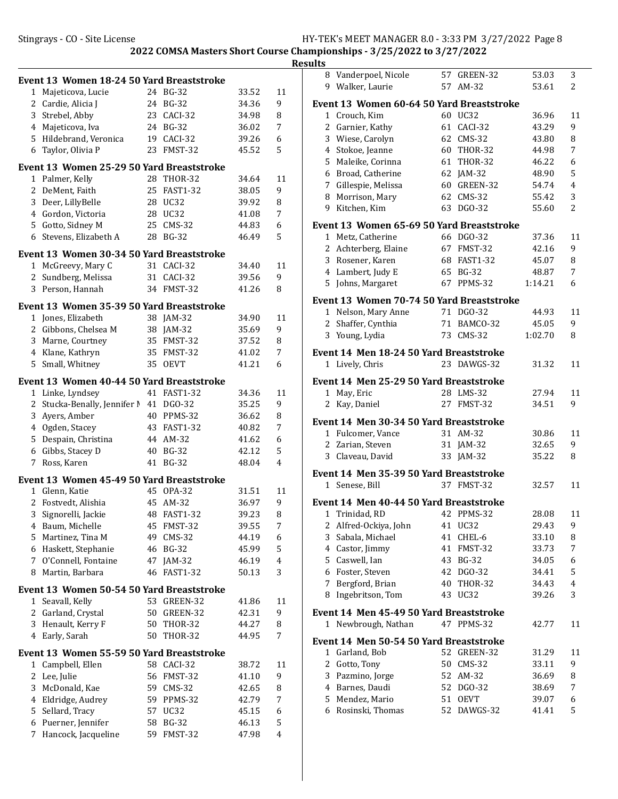|                | Event 13 Women 18-24 50 Yard Breaststroke |    |                 |       |    |
|----------------|-------------------------------------------|----|-----------------|-------|----|
| $\mathbf{1}$   | Majeticova, Lucie                         |    | 24 BG-32        | 33.52 | 11 |
|                | 2 Cardie, Alicia J                        | 24 | <b>BG-32</b>    | 34.36 | 9  |
|                | 3 Strebel, Abby                           |    | 23 CACI-32      | 34.98 | 8  |
|                | 4 Majeticova, Iva                         |    | 24 BG-32        | 36.02 | 7  |
|                | 5 Hildebrand, Veronica                    |    | 19 CACI-32      | 39.26 | 6  |
| 6              | Taylor, Olivia P                          | 23 | FMST-32         | 45.52 | 5  |
|                | Event 13 Women 25-29 50 Yard Breaststroke |    |                 |       |    |
| $1\,$          | Palmer, Kelly                             | 28 | THOR-32         | 34.64 | 11 |
| 2              | DeMent, Faith                             | 25 | <b>FAST1-32</b> | 38.05 | 9  |
| 3              | Deer, LillyBelle                          | 28 | <b>UC32</b>     | 39.92 | 8  |
|                | 4 Gordon, Victoria                        | 28 | UC32            | 41.08 | 7  |
|                | 5 Gotto, Sidney M                         | 25 | $CMS-32$        | 44.83 | 6  |
|                | 6 Stevens, Elizabeth A                    | 28 | BG-32           | 46.49 | 5  |
|                | Event 13 Women 30-34 50 Yard Breaststroke |    |                 |       |    |
|                | 1 McGreevy, Mary C                        |    | 31 CACI-32      | 34.40 | 11 |
|                | 2 Sundberg, Melissa                       | 31 | CACI-32         | 39.56 | 9  |
|                | 3 Person, Hannah                          |    | 34 FMST-32      | 41.26 | 8  |
|                |                                           |    |                 |       |    |
|                | Event 13 Women 35-39 50 Yard Breaststroke |    |                 |       |    |
| 1              | Jones, Elizabeth                          |    | 38 JAM-32       | 34.90 | 11 |
|                | 2 Gibbons, Chelsea M                      | 38 | $IAM-32$        | 35.69 | 9  |
|                | 3 Marne, Courtney                         |    | 35 FMST-32      | 37.52 | 8  |
|                | 4 Klane, Kathryn                          |    | 35 FMST-32      | 41.02 | 7  |
| 5              | Small, Whitney                            | 35 | <b>OEVT</b>     | 41.21 | 6  |
|                | Event 13 Women 40-44 50 Yard Breaststroke |    |                 |       |    |
|                | 1 Linke, Lyndsey                          |    | 41 FAST1-32     | 34.36 | 11 |
| $\overline{2}$ | Stucka-Benally, Jennifer N                | 41 | DGO-32          | 35.25 | 9  |
| 3              | Ayers, Amber                              | 40 | PPMS-32         | 36.62 | 8  |
|                | 4 Ogden, Stacey                           | 43 | <b>FAST1-32</b> | 40.82 | 7  |
| 5              | Despain, Christina                        | 44 | AM-32           | 41.62 | 6  |
|                | 6 Gibbs, Stacey D                         | 40 | <b>BG-32</b>    | 42.12 | 5  |
| 7              | Ross, Karen                               | 41 | <b>BG-32</b>    | 48.04 | 4  |
|                | Event 13 Women 45-49 50 Yard Breaststroke |    |                 |       |    |
| 1              | Glenn, Katie                              |    | 45 OPA-32       | 31.51 | 11 |
| 2              | Fostvedt, Alishia                         | 45 | AM-32           | 36.97 | 9  |
|                | 3 Signorelli, Jackie                      |    | 48 FAST1-32     | 39.23 | 8  |
|                | 4 Baum, Michelle                          |    | 45 FMST-32      | 39.55 | 7  |
| 5.             | Martinez, Tina M                          | 49 | $CMS-32$        | 44.19 | 6  |
|                | 6 Haskett, Stephanie                      | 46 | <b>BG-32</b>    | 45.99 | 5  |
| 7              | O'Connell, Fontaine                       | 47 | $JAM-32$        | 46.19 | 4  |
| 8              | Martin, Barbara                           | 46 | <b>FAST1-32</b> | 50.13 | 3  |
|                | Event 13 Women 50-54 50 Yard Breaststroke |    |                 |       |    |
| 1              | Seavall, Kelly                            |    | 53 GREEN-32     | 41.86 | 11 |
|                | 2 Garland, Crystal                        | 50 | GREEN-32        | 42.31 | 9  |
| 3              | Henault, Kerry F                          | 50 | <b>THOR-32</b>  | 44.27 | 8  |
|                | 4 Early, Sarah                            | 50 | <b>THOR-32</b>  | 44.95 | 7  |
|                | Event 13 Women 55-59 50 Yard Breaststroke |    |                 |       |    |
| 1              | Campbell, Ellen                           |    | 58 CACI-32      | 38.72 | 11 |
| 2              | Lee, Julie                                | 56 | FMST-32         | 41.10 | 9  |
| 3              | McDonald, Kae                             | 59 | <b>CMS-32</b>   | 42.65 | 8  |
| 4              | Eldridge, Audrey                          | 59 | PPMS-32         | 42.79 | 7  |
| 5              | Sellard, Tracy                            | 57 | UC32            | 45.15 | 6  |
| 6              | Puerner, Jennifer                         | 58 | <b>BG-32</b>    | 46.13 | 5  |
| 7              | Hancock, Jacqueline                       | 59 | FMST-32         | 47.98 | 4  |
|                |                                           |    |                 |       |    |

| .              |                                                              |    |                      |                |                     |
|----------------|--------------------------------------------------------------|----|----------------------|----------------|---------------------|
|                | 8 Vanderpoel, Nicole                                         |    | 57 GREEN-32          | 53.03          | 3                   |
|                | 9 Walker, Laurie                                             | 57 | AM-32                | 53.61          | 2                   |
|                |                                                              |    |                      |                |                     |
|                | Event 13 Women 60-64 50 Yard Breaststroke                    |    |                      |                |                     |
| 1              | Crouch, Kim                                                  | 60 | UC32<br>61 CACI-32   | 36.96          | 11<br>9             |
| 2<br>3         | Garnier, Kathy                                               |    |                      | 43.29<br>43.80 |                     |
| $\overline{4}$ | Wiese, Carolyn                                               |    | 62 CMS-32            |                | 8<br>7              |
|                | Stokoe, Jeanne                                               |    | 60 THOR-32           | 44.98          |                     |
| 5              | Maleike, Corinna                                             |    | 61 THOR-32           | 46.22          | 6                   |
|                | 6 Broad, Catherine                                           | 62 | $JAM-32$             | 48.90          | 5<br>$\overline{4}$ |
|                | 7 Gillespie, Melissa                                         |    | 60 GREEN-32          | 54.74          |                     |
| 8              | Morrison, Mary                                               | 63 | 62 CMS-32            | 55.42          | 3                   |
| 9              | Kitchen, Kim                                                 |    | DGO-32               | 55.60          | 2                   |
|                | Event 13 Women 65-69 50 Yard Breaststroke                    |    |                      |                |                     |
|                | 1 Metz, Catherine                                            |    | 66 DGO-32            | 37.36          | 11                  |
| 2              | Achterberg, Elaine                                           |    | 67 FMST-32           | 42.16          | 9                   |
| 3              | Rosener, Karen                                               |    | 68 FAST1-32          | 45.07          | 8                   |
| 4              | Lambert, Judy E                                              |    | 65 BG-32             | 48.87          | 7                   |
| 5.             | Johns, Margaret                                              | 67 | PPMS-32              | 1:14.21        | 6                   |
|                |                                                              |    |                      |                |                     |
|                | Event 13 Women 70-74 50 Yard Breaststroke                    |    |                      |                |                     |
|                | 1 Nelson, Mary Anne                                          |    | 71 DGO-32            | 44.93          | 11                  |
| $\overline{2}$ | Shaffer, Cynthia                                             |    | 71 BAMCO-32          | 45.05          | 9                   |
|                | 3 Young, Lydia                                               |    | 73 CMS-32            | 1:02.70        | 8                   |
|                | Event 14 Men 18-24 50 Yard Breaststroke                      |    |                      |                |                     |
|                | 1 Lively, Chris                                              |    | 23 DAWGS-32          | 31.32          | 11                  |
|                |                                                              |    |                      |                |                     |
|                | Event 14 Men 25-29 50 Yard Breaststroke                      |    |                      |                |                     |
| 1<br>2         | May, Eric                                                    | 27 | 28 LMS-32<br>FMST-32 | 27.94<br>34.51 | 11<br>9             |
|                | Kay, Daniel                                                  |    |                      |                |                     |
|                | Event 14  Men 30-34 50 Yard Breaststroke                     |    |                      |                |                     |
|                | 1 Fulcomer, Vance                                            |    | 31 AM-32             | 30.86          | 11                  |
| $\overline{2}$ | Zarian, Steven                                               |    | 31 JAM-32            | 32.65          | 9                   |
|                | 3 Claveau, David                                             |    | 33 JAM-32            | 35.22          | 8                   |
|                | Event 14 Men 35-39 50 Yard Breaststroke                      |    |                      |                |                     |
| $\mathbf 1$    | Senese, Bill                                                 |    | 37 FMST-32           | 32.57          | 11                  |
|                |                                                              |    |                      |                |                     |
|                | Event 14 Men 40-44 50 Yard Breaststroke                      |    |                      |                |                     |
| 1              | Trinidad, RD                                                 | 42 | PPMS-32              | 28.08          | 11                  |
| 2              | Alfred-Ockiya, John                                          |    | 41 UC32              | 29.43          | 9                   |
| 3              | Sabala, Michael                                              | 41 | CHEL-6               | 33.10          | 8                   |
| $\overline{4}$ | Castor, Jimmy                                                | 41 | FMST-32              | 33.73          | 7                   |
| 5              | Caswell, Ian                                                 | 43 | <b>BG-32</b>         | 34.05          | 6                   |
| 6              | Foster, Steven                                               | 42 | DGO-32               | 34.41          | 5                   |
| 7              | Bergford, Brian                                              | 40 | <b>THOR-32</b>       | 34.43          | 4                   |
| 8              | Ingebritson, Tom                                             | 43 | UC32                 | 39.26          | 3                   |
|                |                                                              |    |                      |                |                     |
| 1              | Event 14 Men 45-49 50 Yard Breaststroke<br>Newbrough, Nathan |    | 47 PPMS-32           | 42.77          |                     |
|                |                                                              |    |                      |                | 11                  |
|                | Event 14 Men 50-54 50 Yard Breaststroke                      |    |                      |                |                     |
| 1              | Garland, Bob                                                 |    | 52 GREEN-32          | 31.29          | 11                  |
| 2              | Gotto, Tony                                                  | 50 | CMS-32               | 33.11          | 9                   |
| 3              | Pazmino, Jorge                                               | 52 | AM-32                | 36.69          | 8                   |
|                | 4 Barnes, Daudi                                              | 52 | DGO-32               | 38.69          | 7                   |
| 5              | Mendez, Mario                                                | 51 | <b>OEVT</b>          | 39.07          | 6                   |
| 6              | Rosinski, Thomas                                             | 52 | DAWGS-32             | 41.41          | 5                   |
|                |                                                              |    |                      |                |                     |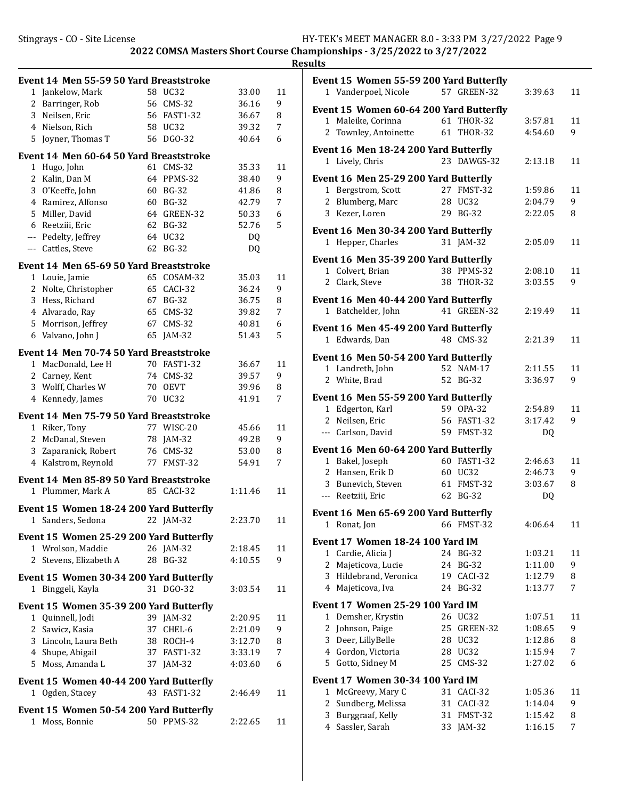|    | Event 14 Men 55-59 50 Yard Breaststroke |    |                 |         |    |
|----|-----------------------------------------|----|-----------------|---------|----|
| 1  | Jankelow, Mark                          |    | 58 UC32         | 33.00   | 11 |
|    | 2 Barringer, Rob                        |    | 56 CMS-32       | 36.16   | 9  |
|    | 3 Neilsen, Eric                         |    | 56 FAST1-32     | 36.67   | 8  |
|    | 4 Nielson, Rich                         |    | 58 UC32         | 39.32   | 7  |
| 5  | Joyner, Thomas T                        |    | 56 DGO-32       | 40.64   | 6  |
|    |                                         |    |                 |         |    |
|    | Event 14 Men 60-64 50 Yard Breaststroke |    |                 |         |    |
|    | 1 Hugo, John                            |    | 61 CMS-32       | 35.33   | 11 |
| 2  | Kalin, Dan M                            |    | 64 PPMS-32      | 38.40   | 9  |
|    | 3 O'Keeffe, John                        |    | 60 BG-32        | 41.86   | 8  |
| 4  | Ramirez, Alfonso                        |    | 60 BG-32        | 42.79   | 7  |
| 5  | Miller, David                           | 64 | GREEN-32        | 50.33   | 6  |
|    | 6 Reetziii, Eric                        |    | 62 BG-32        | 52.76   | 5  |
|    | --- Pedelty, Jeffrey                    |    | 64 UC32         | DQ.     |    |
|    | --- Cattles, Steve                      |    | 62 BG-32        | DQ      |    |
|    | Event 14 Men 65-69 50 Yard Breaststroke |    |                 |         |    |
|    | 1 Louie, Jamie                          |    | 65 COSAM-32     | 35.03   | 11 |
| 2  | Nolte, Christopher                      |    | 65 CACI-32      | 36.24   | 9  |
|    | 3 Hess, Richard                         |    | 67 BG-32        | 36.75   | 8  |
|    | 4 Alvarado, Ray                         |    | 65 CMS-32       | 39.82   | 7  |
|    | 5 Morrison, Jeffrey                     | 67 | $CMS-32$        | 40.81   | 6  |
|    | 6 Valvano, John J                       |    | 65 JAM-32       | 51.43   | 5  |
|    |                                         |    |                 |         |    |
|    | Event 14 Men 70-74 50 Yard Breaststroke |    |                 |         |    |
|    | 1 MacDonald, Lee H                      | 70 | <b>FAST1-32</b> | 36.67   | 11 |
|    | 2 Carney, Kent                          | 74 | $CMS-32$        | 39.57   | 9  |
|    | 3 Wolff, Charles W                      | 70 | <b>OEVT</b>     | 39.96   | 8  |
|    | 4 Kennedy, James                        |    | 70 UC32         | 41.91   | 7  |
|    | Event 14 Men 75-79 50 Yard Breaststroke |    |                 |         |    |
|    | 1 Riker, Tony                           |    | 77 WISC-20      | 45.66   | 11 |
|    | 2 McDanal, Steven                       |    | 78 JAM-32       | 49.28   | 9  |
|    | 3 Zaparanick, Robert                    |    | 76 CMS-32       | 53.00   | 8  |
|    | 4 Kalstrom, Reynold                     |    | 77 FMST-32      | 54.91   | 7  |
|    | Event 14 Men 85-89 50 Yard Breaststroke |    |                 |         |    |
|    | 1 Plummer, Mark A                       |    | 85 CACI-32      | 1:11.46 | 11 |
|    | Event 15 Women 18-24 200 Yard Butterfly |    |                 |         |    |
|    | 1 Sanders, Sedona 22 JAM-32             |    |                 | 2:23.70 | 11 |
|    |                                         |    |                 |         |    |
|    | Event 15 Women 25-29 200 Yard Butterfly |    |                 |         |    |
|    | 1 Wrolson, Maddie                       |    | 26 JAM-32       | 2:18.45 | 11 |
| 2  | Stevens, Elizabeth A                    |    | 28 BG-32        | 4:10.55 | 9  |
|    | Event 15 Women 30-34 200 Yard Butterfly |    |                 |         |    |
|    | 1 Binggeli, Kayla                       |    | 31 DGO-32       | 3:03.54 | 11 |
|    | Event 15 Women 35-39 200 Yard Butterfly |    |                 |         |    |
|    | 1 Quinnell, Jodi                        |    | 39 JAM-32       | 2:20.95 | 11 |
|    | 2 Sawicz, Kasia                         |    | 37 CHEL-6       | 2:21.09 | 9  |
|    | 3 Lincoln, Laura Beth                   |    | 38 ROCH-4       | 3:12.70 | 8  |
|    | 4 Shupe, Abigail                        |    | 37 FAST1-32     | 3:33.19 | 7  |
| 5. | Moss, Amanda L                          |    | 37 JAM-32       | 4:03.60 | 6  |
|    |                                         |    |                 |         |    |
|    | Event 15 Women 40-44 200 Yard Butterfly |    |                 |         |    |
|    | 1 Ogden, Stacey                         |    | 43 FAST1-32     | 2:46.49 | 11 |
|    | Event 15 Women 50-54 200 Yard Butterfly |    |                 |         |    |
|    | 1 Moss, Bonnie                          |    | 50 PPMS-32      | 2:22.65 | 11 |

| Event 15 Women 55-59 200 Yard Butterfly |    |                       |           |         |
|-----------------------------------------|----|-----------------------|-----------|---------|
| 1 Vanderpoel, Nicole                    |    | 57 GREEN-32           | 3:39.63   | 11      |
|                                         |    |                       |           |         |
| Event 15 Women 60-64 200 Yard Butterfly |    |                       |           |         |
| 1 Maleike, Corinna                      |    | 61 THOR-32            | 3:57.81   | 11      |
| Townley, Antoinette<br>2                |    | 61 THOR-32            | 4:54.60   | 9       |
| Event 16 Men 18-24 200 Yard Butterfly   |    |                       |           |         |
| 1 Lively, Chris                         |    | 23 DAWGS-32           | 2:13.18   | 11      |
|                                         |    |                       |           |         |
| Event 16 Men 25-29 200 Yard Butterfly   |    |                       | 1:59.86   |         |
| 1 Bergstrom, Scott                      |    | 27 FMST-32<br>28 UC32 |           | 11<br>9 |
| 2 Blumberg, Marc<br>3 Kezer, Loren      |    |                       | 2:04.79   |         |
|                                         |    | 29 BG-32              | 2:22.05   | 8       |
| Event 16 Men 30-34 200 Yard Butterfly   |    |                       |           |         |
| 1 Hepper, Charles                       |    | 31 JAM-32             | 2:05.09   | 11      |
| Event 16 Men 35-39 200 Yard Butterfly   |    |                       |           |         |
| 1 Colvert, Brian                        |    | 38 PPMS-32            | 2:08.10   | 11      |
| 2 Clark, Steve                          |    | 38 THOR-32            | 3:03.55   | 9       |
|                                         |    |                       |           |         |
| Event 16 Men 40-44 200 Yard Butterfly   |    |                       |           |         |
| 1 Batchelder, John                      |    | 41 GREEN-32           | 2:19.49   | 11      |
| Event 16 Men 45-49 200 Yard Butterfly   |    |                       |           |         |
| 1 Edwards, Dan                          |    | 48 CMS-32             | 2:21.39   | 11      |
|                                         |    |                       |           |         |
| Event 16 Men 50-54 200 Yard Butterfly   |    |                       |           |         |
| 1 Landreth, John                        |    | 52 NAM-17             | 2:11.55   | 11      |
| 2 White, Brad                           |    | 52 BG-32              | 3:36.97   | 9       |
| Event 16 Men 55-59 200 Yard Butterfly   |    |                       |           |         |
| 1 Edgerton, Karl                        |    | 59 OPA-32             | 2:54.89   | 11      |
| 2 Neilsen, Eric                         |    | 56 FAST1-32           | 3:17.42   | 9       |
| --- Carlson, David                      |    | 59 FMST-32            | <b>DQ</b> |         |
|                                         |    |                       |           |         |
| Event 16 Men 60-64 200 Yard Butterfly   |    |                       |           |         |
| 1 Bakel, Joseph                         |    | 60 FAST1-32           | 2:46.63   | 11      |
| 2 Hansen, Erik D                        |    | 60 UC32               | 2:46.73   | 9       |
| 3 Bunevich, Steven                      |    | 61 FMST-32            | 3:03.67   | 8       |
| --- Reetziii, Eric                      | 62 | BG-32                 | DQ        |         |
| Event 16 Men 65-69 200 Yard Butterfly   |    |                       |           |         |
| 1 Ronat, Jon 66 FMST-32                 |    |                       | 4:06.64   | 11      |
|                                         |    |                       |           |         |
| <b>Event 17 Women 18-24 100 Yard IM</b> |    |                       |           |         |
| 1 Cardie, Alicia J                      | 24 | <b>BG-32</b>          | 1:03.21   | 11      |
| 2<br>Majeticova, Lucie                  | 24 | <b>BG-32</b>          | 1:11.00   | 9       |
| 3 Hildebrand, Veronica                  | 19 | CACI-32               | 1:12.79   | 8       |
| Majeticova, Iva<br>4                    | 24 | <b>BG-32</b>          | 1:13.77   | 7       |
| <b>Event 17 Women 25-29 100 Yard IM</b> |    |                       |           |         |
| Demsher, Krystin<br>1                   |    | 26 UC32               | 1:07.51   | 11      |
| 2<br>Johnson, Paige                     | 25 | GREEN-32              | 1:08.65   | 9       |
| 3 Deer, LillyBelle                      | 28 | UC32                  | 1:12.86   | 8       |
| 4 Gordon, Victoria                      | 28 | UC32                  | 1:15.94   | 7       |
| 5 Gotto, Sidney M                       | 25 | $CMS-32$              | 1:27.02   | 6       |
|                                         |    |                       |           |         |
| <b>Event 17 Women 30-34 100 Yard IM</b> |    |                       |           |         |
| McGreevy, Mary C<br>1                   | 31 | CACI-32               | 1:05.36   | 11      |
| Sundberg, Melissa<br>2                  | 31 | CACI-32               | 1:14.04   | 9       |
| Burggraaf, Kelly<br>3                   | 31 | FMST-32               | 1:15.42   | 8       |
| 4 Sassler, Sarah                        |    | 33 JAM-32             | 1:16.15   | 7       |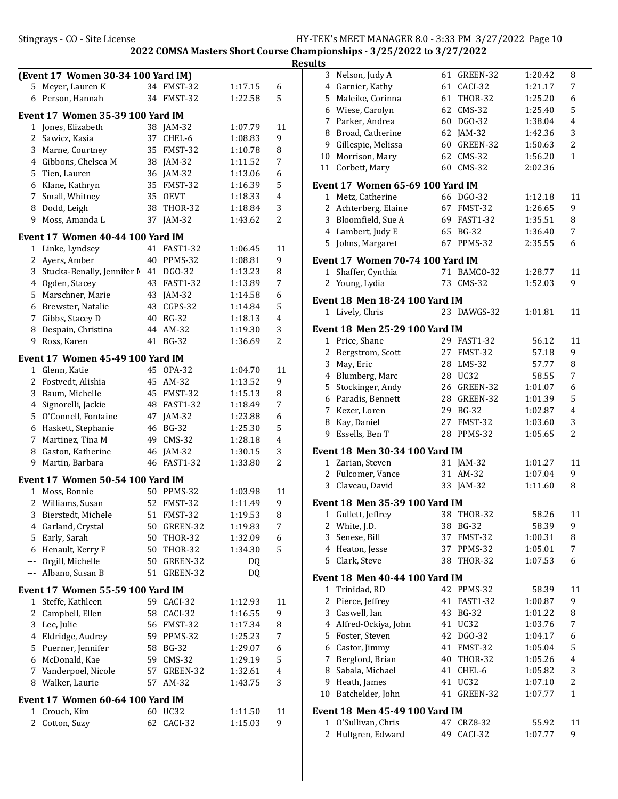|                | (Event 17 Women 30-34 100 Yard IM) |    |                 |         |    |
|----------------|------------------------------------|----|-----------------|---------|----|
| 5              | Meyer, Lauren K                    |    | 34 FMST-32      | 1:17.15 | 6  |
| 6              | Person, Hannah                     |    | 34 FMST-32      | 1:22.58 | 5  |
|                | Event 17 Women 35-39 100 Yard IM   |    |                 |         |    |
|                | 1 Jones, Elizabeth                 |    | 38 JAM-32       | 1:07.79 | 11 |
| 2              | Sawicz, Kasia                      | 37 | CHEL-6          | 1:08.83 | 9  |
|                | 3 Marne, Courtney                  | 35 | FMST-32         | 1:10.78 | 8  |
|                | 4 Gibbons, Chelsea M               |    | 38 JAM-32       | 1:11.52 | 7  |
| 5              | Tien, Lauren                       |    | 36 JAM-32       | 1:13.06 | 6  |
| 6              | Klane, Kathryn                     | 35 | FMST-32         | 1:16.39 | 5  |
| 7              | Small, Whitney                     | 35 | <b>OEVT</b>     | 1:18.33 | 4  |
| 8              | Dodd, Leigh                        | 38 | <b>THOR-32</b>  | 1:18.84 | 3  |
| 9              | Moss, Amanda L                     | 37 | $JAM-32$        | 1:43.62 | 2  |
|                | Event 17 Women 40-44 100 Yard IM   |    |                 |         |    |
| $\mathbf{1}$   | Linke, Lyndsey                     |    | 41 FAST1-32     | 1:06.45 | 11 |
| 2              | Ayers, Amber                       |    | 40 PPMS-32      | 1:08.81 | 9  |
| 3              | Stucka-Benally, Jennifer N         |    | 41 DGO-32       | 1:13.23 | 8  |
|                | 4 Ogden, Stacey                    | 43 | <b>FAST1-32</b> | 1:13.89 | 7  |
| 5              | Marschner, Marie                   |    | 43 JAM-32       | 1:14.58 | 6  |
|                | 6 Brewster, Natalie                | 43 | CGPS-32         | 1:14.84 | 5  |
|                | 7 Gibbs, Stacey D                  | 40 | <b>BG-32</b>    | 1:18.13 | 4  |
| 8              | Despain, Christina                 | 44 | AM-32           | 1:19.30 | 3  |
| 9              | Ross, Karen                        | 41 | $BG-32$         | 1:36.69 | 2  |
|                | Event 17 Women 45-49 100 Yard IM   |    |                 |         |    |
| $\mathbf{1}$   | Glenn, Katie                       | 45 | <b>OPA-32</b>   | 1:04.70 | 11 |
| 2              | Fostvedt, Alishia                  | 45 | AM-32           | 1:13.52 | 9  |
| 3              | Baum, Michelle                     |    | 45 FMST-32      | 1:15.13 | 8  |
| 4              | Signorelli, Jackie                 |    | 48 FAST1-32     | 1:18.49 | 7  |
| 5              | O'Connell, Fontaine                |    | 47 JAM-32       | 1:23.88 | 6  |
| 6              | Haskett, Stephanie                 |    | 46 BG-32        | 1:25.30 | 5  |
| 7              | Martinez, Tina M                   | 49 | CMS-32          | 1:28.18 | 4  |
| 8              | Gaston, Katherine                  | 46 | $IAM-32$        | 1:30.15 | 3  |
| 9              | Martin, Barbara                    | 46 | <b>FAST1-32</b> | 1:33.80 | 2  |
|                | Event 17 Women 50-54 100 Yard IM   |    |                 |         |    |
| 1              | Moss, Bonnie                       | 50 | PPMS-32         | 1:03.98 | 11 |
| 2              | Williams, Susan                    | 52 | FMST-32         | 1:11.49 | 9  |
| 3              | Bierstedt, Michele                 |    | 51 FMST-32      | 1:19.53 | 8  |
| 4              | Garland, Crystal                   | 50 | GREEN-32        | 1:19.83 | 7  |
| 5              | Early, Sarah                       | 50 | THOR-32         | 1:32.09 | 6  |
| 6              | Henault, Kerry F                   | 50 | THOR-32         | 1:34.30 | 5  |
|                | --- Orgill, Michelle               | 50 | GREEN-32        | DQ      |    |
| $---$          | Albano, Susan B                    | 51 | GREEN-32        | DQ      |    |
|                | Event 17 Women 55-59 100 Yard IM   |    |                 |         |    |
| 1              | Steffe, Kathleen                   | 59 | CACI-32         | 1:12.93 | 11 |
| 2              | Campbell, Ellen                    | 58 | CACI-32         | 1:16.55 | 9  |
| 3              | Lee, Julie                         | 56 | FMST-32         | 1:17.34 | 8  |
| $\overline{4}$ | Eldridge, Audrey                   | 59 | PPMS-32         | 1:25.23 | 7  |
| 5              | Puerner, Jennifer                  | 58 | <b>BG-32</b>    | 1:29.07 | 6  |
| 6              | McDonald, Kae                      | 59 | $CMS-32$        | 1:29.19 | 5  |
| 7              | Vanderpoel, Nicole                 | 57 | GREEN-32        | 1:32.61 | 4  |
| 8              | Walker, Laurie                     | 57 | AM-32           | 1:43.75 | 3  |
|                | Event 17 Women 60-64 100 Yard IM   |    |                 |         |    |
| $\mathbf{1}$   | Crouch, Kim                        | 60 | <b>UC32</b>     | 1:11.50 | 11 |
| 2              | Cotton, Suzy                       | 62 | CACI-32         | 1:15.03 | 9  |

| <b>Results</b> |                                                          |    |                 |         |              |
|----------------|----------------------------------------------------------|----|-----------------|---------|--------------|
|                | 3 Nelson, Judy A                                         |    | 61 GREEN-32     | 1:20.42 | 8            |
|                | 4 Garnier, Kathy                                         |    | 61 CACI-32      | 1:21.17 | 7            |
|                | 5 Maleike, Corinna                                       |    | 61 THOR-32      | 1:25.20 | 6            |
|                | 6 Wiese, Carolyn                                         |    | 62 CMS-32       | 1:25.40 | 5            |
|                | 7 Parker, Andrea                                         |    | 60 DGO-32       | 1:38.04 | 4            |
|                | 8 Broad, Catherine                                       |    | 62 JAM-32       | 1:42.36 | 3            |
|                | 9 Gillespie, Melissa                                     |    | 60 GREEN-32     | 1:50.63 | 2            |
|                | 10 Morrison, Mary                                        |    | 62 CMS-32       | 1:56.20 | $\mathbf{1}$ |
|                | 11 Corbett, Mary                                         |    | 60 CMS-32       | 2:02.36 |              |
|                | <b>Event 17 Women 65-69 100 Yard IM</b>                  |    |                 |         |              |
|                | 1 Metz, Catherine                                        |    | 66 DGO-32       | 1:12.18 | 11           |
|                | 2 Achterberg, Elaine                                     |    | 67 FMST-32      | 1:26.65 | 9            |
|                | 3 Bloomfield, Sue A                                      |    | 69 FAST1-32     | 1:35.51 | 8            |
|                | 4 Lambert, Judy E                                        |    | 65 BG-32        | 1:36.40 | 7            |
|                | 5 Johns, Margaret                                        |    | 67 PPMS-32      | 2:35.55 | 6            |
|                | <b>Event 17 Women 70-74 100 Yard IM</b>                  |    |                 |         |              |
|                | 1 Shaffer, Cynthia                                       |    | 71 BAMCO-32     | 1:28.77 | 11           |
|                | 2 Young, Lydia                                           |    | 73 CMS-32       | 1:52.03 | 9            |
|                |                                                          |    |                 |         |              |
|                | <b>Event 18 Men 18-24 100 Yard IM</b><br>1 Lively, Chris |    | 23 DAWGS-32     | 1:01.81 | 11           |
|                |                                                          |    |                 |         |              |
|                | <b>Event 18 Men 25-29 100 Yard IM</b>                    |    |                 |         |              |
|                | 1 Price, Shane                                           |    | 29 FAST1-32     | 56.12   | 11           |
|                | 2 Bergstrom, Scott                                       |    | 27 FMST-32      | 57.18   | 9            |
|                | 3 May, Eric                                              |    | 28 LMS-32       | 57.77   | 8            |
|                | 4 Blumberg, Marc                                         |    | 28 UC32         | 58.55   | 7            |
|                | 5 Stockinger, Andy                                       |    | 26 GREEN-32     | 1:01.07 | 6            |
|                | 6 Paradis, Bennett                                       |    | 28 GREEN-32     | 1:01.39 | 5            |
|                | 7 Kezer, Loren                                           |    | 29 BG-32        | 1:02.87 | 4            |
|                | 8 Kay, Daniel                                            |    | 27 FMST-32      | 1:03.60 | 3            |
|                | 9 Essells, Ben T                                         |    | 28 PPMS-32      | 1:05.65 | 2            |
|                | Event 18 Men 30-34 100 Yard IM                           |    |                 |         |              |
|                | 1 Zarian, Steven                                         |    | 31 JAM-32       | 1:01.27 | 11           |
|                | 2 Fulcomer, Vance                                        |    | 31 AM-32        | 1:07.04 | 9            |
|                | 3 Claveau, David                                         |    | 33 JAM-32       | 1:11.60 | 8            |
|                | Event 18 Men 35-39 100 Yard IM                           |    |                 |         |              |
| 1              | Gullett, Jeffrey                                         | 38 | THOR-32         | 58.26   | 11           |
| 2              | White, J.D.                                              | 38 | <b>BG-32</b>    | 58.39   | 9            |
|                | 3 Senese, Bill                                           | 37 | FMST-32         | 1:00.31 | 8            |
|                | 4 Heaton, Jesse                                          | 37 | PPMS-32         | 1:05.01 | 7            |
| 5              | Clark, Steve                                             | 38 | <b>THOR-32</b>  | 1:07.53 | 6            |
|                | <b>Event 18 Men 40-44 100 Yard IM</b>                    |    |                 |         |              |
| 1              | Trinidad, RD                                             |    | 42 PPMS-32      | 58.39   | 11           |
|                | 2 Pierce, Jeffrey                                        | 41 | <b>FAST1-32</b> | 1:00.87 | 9            |
|                | 3 Caswell, Ian                                           | 43 | <b>BG-32</b>    | 1:01.22 | 8            |
|                | 4 Alfred-Ockiya, John                                    | 41 | UC32            | 1:03.76 | 7            |
|                | 5 Foster, Steven                                         | 42 | DGO-32          | 1:04.17 | 6            |
|                | 6 Castor, Jimmy                                          | 41 | FMST-32         | 1:05.04 | 5            |
| 7              | Bergford, Brian                                          | 40 | <b>THOR-32</b>  | 1:05.26 | 4            |
|                | 8 Sabala, Michael                                        | 41 | CHEL-6          | 1:05.82 | 3            |
|                | 9 Heath, James                                           | 41 | UC32            | 1:07.10 | 2            |
| 10             | Batchelder, John                                         | 41 | GREEN-32        | 1:07.77 | $\mathbf{1}$ |
|                | <b>Event 18 Men 45-49 100 Yard IM</b>                    |    |                 |         |              |
|                | 1 O'Sullivan, Chris                                      |    | 47 CRZ8-32      | 55.92   | 11           |
| 2              | Hultgren, Edward                                         | 49 | CACI-32         | 1:07.77 | 9            |
|                |                                                          |    |                 |         |              |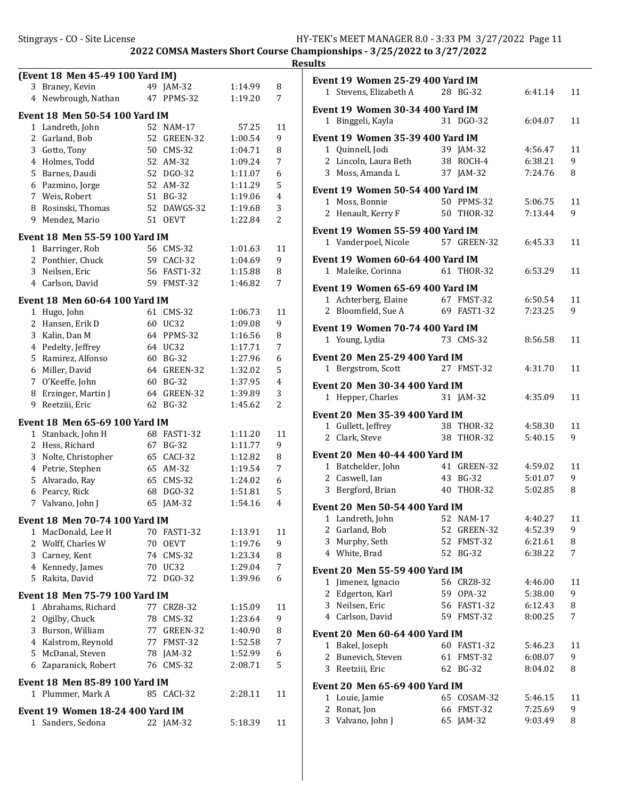| (Event 18 Men 45-49 100 Yard IM)      |    |             |         |                |  |  |
|---------------------------------------|----|-------------|---------|----------------|--|--|
| 3 Braney, Kevin                       |    | 49 JAM-32   | 1:14.99 | 8              |  |  |
| 4 Newbrough, Nathan                   |    | 47 PPMS-32  | 1:19.20 | 7              |  |  |
| <b>Event 18 Men 50-54 100 Yard IM</b> |    |             |         |                |  |  |
| 1 Landreth, John                      |    | 52 NAM-17   | 57.25   | 11             |  |  |
| 2 Garland, Bob                        |    | 52 GREEN-32 | 1:00.54 | 9              |  |  |
| 3 Gotto, Tony                         |    | 50 CMS-32   | 1:04.71 | 8              |  |  |
| 4 Holmes, Todd                        |    | 52 AM-32    | 1:09.24 | 7              |  |  |
| 5 Barnes, Daudi                       |    | 52 DGO-32   | 1:11.07 | 6              |  |  |
| 6 Pazmino, Jorge                      |    | 52 AM-32    | 1:11.29 | 5              |  |  |
| 7 Weis, Robert                        |    | 51 BG-32    | 1:19.06 | $\overline{4}$ |  |  |
| 8 Rosinski, Thomas                    |    | 52 DAWGS-32 | 1:19.68 | 3              |  |  |
| 9 Mendez, Mario                       |    | 51 OEVT     | 1:22.84 | $\overline{2}$ |  |  |
| <b>Event 18 Men 55-59 100 Yard IM</b> |    |             |         |                |  |  |
| 1 Barringer, Rob                      |    | 56 CMS-32   | 1:01.63 | 11             |  |  |
| 2 Ponthier, Chuck                     |    | 59 CACI-32  | 1:04.69 | 9              |  |  |
| 3 Neilsen, Eric                       |    | 56 FAST1-32 | 1:15.88 | 8              |  |  |
| 4 Carlson, David                      |    | 59 FMST-32  | 1:46.82 | 7              |  |  |
| Event 18 Men 60-64 100 Yard IM        |    |             |         |                |  |  |
| 1 Hugo, John                          |    | 61 CMS-32   | 1:06.73 | 11             |  |  |
| 2 Hansen, Erik D                      |    | 60 UC32     | 1:09.08 | 9              |  |  |
| 3 Kalin, Dan M                        |    | 64 PPMS-32  | 1:16.56 | 8              |  |  |
| 4 Pedelty, Jeffrey                    |    | 64 UC32     | 1:17.71 | 7              |  |  |
| 5 Ramirez, Alfonso                    |    | 60 BG-32    | 1:27.96 | 6              |  |  |
| 6 Miller, David                       |    | 64 GREEN-32 | 1:32.02 | 5              |  |  |
| 7 O'Keeffe, John                      |    | 60 BG-32    | 1:37.95 | 4              |  |  |
| 8 Erzinger, Martin J                  |    | 64 GREEN-32 | 1:39.89 | 3              |  |  |
| 9.<br>Reetziii, Eric                  |    | 62 BG-32    | 1:45.62 | 2              |  |  |
| Event 18 Men 65-69 100 Yard IM        |    |             |         |                |  |  |
| 1 Stanback, John H                    |    | 68 FAST1-32 | 1:11.20 | 11             |  |  |
| 2 Hess, Richard                       |    | 67 BG-32    | 1:11.77 | 9              |  |  |
| 3 Nolte, Christopher                  |    | 65 CACI-32  | 1:12.82 | 8              |  |  |
| 4 Petrie, Stephen                     |    | 65 AM-32    | 1:19.54 | 7              |  |  |
| Alvarado, Ray<br>5                    |    | 65 CMS-32   | 1:24.02 | 6              |  |  |
| Pearcy, Rick<br>6                     |    | 68 DGO-32   | 1:51.81 | 5              |  |  |
| Valvano, John J<br>7                  |    | 65 JAM-32   | 1:54.16 | 4              |  |  |
| Event 18 Men 70-74 100 Yard IM        |    |             |         |                |  |  |
| MacDonald, Lee H<br>1                 |    | 70 FAST1-32 | 1:13.91 | 11             |  |  |
| 2 Wolff, Charles W                    |    | 70 OEVT     | 1:19.76 | 9              |  |  |
| 3 Carney, Kent                        |    | 74 CMS-32   | 1:23.34 | 8              |  |  |
| 4 Kennedy, James                      |    | 70 UC32     | 1:29.04 | 7              |  |  |
| 5 Rakita, David                       | 72 | DG0-32      | 1:39.96 | 6              |  |  |
| <b>Event 18 Men 75-79 100 Yard IM</b> |    |             |         |                |  |  |
| 1 Abrahams, Richard                   |    | 77 CRZ8-32  | 1:15.09 | 11             |  |  |
| 2 Ogilby, Chuck                       |    | 78 CMS-32   | 1:23.64 | 9              |  |  |
| 3 Burson, William                     |    | 77 GREEN-32 | 1:40.90 | 8              |  |  |
| 4 Kalstrom, Reynold                   |    | 77 FMST-32  | 1:52.58 | 7              |  |  |
| 5 McDanal, Steven                     |    | 78 JAM-32   | 1:52.99 | 6              |  |  |
| 6 Zaparanick, Robert                  |    | 76 CMS-32   | 2:08.71 | 5              |  |  |
| Event 18 Men 85-89 100 Yard IM        |    |             |         |                |  |  |
| 1 Plummer, Mark A                     |    | 85 CACI-32  | 2:28.11 | 11             |  |  |
| Event 19 Women 18-24 400 Yard IM      |    |             |         |                |  |  |
| 1 Sanders, Sedona                     |    | 22 JAM-32   | 5:18.39 | 11             |  |  |
|                                       |    |             |         |                |  |  |

|   | Event 19 Women 25-29 400 Yard IM<br>1 Stevens, Elizabeth A |          | 28 BG-32                  | 6:41.14            | 11     |
|---|------------------------------------------------------------|----------|---------------------------|--------------------|--------|
|   |                                                            |          |                           |                    |        |
|   | Event 19 Women 30-34 400 Yard IM<br>1 Binggeli, Kayla      |          | 31 DGO-32                 | 6:04.07            | 11     |
|   | Event 19 Women 35-39 400 Yard IM                           |          |                           |                    |        |
|   | 1 Quinnell, Jodi                                           |          | 39 JAM-32                 | 4:56.47            | 11     |
|   | 2 Lincoln, Laura Beth                                      |          | 38 ROCH-4                 | 6:38.21            | 9      |
|   | 3 Moss, Amanda L                                           | 37       | $JAM-32$                  | 7:24.76            | 8      |
|   | <b>Event 19 Women 50-54 400 Yard IM</b>                    |          |                           |                    |        |
|   | 1 Moss, Bonnie                                             |          | 50 PPMS-32                | 5:06.75            | 11     |
|   | 2 Henault, Kerry F                                         |          | 50 THOR-32                | 7:13.44            | 9      |
|   | Event 19 Women 55-59 400 Yard IM                           |          |                           |                    |        |
|   | 1 Vanderpoel, Nicole                                       |          | 57 GREEN-32               | 6:45.33            | 11     |
|   | <b>Event 19 Women 60-64 400 Yard IM</b>                    |          |                           |                    |        |
|   | 1 Maleike, Corinna                                         |          | 61 THOR-32                | 6:53.29            | 11     |
|   | Event 19 Women 65-69 400 Yard IM                           |          |                           |                    |        |
|   | 1 Achterberg, Elaine                                       | 67       | FMST-32                   | 6:50.54            | 11     |
|   | 2 Bloomfield, Sue A                                        |          | 69 FAST1-32               | 7:23.25            | 9      |
|   |                                                            |          |                           |                    |        |
|   | <b>Event 19 Women 70-74 400 Yard IM</b>                    |          |                           |                    |        |
|   | 1 Young, Lydia                                             |          | 73 CMS-32                 | 8:56.58            | 11     |
|   | <b>Event 20 Men 25-29 400 Yard IM</b>                      |          |                           |                    |        |
|   | 1 Bergstrom, Scott                                         |          | 27 FMST-32                | 4:31.70            | 11     |
|   | <b>Event 20 Men 30-34 400 Yard IM</b>                      |          |                           |                    |        |
|   | 1 Hepper, Charles                                          |          | 31 JAM-32                 | 4:35.09            | 11     |
|   | <b>Event 20 Men 35-39 400 Yard IM</b>                      |          |                           |                    |        |
|   | 1 Gullett, Jeffrey                                         |          | 38 THOR-32                | 4:58.30            | 11     |
| 2 | Clark, Steve                                               | 38       | THOR-32                   | 5:40.15            | 9      |
|   | <b>Event 20 Men 40-44 400 Yard IM</b>                      |          |                           |                    |        |
|   | 1 Batchelder, John                                         |          | 41 GREEN-32               | 4:59.02            | 11     |
|   | 2 Caswell, Ian                                             | 43       | BG-32                     | 5:01.07            | 9      |
|   | 3 Bergford, Brian                                          |          | 40 THOR-32                | 5:02.85            | 8      |
|   | <b>Event 20 Men 50-54 400 Yard IM</b>                      |          |                           |                    |        |
|   | 1 Landreth, John                                           |          | 52 NAM-17                 | 4:40.27            | 11     |
| 2 | Garland, Bob                                               | 52       | GREEN-32                  | 4:52.39            | 9      |
| 3 | Murphy, Seth                                               | 52       | FMST-32                   | 6:21.61            | 8      |
|   | 4 White, Brad                                              | 52       | <b>BG-32</b>              | 6:38.22            | 7      |
|   |                                                            |          |                           |                    |        |
|   | <b>Event 20 Men 55-59 400 Yard IM</b>                      |          |                           |                    |        |
|   | 1 Jimenez, Ignacio                                         |          | 56 CRZ8-32                | 4:46.00            | 11     |
| 2 | Edgerton, Karl<br>3 Neilsen, Eric                          | 59<br>56 | OPA-32<br><b>FAST1-32</b> | 5:38.00<br>6:12.43 | 9      |
|   | 4 Carlson, David                                           |          | 59 FMST-32                | 8:00.25            | 8<br>7 |
|   |                                                            |          |                           |                    |        |
|   | <b>Event 20 Men 60-64 400 Yard IM</b>                      |          |                           |                    |        |
|   | 1 Bakel, Joseph                                            |          | 60 FAST1-32               | 5:46.23            | 11     |
| 2 | Bunevich, Steven                                           | 61       | FMST-32                   | 6:08.07            | 9      |
| 3 | Reetziii, Eric                                             | 62       | <b>BG-32</b>              | 8:04.02            | 8      |
|   | <b>Event 20 Men 65-69 400 Yard IM</b>                      |          |                           |                    |        |
| 1 | Louie, Jamie                                               | 65       | COSAM-32                  | 5:46.15            | 11     |
| 2 | Ronat, Jon                                                 | 66       | FMST-32                   | 7:25.69            | 9      |
| 3 | Valvano, John J                                            | 65       | $JAM-32$                  | 9:03.49            | 8      |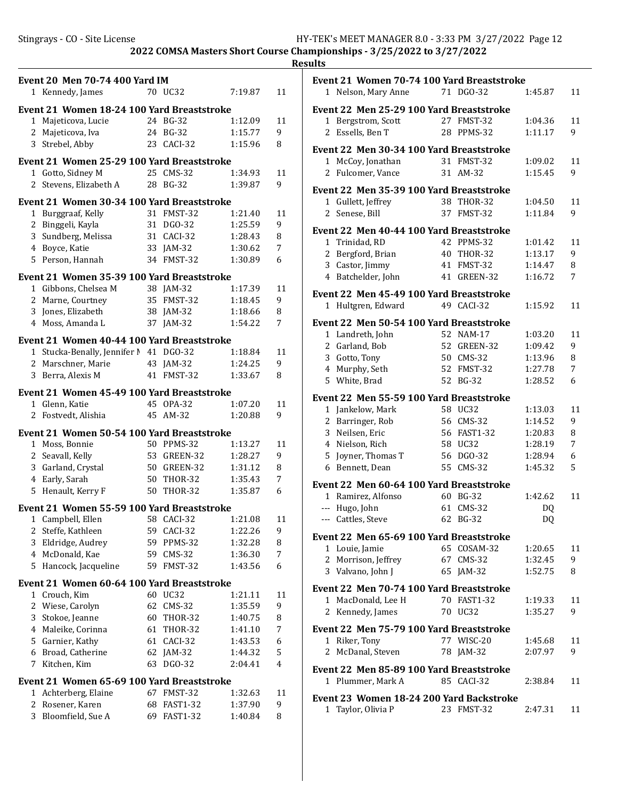|                   | <b>Event 20 Men 70-74 400 Yard IM</b><br>1 Kennedy, James |          | 70 UC32                | 7:19.87            | 11      |
|-------------------|-----------------------------------------------------------|----------|------------------------|--------------------|---------|
|                   |                                                           |          |                        |                    |         |
|                   | Event 21 Women 18-24 100 Yard Breaststroke                |          |                        |                    |         |
| 1                 | Majeticova, Lucie                                         |          | 24 BG-32               | 1:12.09            | 11      |
| 2                 | Majeticova, Iva                                           |          | 24 BG-32               | 1:15.77            | 9       |
| 3                 | Strebel, Abby                                             |          | 23 CACI-32             | 1:15.96            | 8       |
|                   | Event 21 Women 25-29 100 Yard Breaststroke                |          |                        |                    |         |
|                   | 1 Gotto, Sidney M                                         | 25       | <b>CMS-32</b>          | 1:34.93            | 11      |
| $\mathbf{2}$      | Stevens, Elizabeth A                                      | 28       | <b>BG-32</b>           | 1:39.87            | 9       |
|                   | Event 21 Women 30-34 100 Yard Breaststroke                |          |                        |                    |         |
| 1                 | Burggraaf, Kelly                                          | 31       | FMST-32                | 1:21.40            | 11      |
| 2                 | Binggeli, Kayla                                           | 31       | DGO-32                 | 1:25.59            | 9       |
| 3                 | Sundberg, Melissa                                         |          | 31 CACI-32             | 1:28.43            | 8       |
|                   | 4 Boyce, Katie                                            |          | 33 JAM-32              | 1:30.62            | 7       |
|                   | 5 Person, Hannah                                          | 34       | FMST-32                | 1:30.89            | 6       |
|                   | Event 21 Women 35-39 100 Yard Breaststroke                |          |                        |                    |         |
|                   | 1 Gibbons, Chelsea M                                      |          | 38 IAM-32              | 1:17.39            | 11      |
|                   | 2 Marne, Courtney                                         |          | 35 FMST-32             | 1:18.45            | 9       |
| 3                 | Jones, Elizabeth                                          |          | 38 JAM-32              | 1:18.66            | 8       |
|                   | 4 Moss, Amanda L                                          |          | 37 JAM-32              | 1:54.22            | 7       |
|                   | Event 21 Women 40-44 100 Yard Breaststroke                |          |                        |                    |         |
|                   | 1 Stucka-Benally, Jennifer M 41 DGO-32                    |          |                        | 1:18.84            | 11      |
|                   | 2 Marschner, Marie                                        |          | 43 JAM-32              | 1:24.25            | 9       |
| 3                 | Berra, Alexis M                                           |          | 41 FMST-32             | 1:33.67            | 8       |
|                   | Event 21 Women 45-49 100 Yard Breaststroke                |          |                        |                    |         |
|                   | 1 Glenn, Katie                                            |          | 45 OPA-32              | 1:07.20            | 11      |
|                   | 2 Fostvedt, Alishia                                       | 45       | $AM-32$                | 1:20.88            | 9       |
|                   |                                                           |          |                        |                    |         |
|                   | Event 21 Women 50-54 100 Yard Breaststroke                |          |                        |                    |         |
| $\mathbf{2}$      | 1 Moss, Bonnie                                            | 53       | 50 PPMS-32<br>GREEN-32 | 1:13.27<br>1:28.27 | 11<br>9 |
|                   | Seavall, Kelly<br>3 Garland, Crystal                      | 50       | GREEN-32               | 1:31.12            | 8       |
|                   | 4 Early, Sarah                                            | 50       | <b>THOR-32</b>         | 1:35.43            | 7       |
| 5                 | Henault, Kerry F                                          | 50       | <b>THOR-32</b>         | 1:35.87            | 6       |
|                   |                                                           |          |                        |                    |         |
|                   | Event 21 Women 55-59 100 Yard Breaststroke                |          |                        |                    |         |
| $\mathbf{1}$<br>2 | Campbell, Ellen                                           | 58<br>59 | CACI-32<br>CACI-32     | 1:21.08<br>1:22.26 | 11<br>9 |
| 3                 | Steffe, Kathleen<br>Eldridge, Audrey                      | 59       | PPMS-32                | 1:32.28            | 8       |
| $\overline{4}$    | McDonald, Kae                                             | 59       | $CMS-32$               | 1:36.30            | 7       |
| 5                 | Hancock, Jacqueline                                       | 59       | FMST-32                | 1:43.56            | 6       |
|                   |                                                           |          |                        |                    |         |
|                   | Event 21 Women 60-64 100 Yard Breaststroke                |          |                        |                    |         |
| 1                 | Crouch, Kim                                               | 60       | <b>UC32</b>            | 1:21.11            | 11      |
| 2                 | Wiese, Carolyn                                            | 62       | <b>CMS-32</b>          | 1:35.59            | 9       |
| 3<br>4            | Stokoe, Jeanne                                            | 60       | <b>THOR-32</b>         | 1:40.75            | 8<br>7  |
| 5                 | Maleike, Corinna<br>Garnier, Kathy                        | 61<br>61 | <b>THOR-32</b>         | 1:41.10<br>1:43.53 |         |
| 6                 | Broad, Catherine                                          | 62       | CACI-32<br>JAM-32      | 1:44.32            | 6<br>5  |
| 7                 | Kitchen, Kim                                              | 63       | DGO-32                 | 2:04.41            | 4       |
|                   |                                                           |          |                        |                    |         |
|                   | Event 21 Women 65-69 100 Yard Breaststroke                |          |                        |                    |         |
| 1                 | Achterberg, Elaine                                        | 67       | FMST-32                | 1:32.63            | 11      |
| 2                 | Rosener, Karen                                            | 68       | FAST1-32               | 1:37.90            | 9       |
| 3                 | Bloomfield, Sue A                                         | 69       | FAST1-32               | 1:40.84            | 8       |

|                | Event 21 Women 70-74 100 Yard Breaststroke      |    |                |         |         |
|----------------|-------------------------------------------------|----|----------------|---------|---------|
|                | 1 Nelson, Mary Anne                             |    | 71 DGO-32      | 1:45.87 | 11      |
|                | <b>Event 22 Men 25-29 100 Yard Breaststroke</b> |    |                |         |         |
|                | 1 Bergstrom, Scott                              | 27 | FMST-32        | 1:04.36 | 11      |
| 2              | Essells, Ben T                                  |    | 28 PPMS-32     | 1:11.17 | 9       |
|                |                                                 |    |                |         |         |
|                | Event 22 Men 30-34 100 Yard Breaststroke        |    |                |         |         |
| 1              | McCoy, Jonathan                                 |    | 31 FMST-32     | 1:09.02 | 11      |
| 2              | Fulcomer, Vance                                 |    | 31 AM-32       | 1:15.45 | 9       |
|                | Event 22 Men 35-39 100 Yard Breaststroke        |    |                |         |         |
| 1              | Gullett, Jeffrey                                |    | 38 THOR-32     | 1:04.50 | 11      |
| $\overline{2}$ | Senese, Bill                                    | 37 | FMST-32        | 1:11.84 | 9       |
|                | <b>Event 22 Men 40-44 100 Yard Breaststroke</b> |    |                |         |         |
|                | 1 Trinidad, RD                                  |    | 42 PPMS-32     | 1:01.42 | 11      |
|                | 2 Bergford, Brian                               | 40 | <b>THOR-32</b> | 1:13.17 | 9       |
|                | 3 Castor, Jimmy                                 | 41 | FMST-32        | 1:14.47 | 8       |
|                | 4 Batchelder, John                              | 41 | GREEN-32       | 1:16.72 | 7       |
|                |                                                 |    |                |         |         |
|                | Event 22 Men 45-49 100 Yard Breaststroke        |    |                |         |         |
| 1              | Hultgren, Edward                                |    | 49 CACI-32     | 1:15.92 | 11      |
|                | Event 22 Men 50-54 100 Yard Breaststroke        |    |                |         |         |
|                | 1 Landreth, John                                |    | 52 NAM-17      | 1:03.20 | 11      |
|                | 2 Garland, Bob                                  | 52 | GREEN-32       | 1:09.42 | 9       |
|                | 3 Gotto, Tony                                   | 50 | CMS-32         | 1:13.96 | 8       |
|                | 4 Murphy, Seth                                  | 52 | FMST-32        | 1:27.78 | 7       |
| 5              | White, Brad                                     | 52 | <b>BG-32</b>   | 1:28.52 | 6       |
|                | <b>Event 22 Men 55-59 100 Yard Breaststroke</b> |    |                |         |         |
| 1              | Jankelow, Mark                                  |    | 58 UC32        | 1:13.03 | 11      |
| 2              | Barringer, Rob                                  | 56 | $CMS-32$       | 1:14.52 | 9       |
| 3              | Neilsen, Eric                                   |    | 56 FAST1-32    | 1:20.83 | 8       |
| 4              | Nielson, Rich                                   |    | 58 UC32        | 1:28.19 | 7       |
| 5              | Joyner, Thomas T                                | 56 | DGO-32         | 1:28.94 | 6       |
|                | 6 Bennett, Dean                                 |    | 55 CMS-32      | 1:45.32 | 5       |
|                |                                                 |    |                |         |         |
|                | Event 22 Men 60-64 100 Yard Breaststroke        |    |                |         |         |
|                | 1 Ramirez, Alfonso                              |    | 60 BG-32       | 1:42.62 | 11      |
| $---$          | Hugo, John                                      | 61 | $CMS-32$       | DQ      |         |
|                | --- Cattles, Steve                              | 62 | <b>BG-32</b>   | DQ      |         |
|                | <b>Event 22 Men 65-69 100 Yard Breaststroke</b> |    |                |         |         |
|                | 1 Louie, Jamie                                  |    | 65 COSAM-32    | 1:20.65 | 11      |
| 2              | Morrison, Jeffrey                               | 67 | $CMS-32$       | 1:32.45 | 9       |
|                | 3 Valvano, John J                               |    | 65 JAM-32      | 1:52.75 | 8       |
|                | <b>Event 22 Men 70-74 100 Yard Breaststroke</b> |    |                |         |         |
|                | 1 MacDonald, Lee H                              |    | 70 FAST1-32    | 1:19.33 |         |
|                |                                                 |    | 70 UC32        |         | 11<br>9 |
| 2              | Kennedy, James                                  |    |                | 1:35.27 |         |
|                | <b>Event 22 Men 75-79 100 Yard Breaststroke</b> |    |                |         |         |
| 1              | Riker, Tony                                     |    | 77 WISC-20     | 1:45.68 | 11      |
| 2              | McDanal, Steven                                 |    | 78 JAM-32      | 2:07.97 | 9       |
|                | <b>Event 22 Men 85-89 100 Yard Breaststroke</b> |    |                |         |         |
|                | 1 Plummer, Mark A                               |    | 85 CACI-32     | 2:38.84 | 11      |
|                |                                                 |    |                |         |         |
|                | Event 23  Women 18-24 200 Yard Backstroke       |    |                |         |         |
| 1              | Taylor, Olivia P                                |    | 23 FMST-32     | 2:47.31 | 11      |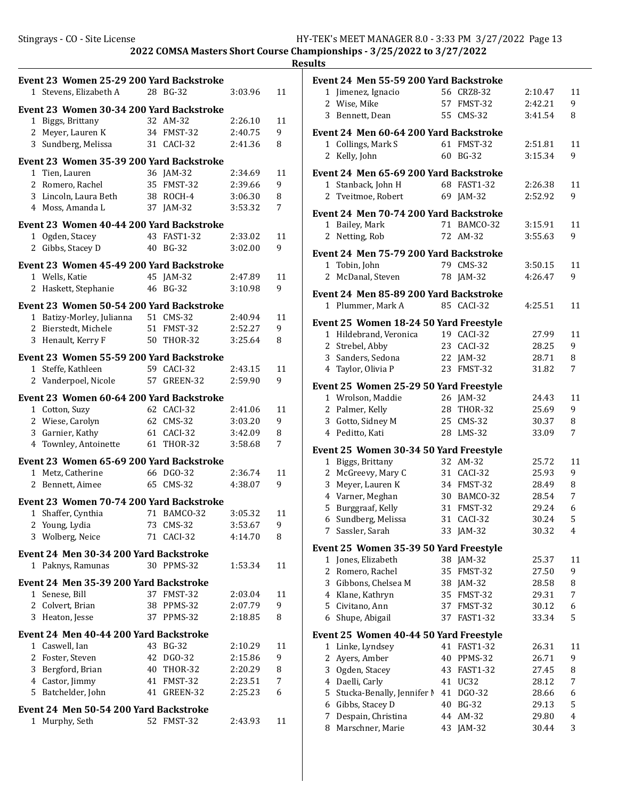|                | Event 23 Women 25-29 200 Yard Backstroke<br>1 Stevens, Elizabeth A |    | 28 BG-32        | 3:03.96 | 11 |
|----------------|--------------------------------------------------------------------|----|-----------------|---------|----|
|                | Event 23 Women 30-34 200 Yard Backstroke                           |    |                 |         |    |
|                | 1 Biggs, Brittany                                                  |    | 32 AM-32        | 2:26.10 | 11 |
| $\overline{2}$ | Meyer, Lauren K                                                    | 34 | FMST-32         | 2:40.75 | 9  |
| 3              | Sundberg, Melissa                                                  |    | 31 CACI-32      | 2:41.36 | 8  |
|                |                                                                    |    |                 |         |    |
|                | Event 23 Women 35-39 200 Yard Backstroke                           |    |                 |         |    |
| 1              | Tien, Lauren                                                       |    | 36 JAM-32       | 2:34.69 | 11 |
|                | 2 Romero, Rachel                                                   | 35 | FMST-32         | 2:39.66 | 9  |
|                | 3 Lincoln, Laura Beth                                              | 38 | ROCH-4          | 3:06.30 | 8  |
|                | 4 Moss, Amanda L                                                   | 37 | $JAM-32$        | 3:53.32 | 7  |
|                | Event 23 Women 40-44 200 Yard Backstroke                           |    |                 |         |    |
| 1              | Ogden, Stacey                                                      | 43 | <b>FAST1-32</b> | 2:33.02 | 11 |
| $\overline{2}$ | Gibbs, Stacey D                                                    | 40 | <b>BG-32</b>    | 3:02.00 | 9  |
|                |                                                                    |    |                 |         |    |
|                | Event 23 Women 45-49 200 Yard Backstroke                           |    |                 |         |    |
|                | 1 Wells, Katie                                                     | 45 | $IAM-32$        | 2:47.89 | 11 |
| 2              | Haskett, Stephanie                                                 | 46 | <b>BG-32</b>    | 3:10.98 | 9  |
|                | Event 23 Women 50-54 200 Yard Backstroke                           |    |                 |         |    |
|                | 1 Batizy-Morley, Julianna                                          |    | 51 CMS-32       | 2:40.94 | 11 |
|                | 2 Bierstedt, Michele                                               |    | 51 FMST-32      | 2:52.27 | 9  |
| 3              | Henault, Kerry F                                                   | 50 | <b>THOR-32</b>  | 3:25.64 | 8  |
|                |                                                                    |    |                 |         |    |
|                | Event 23 Women 55-59 200 Yard Backstroke                           |    |                 |         |    |
|                | 1 Steffe, Kathleen                                                 |    | 59 CACI-32      | 2:43.15 | 11 |
|                | 2 Vanderpoel, Nicole                                               | 57 | GREEN-32        | 2:59.90 | 9  |
|                | Event 23 Women 60-64 200 Yard Backstroke                           |    |                 |         |    |
|                |                                                                    | 62 |                 |         | 11 |
|                | 1 Cotton, Suzy                                                     |    | CACI-32         | 2:41.06 |    |
|                | 2 Wiese, Carolyn                                                   | 62 | CMS-32          | 3:03.20 | 9  |
|                | 3 Garnier, Kathy                                                   | 61 | CACI-32         | 3:42.09 | 8  |
|                | 4 Townley, Antoinette                                              | 61 | THOR-32         | 3:58.68 | 7  |
|                | Event 23 Women 65-69 200 Yard Backstroke                           |    |                 |         |    |
|                | 1 Metz, Catherine                                                  |    | 66 DGO-32       | 2:36.74 | 11 |
| 2              | Bennett, Aimee                                                     | 65 | $CMS-32$        | 4:38.07 | 9  |
|                |                                                                    |    |                 |         |    |
|                | Event 23 Women 70-74 200 Yard Backstroke                           |    |                 |         |    |
|                | 1 Shaffer, Cynthia 71 BAMCO-32                                     |    |                 | 3:05.32 | 11 |
|                | 2 Young, Lydia                                                     | 73 | $CMS-32$        | 3:53.67 | 9  |
| 3              | Wolberg, Neice                                                     | 71 | CACI-32         | 4:14.70 | 8  |
|                | Event 24 Men 30-34 200 Yard Backstroke                             |    |                 |         |    |
| 1              | Paknys, Ramunas                                                    |    | 30 PPMS-32      | 1:53.34 | 11 |
|                |                                                                    |    |                 |         |    |
|                | Event 24 Men 35-39 200 Yard Backstroke                             |    |                 |         |    |
|                | 1 Senese, Bill                                                     |    | 37 FMST-32      | 2:03.04 | 11 |
|                | 2 Colvert, Brian                                                   | 38 | PPMS-32         | 2:07.79 | 9. |
| 3              | Heaton, Jesse                                                      | 37 | PPMS-32         | 2:18.85 | 8  |
|                | Event 24 Men 40-44 200 Yard Backstroke                             |    |                 |         |    |
|                | 1 Caswell, Ian                                                     | 43 | <b>BG-32</b>    | 2:10.29 | 11 |
|                | 2 Foster, Steven                                                   | 42 | DGO-32          | 2:15.86 | 9  |
|                | 3 Bergford, Brian                                                  | 40 | THOR-32         | 2:20.29 | 8  |
|                | 4 Castor, Jimmy                                                    | 41 | FMST-32         | 2:23.51 | 7  |
|                |                                                                    |    |                 |         |    |
|                | 5 Batchelder, John                                                 | 41 | GREEN-32        | 2:25.23 | 6  |
|                | Event 24 Men 50-54 200 Yard Backstroke                             |    |                 |         |    |
|                | 1 Murphy, Seth                                                     |    | 52 FMST-32      | 2:43.93 | 11 |
|                |                                                                    |    |                 |         |    |

|                | <b>Event 24 Men 55-59 200 Yard Backstroke</b> |    |                 |         |    |
|----------------|-----------------------------------------------|----|-----------------|---------|----|
|                | 1 Jimenez, Ignacio                            |    | 56 CRZ8-32      | 2:10.47 | 11 |
| $\overline{2}$ | Wise, Mike                                    |    | 57 FMST-32      | 2:42.21 | 9  |
| 3              | Bennett, Dean                                 |    | 55 CMS-32       | 3:41.54 | 8  |
|                | <b>Event 24 Men 60-64 200 Yard Backstroke</b> |    |                 |         |    |
| $\mathbf 1$    | Collings, Mark S                              | 61 | FMST-32         | 2:51.81 | 11 |
| $\overline{2}$ | Kelly, John                                   | 60 | <b>BG-32</b>    | 3:15.34 | 9  |
|                |                                               |    |                 |         |    |
|                | Event 24 Men 65-69 200 Yard Backstroke        |    |                 |         |    |
| $\mathbf{1}$   | Stanback, John H                              |    | 68 FAST1-32     | 2:26.38 | 11 |
| 2              | Tveitmoe, Robert                              |    | 69 JAM-32       | 2:52.92 | 9  |
|                | Event 24 Men 70-74 200 Yard Backstroke        |    |                 |         |    |
|                | 1 Bailey, Mark                                |    | 71 BAMCO-32     | 3:15.91 | 11 |
| $\overline{2}$ | Netting, Rob                                  | 72 | AM-32           | 3:55.63 | 9  |
|                | Event 24 Men 75-79 200 Yard Backstroke        |    |                 |         |    |
| 1              | Tobin, John                                   | 79 | $CMS-32$        | 3:50.15 | 11 |
| $\overline{2}$ | McDanal, Steven                               |    | 78 JAM-32       | 4:26.47 | 9  |
|                | Event 24 Men 85-89 200 Yard Backstroke        |    |                 |         |    |
| $\mathbf{1}$   | Plummer, Mark A                               |    | 85 CACI-32      | 4:25.51 | 11 |
|                |                                               |    |                 |         |    |
|                | Event 25 Women 18-24 50 Yard Freestyle        |    |                 |         |    |
|                | 1 Hildebrand, Veronica                        |    | 19 CACI-32      | 27.99   | 11 |
|                | 2 Strebel, Abby                               |    | 23 CACI-32      | 28.25   | 9  |
|                | 3 Sanders, Sedona                             | 22 | $IAM-32$        | 28.71   | 8  |
|                | 4 Taylor, Olivia P                            | 23 | FMST-32         | 31.82   | 7  |
|                | <b>Event 25 Women 25-29 50 Yard Freestyle</b> |    |                 |         |    |
| 1              | Wrolson, Maddie                               |    | 26 JAM-32       | 24.43   | 11 |
| 2              | Palmer, Kelly                                 | 28 | <b>THOR-32</b>  | 25.69   | 9  |
| 3              | Gotto, Sidney M                               | 25 | $CMS-32$        | 30.37   | 8  |
|                | 4 Peditto, Kati                               | 28 | $LMS-32$        | 33.09   | 7  |
|                | Event 25 Women 30-34 50 Yard Freestyle        |    |                 |         |    |
|                | 1 Biggs, Brittany                             |    | 32 AM-32        | 25.72   | 11 |
|                | 2 McGreevy, Mary C                            |    | 31 CACI-32      | 25.93   | 9  |
| 3              | Meyer, Lauren K                               |    | 34 FMST-32      | 28.49   | 8  |
|                | 4 Varner, Meghan                              |    |                 |         |    |
|                |                                               |    | 30 BAMCO-32     | 28.54   | 7  |
| 5              | Burggraaf, Kelly                              | 31 | FMST-32         | 29.24   | 6  |
| 6              | Sundberg, Melissa                             |    | 31 CACI-32      | 30.24   | 5  |
| 7              | Sassler, Sarah                                |    | 33 JAM-32       | 30.32   | 4  |
|                | Event 25 Women 35-39 50 Yard Freestyle        |    |                 |         |    |
| 1              | Jones, Elizabeth                              | 38 | JAM-32          | 25.37   | 11 |
| 2              | Romero, Rachel                                | 35 | FMST-32         | 27.50   | 9  |
| 3              | Gibbons, Chelsea M                            | 38 | JAM-32          | 28.58   | 8  |
|                | 4 Klane, Kathryn                              | 35 | FMST-32         | 29.31   | 7  |
| 5              | Civitano, Ann                                 | 37 | FMST-32         | 30.12   | 6  |
| 6              | Shupe, Abigail                                | 37 | FAST1-32        | 33.34   | 5  |
|                | Event 25 Women 40-44 50 Yard Freestyle        |    |                 |         |    |
| 1              | Linke, Lyndsey                                | 41 | <b>FAST1-32</b> | 26.31   | 11 |
| $\overline{c}$ | Ayers, Amber                                  | 40 | PPMS-32         | 26.71   | 9  |
| 3              | Ogden, Stacey                                 | 43 | <b>FAST1-32</b> | 27.45   | 8  |
| $\overline{4}$ | Daelli, Carly                                 | 41 | UC32            | 28.12   | 7  |
| 5              | Stucka-Benally, Jennifer N                    |    |                 |         |    |
|                |                                               | 41 | DGO-32          | 28.66   | 6  |
| 6              | Gibbs, Stacey D                               | 40 | <b>BG-32</b>    | 29.13   | 5  |
| 7              | Despain, Christina                            | 44 | AM-32           | 29.80   | 4  |
| 8              | Marschner, Marie                              | 43 | JAM-32          | 30.44   | 3  |
|                |                                               |    |                 |         |    |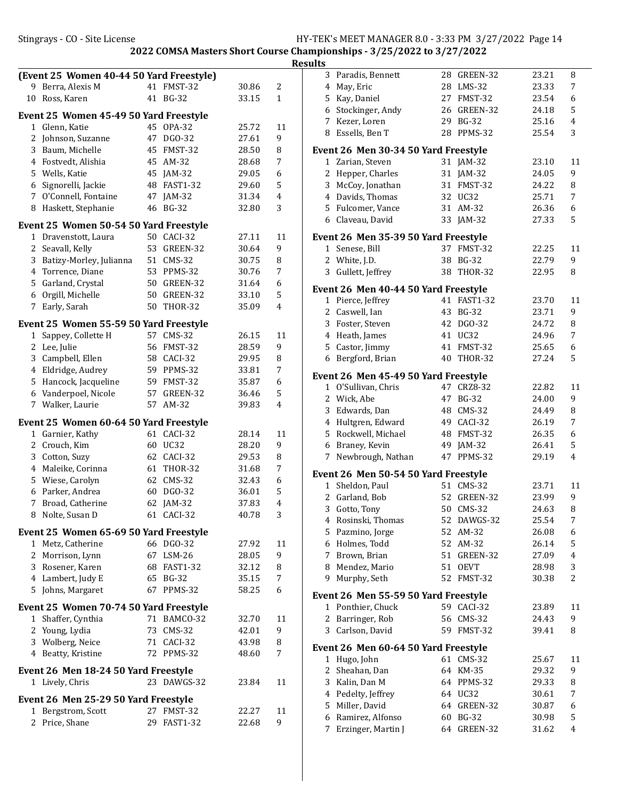|                | (Event 25 Women 40-44 50 Yard Freestyle)                |    |                 |       |                         |
|----------------|---------------------------------------------------------|----|-----------------|-------|-------------------------|
| 9              | Berra, Alexis M                                         | 41 | FMST-32         | 30.86 | 2                       |
| 10             | Ross, Karen                                             |    | 41 BG-32        | 33.15 | $\mathbf{1}$            |
|                | Event 25 Women 45-49 50 Yard Freestyle                  |    |                 |       |                         |
|                | 1 Glenn, Katie                                          | 45 | OPA-32          | 25.72 | 11                      |
| 2              | Johnson, Suzanne                                        | 47 | DG0-32          | 27.61 | 9                       |
| 3              | Baum, Michelle                                          | 45 | FMST-32         | 28.50 | 8                       |
| 4              | Fostvedt, Alishia                                       | 45 | AM-32           | 28.68 | 7                       |
| 5              | Wells, Katie                                            | 45 | $IAM-32$        | 29.05 | 6                       |
| 6              | Signorelli, Jackie                                      | 48 | <b>FAST1-32</b> | 29.60 | 5                       |
| 7              | O'Connell, Fontaine                                     | 47 | $JAM-32$        | 31.34 | 4                       |
| 8              | Haskett, Stephanie                                      | 46 | <b>BG-32</b>    | 32.80 | 3                       |
|                | Event 25 Women 50-54 50 Yard Freestyle                  |    |                 |       |                         |
| 1              | Dravenstott, Laura                                      |    | 50 CACI-32      | 27.11 | 11                      |
| 2              | Seavall, Kelly                                          | 53 | GREEN-32        | 30.64 | 9                       |
| 3              | Batizy-Morley, Julianna                                 |    | 51 CMS-32       | 30.75 | 8                       |
| $\overline{4}$ | Torrence, Diane                                         | 53 | PPMS-32         | 30.76 | 7                       |
| 5              | Garland, Crystal                                        | 50 | GREEN-32        | 31.64 | 6                       |
| 6              | Orgill, Michelle                                        | 50 | GREEN-32        | 33.10 | 5                       |
| 7              | Early, Sarah                                            | 50 | <b>THOR-32</b>  | 35.09 | 4                       |
|                | Event 25 Women 55-59 50 Yard Freestyle                  |    |                 |       |                         |
| 1              | Sappey, Collette H                                      | 57 | <b>CMS-32</b>   | 26.15 | 11                      |
| 2              | Lee, Julie                                              | 56 | FMST-32         | 28.59 | 9                       |
| 3              | Campbell, Ellen                                         | 58 | CACI-32         | 29.95 | 8                       |
|                | 4 Eldridge, Audrey                                      | 59 | PPMS-32         | 33.81 | 7                       |
| 5              | Hancock, Jacqueline                                     | 59 | FMST-32         | 35.87 | 6                       |
| 6              | Vanderpoel, Nicole                                      | 57 | GREEN-32        | 36.46 | 5                       |
|                | 7 Walker, Laurie                                        | 57 | AM-32           | 39.83 | 4                       |
|                | Event 25 Women 60-64 50 Yard Freestyle                  |    |                 |       |                         |
| 1              | Garnier, Kathy                                          | 61 | CACI-32         | 28.14 | 11                      |
| 2              | Crouch, Kim                                             | 60 | UC32            | 28.20 | 9                       |
| 3              | Cotton, Suzy                                            | 62 | CACI-32         | 29.53 | 8                       |
| 4              | Maleike, Corinna                                        | 61 | THOR-32         | 31.68 | 7                       |
| 5              | Wiese, Carolyn                                          | 62 | $CMS-32$        | 32.43 | 6                       |
| 6              | Parker, Andrea                                          | 60 | DGO-32          | 36.01 | 5                       |
| 7              | Broad, Catherine                                        | 62 | $IAM-32$        | 37.83 | $\overline{\mathbf{4}}$ |
|                | 8 Nolte, Susan D                                        |    | 61 CACI-32      | 40.78 | 3                       |
|                | Event 25 Women 65-69 50 Yard Freestyle                  |    |                 |       |                         |
|                | 1 Metz, Catherine                                       |    | 66 DGO-32       | 27.92 | 11                      |
| 2              | Morrison, Lynn                                          | 67 | LSM-26          | 28.05 | 9                       |
|                | 3 Rosener, Karen                                        | 68 | <b>FAST1-32</b> | 32.12 | 8                       |
|                | 4 Lambert, Judy E                                       |    | 65 BG-32        | 35.15 | 7                       |
| 5              | Johns, Margaret                                         | 67 | PPMS-32         | 58.25 | 6                       |
|                | Event 25 Women 70-74 50 Yard Freestyle                  |    |                 |       |                         |
|                | 1 Shaffer, Cynthia                                      |    | 71 BAMCO-32     | 32.70 | 11                      |
| 2              | Young, Lydia                                            |    | 73 CMS-32       | 42.01 | 9                       |
| 3              | Wolberg, Neice                                          |    | 71 CACI-32      | 43.98 | 8                       |
|                | 4 Beatty, Kristine                                      | 72 | PPMS-32         | 48.60 | 7                       |
|                |                                                         |    |                 |       |                         |
|                | Event 26 Men 18-24 50 Yard Freestyle<br>1 Lively, Chris |    | 23 DAWGS-32     | 23.84 | 11                      |
|                |                                                         |    |                 |       |                         |
|                | Event 26 Men 25-29 50 Yard Freestyle                    |    |                 |       |                         |
| 1              | Bergstrom, Scott                                        | 27 | FMST-32         | 22.27 | 11                      |
| $\mathbf{2}$   | Price, Shane                                            |    | 29 FAST1-32     | 22.68 | 9                       |

| 3              | Paradis, Bennett                            | 28 | GREEN-32     | 23.21 | 8              |
|----------------|---------------------------------------------|----|--------------|-------|----------------|
| 4              | May, Eric                                   |    | 28 LMS-32    | 23.33 | 7              |
| 5              | Kay, Daniel                                 |    | 27 FMST-32   | 23.54 | 6              |
|                | 6 Stockinger, Andy                          |    | 26 GREEN-32  | 24.18 | 5              |
| 7              | Kezer, Loren                                |    | 29 BG-32     | 25.16 | 4              |
| 8              | Essells, Ben T                              |    | 28 PPMS-32   | 25.54 | 3              |
|                | Event 26 Men 30-34 50 Yard Freestyle        |    |              |       |                |
|                | 1 Zarian, Steven                            |    | 31 JAM-32    | 23.10 | 11             |
| 2              | Hepper, Charles                             | 31 | JAM-32       | 24.05 | 9              |
| 3              | McCoy, Jonathan                             |    | 31 FMST-32   | 24.22 | 8              |
|                | 4 Davids, Thomas                            |    | 32 UC32      | 25.71 | 7              |
|                | 5 Fulcomer, Vance                           |    | 31 AM-32     | 26.36 | 6              |
| 6              | Claveau, David                              |    | 33 JAM-32    | 27.33 | 5              |
|                | Event 26 Men 35-39 50 Yard Freestyle        |    |              |       |                |
|                | 1 Senese, Bill                              |    | 37 FMST-32   | 22.25 | 11             |
|                | 2 White, J.D.                               |    | 38 BG-32     | 22.79 | 9              |
| 3              | Gullett, Jeffrey                            |    | 38 THOR-32   | 22.95 | 8              |
|                | Event 26 Men 40-44 50 Yard Freestyle        |    |              |       |                |
| 1              | Pierce, Jeffrey                             |    | 41 FAST1-32  | 23.70 | 11             |
| 2              | Caswell, Ian                                |    | 43 BG-32     | 23.71 | 9              |
|                | 3 Foster, Steven                            |    | 42 DGO-32    | 24.72 | 8              |
|                | 4 Heath, James                              |    | 41 UC32      | 24.96 | 7              |
| 5              | Castor, Jimmy                               |    | 41 FMST-32   | 25.65 | 6              |
| 6              | Bergford, Brian                             | 40 | THOR-32      | 27.24 | 5              |
|                | Event 26 Men 45-49 50 Yard Freestyle        |    |              |       |                |
|                | 1 O'Sullivan, Chris                         |    | 47 CRZ8-32   | 22.82 | 11             |
|                | 2 Wick, Abe                                 |    | 47 BG-32     | 24.00 | 9              |
| 3              | Edwards, Dan                                |    | 48 CMS-32    | 24.49 | 8              |
|                | 4 Hultgren, Edward                          |    | 49 CACI-32   | 26.19 | 7              |
| 5              | Rockwell, Michael                           |    | 48 FMST-32   | 26.35 | 6              |
| 6              | Braney, Kevin                               |    | 49 JAM-32    | 26.41 | 5              |
| 7              | Newbrough, Nathan                           |    | 47 PPMS-32   | 29.19 | 4              |
|                | Event 26 Men 50-54 50 Yard Freestyle        |    |              |       |                |
|                | 1 Sheldon, Paul                             |    | 51 CMS-32    | 23.71 | 11             |
| $\overline{2}$ | Garland, Bob                                |    | 52 GREEN-32  | 23.99 | 9              |
| 3              | Gotto, Tony                                 |    | 50 CMS-32    | 24.63 | 8              |
|                | 4 Rosinski, Thomas                          |    | 52 DAWGS-32  | 25.54 | $\overline{7}$ |
|                | 5 Pazmino, Jorge                            |    | 52 AM-32     | 26.08 | 6              |
| 6              | Holmes, Todd                                | 52 | AM-32        | 26.14 | 5              |
| 7              | Brown, Brian                                | 51 | GREEN-32     | 27.09 | 4              |
| 8              | Mendez, Mario                               | 51 | <b>OEVT</b>  | 28.98 | 3              |
| 9              | Murphy, Seth                                | 52 | FMST-32      | 30.38 | 2              |
|                | <b>Event 26 Men 55-59 50 Yard Freestyle</b> |    |              |       |                |
| 1              | Ponthier, Chuck                             |    | 59 CACI-32   | 23.89 | 11             |
| 2              | Barringer, Rob                              |    | 56 CMS-32    | 24.43 | 9              |
| 3              | Carlson, David                              | 59 | FMST-32      | 39.41 | 8              |
|                | Event 26 Men 60-64 50 Yard Freestyle        |    |              |       |                |
| 1              | Hugo, John                                  |    | 61 CMS-32    | 25.67 | 11             |
| 2              | Sheahan, Dan                                | 64 | <b>KM-35</b> | 29.32 | 9              |
| 3              | Kalin, Dan M                                |    | 64 PPMS-32   | 29.33 | 8              |
| 4              | Pedelty, Jeffrey                            | 64 | UC32         | 30.61 | 7              |
| 5              | Miller, David                               | 64 | GREEN-32     | 30.87 | 6              |
| 6              | Ramirez, Alfonso                            | 60 | <b>BG-32</b> | 30.98 | 5              |
| 7              | Erzinger, Martin J                          | 64 | GREEN-32     | 31.62 | 4              |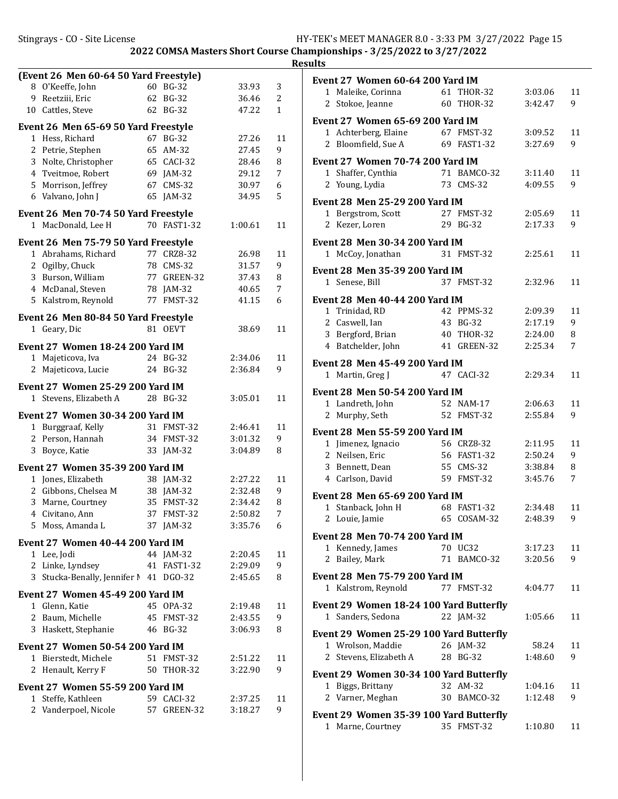|    | (Event 26 Men 60-64 50 Yard Freestyle)                      |    |              |                |    |
|----|-------------------------------------------------------------|----|--------------|----------------|----|
|    | 8 O'Keeffe, John                                            |    | 60 BG-32     | 33.93          | 3  |
| 9  | Reetziii, Eric                                              |    | 62 BG-32     | 36.46          | 2  |
| 10 | Cattles, Steve                                              |    | 62 BG-32     | 47.22          | 1  |
|    | Event 26 Men 65-69 50 Yard Freestyle                        |    |              |                |    |
|    | 1 Hess, Richard                                             | 67 | <b>BG-32</b> | 27.26          | 11 |
|    | 2 Petrie, Stephen                                           | 65 | AM-32        | 27.45          | 9  |
|    | 3 Nolte, Christopher                                        |    | 65 CACI-32   | 28.46          | 8  |
|    | 4 Tveitmoe, Robert                                          |    | 69 JAM-32    | 29.12          | 7  |
|    | 5 Morrison, Jeffrey                                         |    | 67 CMS-32    | 30.97          | 6  |
|    | 6 Valvano, John J                                           | 65 | JAM-32       | 34.95          | 5  |
|    | Event 26 Men 70-74 50 Yard Freestyle                        |    |              |                |    |
|    | 1 MacDonald, Lee H                                          |    | 70 FAST1-32  | 1:00.61        | 11 |
|    |                                                             |    |              |                |    |
|    | Event 26 Men 75-79 50 Yard Freestyle<br>1 Abrahams, Richard |    | 77 CRZ8-32   |                | 11 |
|    | 2 Ogilby, Chuck                                             |    | 78 CMS-32    | 26.98<br>31.57 | 9  |
|    | 3 Burson, William                                           |    | 77 GREEN-32  | 37.43          | 8  |
|    | 4 McDanal, Steven                                           |    | 78 JAM-32    | 40.65          | 7  |
| 5. | Kalstrom, Reynold                                           |    | 77 FMST-32   | 41.15          | 6  |
|    |                                                             |    |              |                |    |
|    | Event 26 Men 80-84 50 Yard Freestyle                        |    |              |                |    |
|    | 1 Geary, Dic                                                |    | 81 OEVT      | 38.69          | 11 |
|    | Event 27 Women 18-24 200 Yard IM                            |    |              |                |    |
| 1  | Majeticova, Iva                                             |    | 24 BG-32     | 2:34.06        | 11 |
| 2  | Majeticova, Lucie                                           |    | 24 BG-32     | 2:36.84        | 9  |
|    | Event 27 Women 25-29 200 Yard IM                            |    |              |                |    |
| 1  | Stevens, Elizabeth A                                        |    | 28 BG-32     | 3:05.01        | 11 |
|    |                                                             |    |              |                |    |
|    | Event 27 Women 30-34 200 Yard IM                            |    |              |                |    |
|    | 1 Burggraaf, Kelly                                          |    | 31 FMST-32   | 2:46.41        | 11 |
|    | 2 Person, Hannah                                            |    | 34 FMST-32   | 3:01.32        | 9  |
| 3  | Boyce, Katie                                                | 33 | $JAM-32$     | 3:04.89        | 8  |
|    | <b>Event 27 Women 35-39 200 Yard IM</b>                     |    |              |                |    |
| 1  | Jones, Elizabeth                                            |    | 38 JAM-32    | 2:27.22        | 11 |
|    | 2 Gibbons, Chelsea M                                        |    | 38 JAM-32    | 2:32.48        | 9  |
| 3  | Marne, Courtney                                             | 35 | FMST-32      | 2:34.42        | 8  |
|    | 4 Civitano, Ann                                             |    | 37 FMST-32   | 2:50.82        | 7  |
| 5. | Moss, Amanda L                                              |    | 37 JAM-32    | 3:35.76        | 6  |
|    | Event 27 Women 40-44 200 Yard IM                            |    |              |                |    |
|    | 1 Lee, Jodi                                                 |    | 44 JAM-32    | 2:20.45        | 11 |
|    | 2 Linke, Lyndsey                                            |    | 41 FAST1-32  | 2:29.09        | 9  |
| 3  | Stucka-Benally, Jennifer M 41 DGO-32                        |    |              | 2:45.65        | 8  |
|    | <b>Event 27 Women 45-49 200 Yard IM</b>                     |    |              |                |    |
| 1  | Glenn, Katie                                                |    | 45 OPA-32    | 2:19.48        | 11 |
| 2  | Baum, Michelle                                              | 45 | FMST-32      | 2:43.55        | 9  |
| 3  | Haskett, Stephanie                                          |    | 46 BG-32     | 3:06.93        | 8  |
|    |                                                             |    |              |                |    |
|    | <b>Event 27 Women 50-54 200 Yard IM</b>                     |    |              |                |    |
|    | 1 Bierstedt, Michele                                        |    | 51 FMST-32   | 2:51.22        | 11 |
| 2  | Henault, Kerry F                                            | 50 | THOR-32      | 3:22.90        | 9  |
|    | Event 27 Women 55-59 200 Yard IM                            |    |              |                |    |
| 1  | Steffe, Kathleen                                            |    | 59 CACI-32   | 2:37.25        | 11 |
| 2  | Vanderpoel, Nicole                                          | 57 | GREEN-32     | 3:18.27        | 9  |

| Event 27 Women 60-64 200 Yard IM                             |    |                |         |    |
|--------------------------------------------------------------|----|----------------|---------|----|
| 1 Maleike, Corinna                                           | 61 | <b>THOR-32</b> | 3:03.06 | 11 |
| 2 Stokoe, Jeanne                                             |    | 60 THOR-32     | 3:42.47 | 9  |
| Event 27 Women 65-69 200 Yard IM                             |    |                |         |    |
| 1 Achterberg, Elaine                                         |    | 67 FMST-32     | 3:09.52 | 11 |
| Bloomfield, Sue A<br>$\mathcal{L}$                           |    | 69 FAST1-32    | 3:27.69 | 9  |
|                                                              |    |                |         |    |
| <b>Event 27 Women 70-74 200 Yard IM</b>                      |    |                |         |    |
| 1 Shaffer, Cynthia                                           |    | 71 BAMCO-32    | 3:11.40 | 11 |
| $\overline{c}$<br>Young, Lydia                               |    | 73 CMS-32      | 4:09.55 | 9  |
| <b>Event 28 Men 25-29 200 Yard IM</b>                        |    |                |         |    |
| 1 Bergstrom, Scott                                           |    | 27 FMST-32     | 2:05.69 | 11 |
| 2 Kezer, Loren                                               |    | 29 BG-32       | 2:17.33 | 9  |
|                                                              |    |                |         |    |
| <b>Event 28 Men 30-34 200 Yard IM</b>                        |    |                |         |    |
| 1 McCoy, Jonathan                                            |    | 31 FMST-32     | 2:25.61 | 11 |
| <b>Event 28 Men 35-39 200 Yard IM</b>                        |    |                |         |    |
| 1 Senese, Bill                                               |    | 37 FMST-32     | 2:32.96 | 11 |
| <b>Event 28 Men 40-44 200 Yard IM</b>                        |    |                |         |    |
| 1 Trinidad, RD                                               |    | 42 PPMS-32     | 2:09.39 | 11 |
| 2 Caswell, Ian                                               |    | 43 BG-32       | 2:17.19 | 9  |
| 3 Bergford, Brian                                            | 40 | <b>THOR-32</b> | 2:24.00 | 8  |
| 4 Batchelder, John                                           |    | 41 GREEN-32    | 2:25.34 | 7  |
|                                                              |    |                |         |    |
| <b>Event 28 Men 45-49 200 Yard IM</b>                        |    |                |         |    |
| Martin, Greg J<br>1                                          |    | 47 CACI-32     | 2:29.34 | 11 |
| Event 28 Men 50-54 200 Yard IM                               |    |                |         |    |
| 1 Landreth, John                                             |    | 52 NAM-17      | 2:06.63 | 11 |
| 2<br>Murphy, Seth                                            |    | 52 FMST-32     | 2:55.84 | 9  |
|                                                              |    |                |         |    |
| <b>Event 28 Men 55-59 200 Yard IM</b><br>1 Jimenez, Ignacio  |    | 56 CRZ8-32     | 2:11.95 | 11 |
| 2 Neilsen, Eric                                              |    | 56 FAST1-32    | 2:50.24 | 9  |
| 3 Bennett, Dean                                              |    | 55 CMS-32      | 3:38.84 | 8  |
| 4 Carlson, David                                             |    | 59 FMST-32     | 3:45.76 | 7  |
|                                                              |    |                |         |    |
| <b>Event 28 Men 65-69 200 Yard IM</b>                        |    |                |         |    |
| Stanback, John H<br>1                                        |    | 68 FAST1-32    | 2:34.48 | 11 |
| 2<br>Louie, Jamie                                            | 65 | COSAM-32       | 2:48.39 | 9  |
| <b>Event 28 Men 70-74 200 Yard IM</b>                        |    |                |         |    |
| Kennedy, James<br>1                                          |    | 70 UC32        | 3:17.23 | 11 |
| Bailey, Mark<br>2                                            |    | 71 BAMCO-32    | 3:20.56 | 9  |
|                                                              |    |                |         |    |
| Event 28 Men 75-79 200 Yard IM                               |    |                |         |    |
| 1 Kalstrom, Reynold                                          |    | 77 FMST-32     | 4:04.77 | 11 |
| Event 29 Women 18-24 100 Yard Butterfly                      |    |                |         |    |
| 1 Sanders, Sedona                                            |    | 22 JAM-32      | 1:05.66 | 11 |
|                                                              |    |                |         |    |
| Event 29 Women 25-29 100 Yard Butterfly<br>1 Wrolson, Maddie |    | 26 JAM-32      | 58.24   | 11 |
| 2 Stevens, Elizabeth A                                       |    | 28 BG-32       | 1:48.60 | 9  |
|                                                              |    |                |         |    |
| Event 29 Women 30-34 100 Yard Butterfly                      |    |                |         |    |
| 1 Biggs, Brittany                                            |    | 32 AM-32       | 1:04.16 | 11 |
| 2 Varner, Meghan                                             |    | 30 BAMCO-32    | 1:12.48 | 9  |
| Event 29 Women 35-39 100 Yard Butterfly                      |    |                |         |    |
| 1 Marne, Courtney                                            |    | 35 FMST-32     | 1:10.80 | 11 |
|                                                              |    |                |         |    |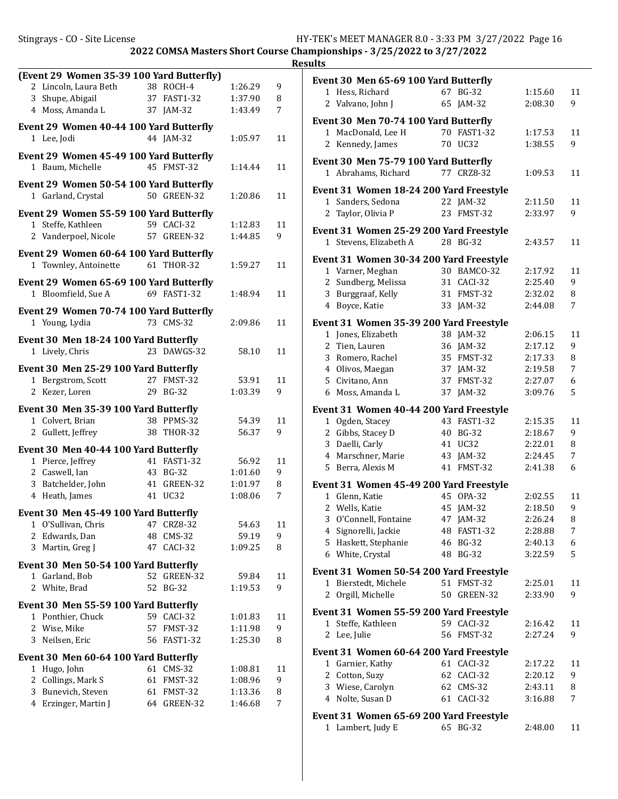|                   |                                                             |    |                       |                    |         | <b>Resu</b> |
|-------------------|-------------------------------------------------------------|----|-----------------------|--------------------|---------|-------------|
|                   | (Event 29 Women 35-39 100 Yard Butterfly)                   |    |                       |                    |         |             |
|                   | 2 Lincoln, Laura Beth                                       |    | 38 ROCH-4             | 1:26.29            | 9       |             |
| 3                 | Shupe, Abigail                                              |    | 37 FAST1-32           | 1:37.90            | 8       |             |
|                   | 4 Moss, Amanda L                                            |    | 37 JAM-32             | 1:43.49            | 7       |             |
|                   | Event 29 Women 40-44 100 Yard Butterfly                     |    |                       |                    |         |             |
|                   | 1 Lee, Jodi                                                 |    | 44 JAM-32             | 1:05.97            | 11      |             |
|                   | Event 29 Women 45-49 100 Yard Butterfly                     |    |                       |                    |         |             |
|                   | 1 Baum, Michelle                                            |    | 45 FMST-32            | 1:14.44            | 11      |             |
|                   |                                                             |    |                       |                    |         |             |
|                   | Event 29 Women 50-54 100 Yard Butterfly                     |    |                       |                    |         |             |
|                   | 1 Garland, Crystal                                          |    | 50 GREEN-32           | 1:20.86            | 11      |             |
|                   | Event 29 Women 55-59 100 Yard Butterfly                     |    |                       |                    |         |             |
|                   | 1 Steffe, Kathleen                                          |    | 59 CACI-32            | 1:12.83            | 11      |             |
|                   | 2 Vanderpoel, Nicole                                        |    | 57 GREEN-32           | 1:44.85            | 9       |             |
|                   | Event 29 Women 60-64 100 Yard Butterfly                     |    |                       |                    |         |             |
|                   | 1 Townley, Antoinette                                       |    | 61 THOR-32            | 1:59.27            | 11      |             |
|                   |                                                             |    |                       |                    |         |             |
|                   | Event 29 Women 65-69 100 Yard Butterfly                     |    | 69 FAST1-32           |                    |         |             |
|                   | 1 Bloomfield, Sue A                                         |    |                       | 1:48.94            | 11      |             |
|                   | Event 29 Women 70-74 100 Yard Butterfly                     |    |                       |                    |         |             |
|                   | 1 Young, Lydia                                              |    | 73 CMS-32             | 2:09.86            | 11      |             |
|                   | Event 30 Men 18-24 100 Yard Butterfly                       |    |                       |                    |         |             |
|                   | 1 Lively, Chris                                             |    | 23 DAWGS-32           | 58.10              | 11      |             |
|                   |                                                             |    |                       |                    |         |             |
|                   | Event 30 Men 25-29 100 Yard Butterfly<br>1 Bergstrom, Scott |    | 27 FMST-32            | 53.91              | 11      |             |
|                   | 2 Kezer, Loren                                              |    | 29 BG-32              | 1:03.39            | 9       |             |
|                   |                                                             |    |                       |                    |         |             |
|                   | Event 30 Men 35-39 100 Yard Butterfly                       |    |                       |                    |         |             |
|                   | 1 Colvert, Brian                                            |    | 38 PPMS-32            | 54.39              | 11      |             |
|                   | 2 Gullett, Jeffrey                                          |    | 38 THOR-32            | 56.37              | 9       |             |
|                   | Event 30 Men 40-44 100 Yard Butterfly                       |    |                       |                    |         |             |
|                   | 1 Pierce, Jeffrey                                           |    | 41 FAST1-32           | 56.92              | 11      |             |
|                   | 2 Caswell, Ian                                              |    | 43 BG-32              | 1:01.60            | 9       |             |
|                   | 3 Batchelder, John                                          |    | 41 GREEN-32           | 1:01.97            | 8       |             |
|                   | 4 Heath, James                                              |    | 41 UC32               | 1:08.06            | 7       |             |
|                   | Event 30 Men 45-49 100 Yard Butterfly                       |    |                       |                    |         |             |
|                   | 1 O'Sullivan, Chris                                         |    | 47 CRZ8-32            | 54.63              | 11      |             |
|                   | 2 Edwards, Dan                                              |    | 48 CMS-32             | 59.19              | 9       |             |
| 3                 | Martin, Greg J                                              |    | 47 CACI-32            | 1:09.25            | 8       |             |
|                   | Event 30 Men 50-54 100 Yard Butterfly                       |    |                       |                    |         |             |
| 1                 | Garland, Bob                                                | 52 | GREEN-32              | 59.84              | 11      |             |
| 2                 | White, Brad                                                 |    | 52 BG-32              | 1:19.53            | 9       |             |
|                   |                                                             |    |                       |                    |         |             |
|                   | Event 30 Men 55-59 100 Yard Butterfly                       |    |                       |                    |         |             |
| $\mathbf{1}$<br>2 | Ponthier, Chuck<br>Wise, Mike                               | 57 | 59 CACI-32<br>FMST-32 | 1:01.83            | 11<br>9 |             |
| 3                 | Neilsen, Eric                                               | 56 | <b>FAST1-32</b>       | 1:11.98<br>1:25.30 | 8       |             |
|                   |                                                             |    |                       |                    |         |             |
|                   | Event 30 Men 60-64 100 Yard Butterfly                       |    |                       |                    |         |             |
|                   | 1 Hugo, John                                                |    | 61 CMS-32             | 1:08.81            | 11      |             |
| 2                 | Collings, Mark S                                            |    | 61 FMST-32            | 1:08.96            | 9       |             |
| 3                 | Bunevich, Steven                                            |    | 61 FMST-32            | 1:13.36            | 8       |             |
|                   | 4 Erzinger, Martin J                                        |    | 64 GREEN-32           | 1:46.68            | 7       |             |

|              | <b>Event 30 Men 65-69 100 Yard Butterfly</b>                 |    |                 |         |    |
|--------------|--------------------------------------------------------------|----|-----------------|---------|----|
|              | 1 Hess, Richard                                              |    | 67 BG-32        | 1:15.60 | 11 |
|              | 2 Valvano, John J                                            | 65 | $IAM-32$        | 2:08.30 | 9  |
|              | Event 30 Men 70-74 100 Yard Butterfly                        |    |                 |         |    |
|              | 1 MacDonald, Lee H                                           |    | 70 FAST1-32     | 1:17.53 | 11 |
|              | 2 Kennedy, James                                             |    | 70 UC32         | 1:38.55 | 9  |
|              |                                                              |    |                 |         |    |
|              | <b>Event 30 Men 75-79 100 Yard Butterfly</b>                 |    |                 |         |    |
|              | 1 Abrahams, Richard                                          |    | 77 CRZ8-32      | 1:09.53 | 11 |
|              | Event 31 Women 18-24 200 Yard Freestyle                      |    |                 |         |    |
|              | 1 Sanders, Sedona                                            |    | 22 JAM-32       | 2:11.50 | 11 |
| 2            | Taylor, Olivia P                                             | 23 | FMST-32         | 2:33.97 | 9  |
|              |                                                              |    |                 |         |    |
|              | Event 31 Women 25-29 200 Yard Freestyle                      |    |                 |         |    |
| $\mathbf{1}$ | Stevens, Elizabeth A                                         |    | 28 BG-32        | 2:43.57 | 11 |
|              | Event 31 Women 30-34 200 Yard Freestyle                      |    |                 |         |    |
|              | 1 Varner, Meghan                                             |    | 30 BAMCO-32     | 2:17.92 | 11 |
|              | 2 Sundberg, Melissa                                          |    | 31 CACI-32      | 2:25.40 | 9  |
|              | 3 Burggraaf, Kelly                                           |    | 31 FMST-32      | 2:32.02 | 8  |
| 4            | Boyce, Katie                                                 |    | 33 JAM-32       | 2:44.08 | 7  |
|              | Event 31 Women 35-39 200 Yard Freestyle                      |    |                 |         |    |
|              | 1 Jones, Elizabeth                                           |    | 38 JAM-32       | 2:06.15 | 11 |
|              | 2 Tien, Lauren                                               |    | 36 JAM-32       | 2:17.12 | 9  |
|              | 3 Romero, Rachel                                             |    | 35 FMST-32      | 2:17.33 | 8  |
|              | 4 Olivos, Maegan                                             |    | 37 JAM-32       | 2:19.58 | 7  |
|              | 5 Civitano, Ann                                              | 37 | FMST-32         | 2:27.07 | 6  |
|              | 6 Moss, Amanda L                                             | 37 | $JAM-32$        | 3:09.76 | 5  |
|              |                                                              |    |                 |         |    |
|              | Event 31 Women 40-44 200 Yard Freestyle                      |    |                 |         |    |
| 1            | Ogden, Stacey                                                | 43 | <b>FAST1-32</b> | 2:15.35 | 11 |
|              | 2 Gibbs, Stacey D                                            | 40 | <b>BG-32</b>    | 2:18.67 | 9  |
|              | 3 Daelli, Carly                                              | 41 | <b>UC32</b>     | 2:22.01 | 8  |
|              | 4 Marschner, Marie                                           | 43 | JAM-32          | 2:24.45 | 7  |
|              | 5 Berra, Alexis M                                            |    | 41 FMST-32      | 2:41.38 | 6  |
|              | Event 31 Women 45-49 200 Yard Freestyle                      |    |                 |         |    |
|              | 1 Glenn, Katie                                               |    | 45 OPA-32       | 2:02.55 | 11 |
|              | 2 Wells, Katie                                               |    | 45 JAM-32       | 2:18.50 | 9  |
|              | 3 O'Connell, Fontaine                                        |    | 47 JAM-32       | 2:26.24 | 8  |
| 4            | Signorelli, Jackie                                           |    | 48 FAST1-32     | 2:28.88 | 7  |
| 5            | Haskett, Stephanie                                           | 46 | <b>BG-32</b>    | 2:40.13 | 6  |
| 6            | White, Crystal                                               | 48 | <b>BG-32</b>    | 3:22.59 | 5  |
|              | Event 31 Women 50-54 200 Yard Freestyle                      |    |                 |         |    |
| 1            | Bierstedt, Michele                                           |    | 51 FMST-32      | 2:25.01 | 11 |
| 2            | Orgill, Michelle                                             | 50 | GREEN-32        | 2:33.90 | 9  |
|              |                                                              |    |                 |         |    |
|              | Event 31 Women 55-59 200 Yard Freestyle                      |    |                 |         |    |
| 1            | Steffe, Kathleen                                             |    | 59 CACI-32      | 2:16.42 | 11 |
|              | 2 Lee, Julie                                                 |    | 56 FMST-32      | 2:27.24 | 9  |
|              | Event 31 Women 60-64 200 Yard Freestyle                      |    |                 |         |    |
| 1            | Garnier, Kathy                                               |    | 61 CACI-32      | 2:17.22 | 11 |
| 2            | Cotton, Suzy                                                 |    | 62 CACI-32      | 2:20.12 | 9  |
|              | 3 Wiese, Carolyn                                             |    | 62 CMS-32       | 2:43.11 | 8  |
| 4            | Nolte, Susan D                                               | 61 | CACI-32         | 3:16.88 | 7  |
|              |                                                              |    |                 |         |    |
|              | Event 31 Women 65-69 200 Yard Freestyle<br>1 Lambert, Judy E | 65 | BG-32           | 2:48.00 | 11 |
|              |                                                              |    |                 |         |    |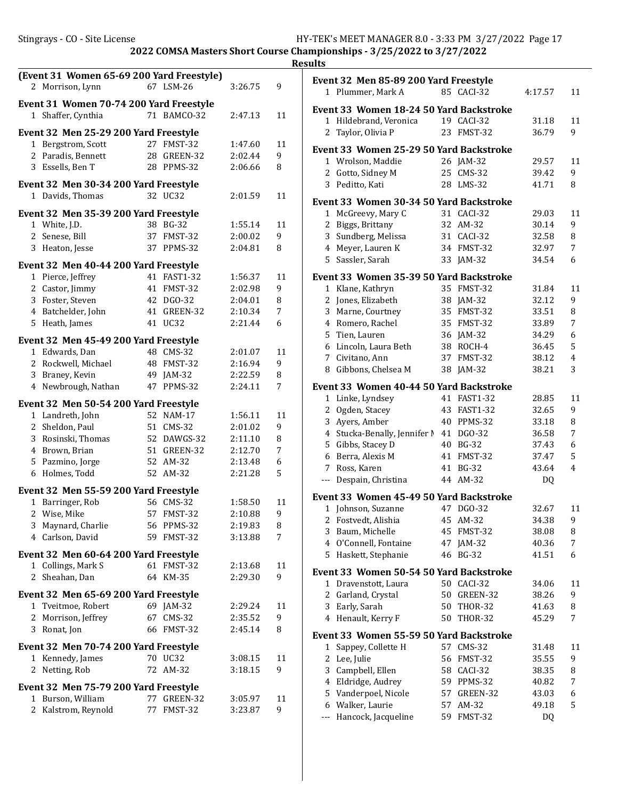|                                           |                           |                    |         | <b>Results</b>                          |                         |                |                |
|-------------------------------------------|---------------------------|--------------------|---------|-----------------------------------------|-------------------------|----------------|----------------|
| (Event 31 Women 65-69 200 Yard Freestyle) |                           |                    |         | Event 32 Men 85-89 200 Yard Freestyle   |                         |                |                |
| 2 Morrison, Lynn                          | 67 LSM-26                 | 3:26.75            | 9       | 1 Plummer, Mark A                       | 85 CACI-32              | 4:17.57        | 11             |
| Event 31 Women 70-74 200 Yard Freestyle   |                           |                    |         | Event 33 Women 18-24 50 Yard Backstroke |                         |                |                |
| 1 Shaffer, Cynthia                        | 71 BAMCO-32               | 2:47.13            | 11      | 1 Hildebrand, Veronica                  | 19 CACI-32              | 31.18          | 11             |
| Event 32 Men 25-29 200 Yard Freestyle     |                           |                    |         | 2 Taylor, Olivia P                      | 23 FMST-32              | 36.79          | 9              |
| 1 Bergstrom, Scott                        | 27 FMST-32                | 1:47.60            | 11      | Event 33 Women 25-29 50 Yard Backstroke |                         |                |                |
| 2 Paradis, Bennett                        | 28 GREEN-32               | 2:02.44            | 9       | 1 Wrolson, Maddie                       | 26 JAM-32               | 29.57          | 11             |
| 3 Essells, Ben T                          | 28 PPMS-32                | 2:06.66            | 8       | 2<br>Gotto, Sidney M                    | 25 CMS-32               | 39.42          | 9              |
| Event 32 Men 30-34 200 Yard Freestyle     |                           |                    |         | 3 Peditto, Kati                         | 28 LMS-32               | 41.71          | 8              |
| 1 Davids, Thomas                          | 32 UC32                   | 2:01.59            | 11      |                                         |                         |                |                |
|                                           |                           |                    |         | Event 33 Women 30-34 50 Yard Backstroke |                         |                |                |
| Event 32 Men 35-39 200 Yard Freestyle     | 38 BG-32                  | 1:55.14            | 11      | 1 McGreevy, Mary C<br>2 Biggs, Brittany | 31 CACI-32<br>32 AM-32  | 29.03<br>30.14 | 11<br>9        |
| 1 White, J.D.<br>2 Senese, Bill           | 37 FMST-32                | 2:00.02            | 9       | 3 Sundberg, Melissa                     | 31 CACI-32              | 32.58          | 8              |
| 3 Heaton, Jesse                           | 37 PPMS-32                | 2:04.81            | 8       | Meyer, Lauren K<br>4                    | 34 FMST-32              | 32.97          | 7              |
|                                           |                           |                    |         | 5 Sassler, Sarah                        | 33 JAM-32               | 34.54          | 6              |
| Event 32 Men 40-44 200 Yard Freestyle     |                           |                    |         |                                         |                         |                |                |
| 1 Pierce, Jeffrey                         | 41 FAST1-32               | 1:56.37            | 11      | Event 33 Women 35-39 50 Yard Backstroke |                         |                |                |
| 2 Castor, Jimmy                           | 41 FMST-32<br>42 DGO-32   | 2:02.98            | 9<br>8  | 1 Klane, Kathryn<br>2 Jones, Elizabeth  | 35 FMST-32              | 31.84<br>32.12 | 11<br>9        |
| 3 Foster, Steven<br>4 Batchelder, John    | 41 GREEN-32               | 2:04.01<br>2:10.34 | 7       | Marne, Courtney<br>3                    | 38 JAM-32<br>35 FMST-32 | 33.51          | 8              |
| 5 Heath, James                            | 41 UC32                   | 2:21.44            | 6       | Romero, Rachel<br>4                     | 35 FMST-32              | 33.89          | 7              |
|                                           |                           |                    |         | Tien, Lauren<br>5                       | 36 JAM-32               | 34.29          | 6              |
| Event 32 Men 45-49 200 Yard Freestyle     |                           |                    |         | Lincoln, Laura Beth<br>6                | 38 ROCH-4               | 36.45          | 5              |
| 1 Edwards, Dan                            | 48 CMS-32                 | 2:01.07            | 11      | Civitano, Ann<br>7                      | 37 FMST-32              | 38.12          | 4              |
| 2 Rockwell, Michael                       | 48 FMST-32                | 2:16.94            | 9       | 8 Gibbons, Chelsea M                    | 38 JAM-32               | 38.21          | 3              |
| Braney, Kevin<br>3<br>4 Newbrough, Nathan | 49 JAM-32<br>47 PPMS-32   | 2:22.59<br>2:24.11 | 8<br>7  | Event 33 Women 40-44 50 Yard Backstroke |                         |                |                |
|                                           |                           |                    |         | 1 Linke, Lyndsey                        | 41 FAST1-32             | 28.85          | 11             |
| Event 32 Men 50-54 200 Yard Freestyle     |                           |                    |         | 2 Ogden, Stacey                         | 43 FAST1-32             | 32.65          | 9              |
| 1 Landreth, John                          | 52 NAM-17                 | 1:56.11            | 11      | 3 Ayers, Amber                          | 40 PPMS-32              | 33.18          | 8              |
| 2 Sheldon, Paul                           | 51 CMS-32                 | 2:01.02            | 9       | 4 Stucka-Benally, Jennifer M 41 DGO-32  |                         | 36.58          | 7              |
| 3<br>Rosinski, Thomas                     | 52 DAWGS-32               | 2:11.10            | 8       | Gibbs, Stacey D<br>5.                   | 40 BG-32                | 37.43          | 6              |
| 4 Brown, Brian<br>5 Pazmino, Jorge        | 51 GREEN-32<br>52 AM-32   | 2:12.70            | 7       | Berra, Alexis M<br>6                    | 41 FMST-32              | 37.47          | 5              |
| 6 Holmes, Todd                            | 52 AM-32                  | 2:13.48<br>2:21.28 | 6<br>5  | Ross, Karen<br>7                        | 41 BG-32                | 43.64          | $\overline{4}$ |
|                                           |                           |                    |         | Despain, Christina<br>$\cdots$          | 44 AM-32                | DQ             |                |
| Event 32 Men 55-59 200 Yard Freestyle     |                           |                    |         | Event 33 Women 45-49 50 Yard Backstroke |                         |                |                |
| 1 Barringer, Rob                          | 56 CMS-32                 | 1:58.50            | 11      | 1 Johnson, Suzanne                      | 47 DGO-32               | 32.67          | 11             |
| 2 Wise, Mike                              | 57 FMST-32                | 2:10.88            | 9       | Fostvedt, Alishia<br>2                  | 45 AM-32                | 34.38          | 9              |
| 3 Maynard, Charlie                        | 56 PPMS-32                | 2:19.83            | 8       | Baum, Michelle<br>3                     | 45 FMST-32              | 38.08          | 8              |
| 4 Carlson, David                          | 59 FMST-32                | 3:13.88            | 7       | 4 O'Connell, Fontaine                   | 47 JAM-32               | 40.36          | 7              |
| Event 32 Men 60-64 200 Yard Freestyle     |                           |                    |         | 5 Haskett, Stephanie                    | 46 BG-32                | 41.51          | 6              |
| 1 Collings, Mark S                        | 61 FMST-32                | 2:13.68            | 11      | Event 33 Women 50-54 50 Yard Backstroke |                         |                |                |
| 2 Sheahan, Dan                            | 64 KM-35                  | 2:29.30            | 9       | 1 Dravenstott, Laura                    | 50 CACI-32              | 34.06          | 11             |
| Event 32 Men 65-69 200 Yard Freestyle     |                           |                    |         | 2 Garland, Crystal                      | 50 GREEN-32             | 38.26          | 9              |
| 1 Tveitmoe, Robert                        | 69 JAM-32                 | 2:29.24            | 11      | Early, Sarah<br>3                       | 50 THOR-32              | 41.63          | 8              |
| 2 Morrison, Jeffrey                       | 67 CMS-32                 | 2:35.52            | 9       | 4 Henault, Kerry F                      | 50 THOR-32              | 45.29          | 7              |
| 3 Ronat, Jon                              | 66 FMST-32                | 2:45.14            | 8       | Event 33 Women 55-59 50 Yard Backstroke |                         |                |                |
| Event 32 Men 70-74 200 Yard Freestyle     |                           |                    |         | Sappey, Collette H<br>$\mathbf{1}$      | 57 CMS-32               | 31.48          | 11             |
| 1 Kennedy, James                          | 70 UC32                   | 3:08.15            | 11      | 2 Lee, Julie                            | 56 FMST-32              | 35.55          | 9              |
| 2 Netting, Rob                            | 72 AM-32                  | 3:18.15            | 9       | Campbell, Ellen<br>3                    | 58 CACI-32              | 38.35          | 8              |
|                                           |                           |                    |         | Eldridge, Audrey<br>4                   | 59 PPMS-32              | 40.82          | 7              |
| Event 32 Men 75-79 200 Yard Freestyle     |                           |                    |         | Vanderpoel, Nicole<br>5.                | 57 GREEN-32             | 43.03          | 6              |
| 1 Burson, William<br>2 Kalstrom, Reynold  | 77 GREEN-32<br>77 FMST-32 | 3:05.97<br>3:23.87 | 11<br>9 | Walker, Laurie<br>6                     | 57 AM-32                | 49.18          | 5              |
|                                           |                           |                    |         | --- Hancock, Jacqueline                 | 59 FMST-32              | DQ             |                |